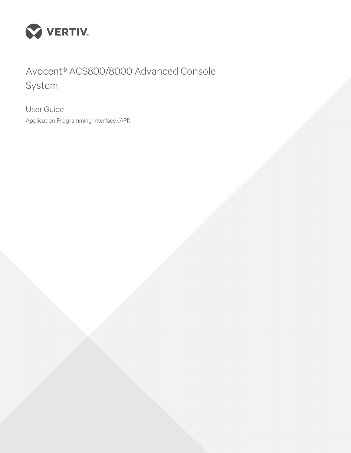

# Avocent® ACS800/8000 Advanced Console System

User Guide Application Programming Interface (API)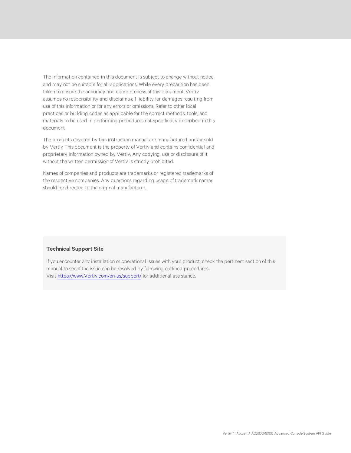The information contained in this document is subject to change without notice and may not be suitable for all applications. While every precaution has been taken to ensure the accuracy and completeness of this document, Vertiv assumes no responsibility and disclaims all liability for damages resulting from use of this information or for any errors or omissions. Refer to other local practices or building codes as applicable for the correct methods, tools, and materials to be used in performing procedures not specifically described in this document.

The products covered by this instruction manual are manufactured and/or sold by Vertiv This document is the property of Vertiv and contains confidential and proprietary information owned by Vertiv. Any copying, use or disclosure of it without the written permission of Vertiv is strictly prohibited.

Names of companies and products are trademarks or registered trademarks of the respective companies. Any questions regarding usage of trademark names should be directed to the original manufacturer.

#### **Technical Support Site**

If you encounter any installation or operational issues with your product, check the pertinent section of this manual to see if the issue can be resolved by following outlined procedures. Visit [https://www.Vertiv.com/en-us/support/](https://www.vertivco.com/en-us/support/) for additional assistance.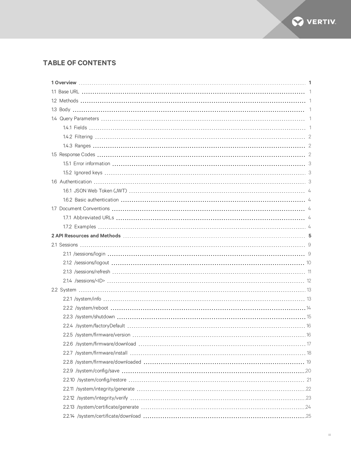

## **TABLE OF CONTENTS**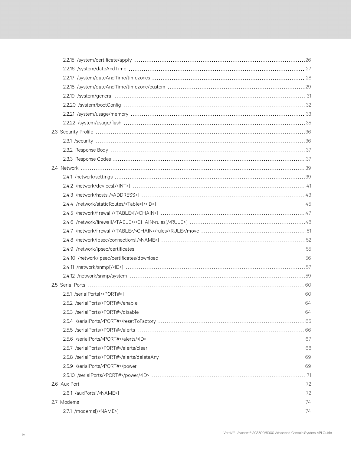| . 64 |
|------|
|      |
|      |
|      |
|      |
|      |
|      |
|      |
|      |
|      |
|      |
|      |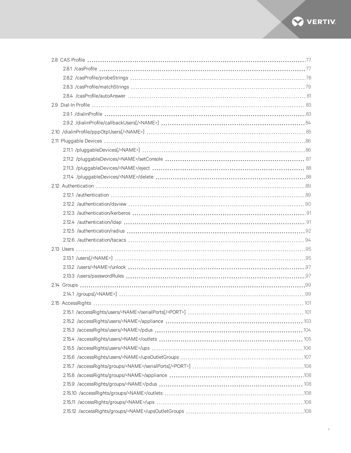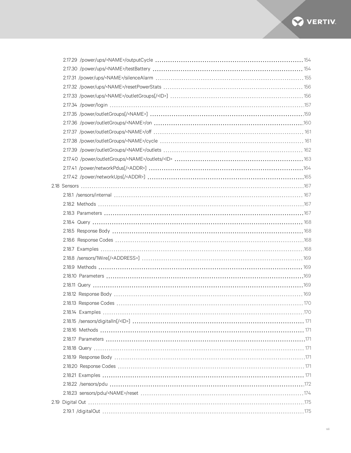

| . 170 |  |
|-------|--|
|       |  |
|       |  |
|       |  |
|       |  |
|       |  |
|       |  |
|       |  |
|       |  |
|       |  |
|       |  |
|       |  |
|       |  |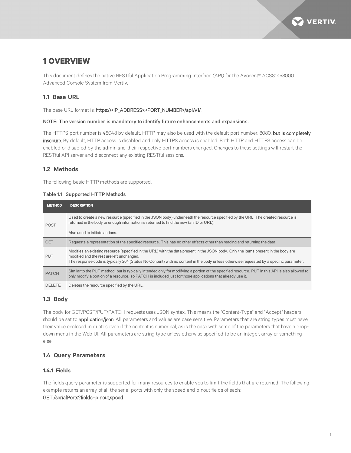

## <span id="page-8-0"></span>**1 OVERVIEW**

This document defines the native RESTful Application Programming Interface (API) for the Avocent® ACS800/8000 Advanced Console System from Vertiv.

## <span id="page-8-1"></span>**1.1 Base URL**

The base URL format is: https://<IP\_ADDRESS>:<PORT\_NUMBER>/api/v1/.

#### NOTE: The version number is mandatory to identify future enhancements and expansions.

The HTTPS port number is 48048 by default. HTTP may also be used with the default port number, 8080, but is completely insecure. By default, HTTP access is disabled and only HTTPS access is enabled. Both HTTP and HTTPS access can be enabled or disabled by the admin and their respective port numbers changed. Changes to these settings will restart the RESTful API server and disconnect any existing RESTful sessions.

## <span id="page-8-2"></span>**1.2 Methods**

The following basic HTTP methods are supported.

#### Table 1.1 Supported HTTP Methods

| <b>METHOD</b> | <b>DESCRIPTION</b>                                                                                                                                                                                                                                                                                                         |  |  |
|---------------|----------------------------------------------------------------------------------------------------------------------------------------------------------------------------------------------------------------------------------------------------------------------------------------------------------------------------|--|--|
| <b>POST</b>   | Used to create a new resource (specified in the JSON body) underneath the resource specified by the URL. The created resource is<br>returned in the body or enough information is returned to find the new (an ID or URL).                                                                                                 |  |  |
|               | Also used to initiate actions.                                                                                                                                                                                                                                                                                             |  |  |
| <b>GET</b>    | Requests a representation of the specified resource. This has no other effects other than reading and returning the data.                                                                                                                                                                                                  |  |  |
| <b>PUT</b>    | Modifies an existing resource (specified in the URL) with the data present in the JSON body. Only the items present in the body are<br>modified and the rest are left unchanged.<br>The response code is typically 204 (Status No Content) with no content in the body unless otherwise requested by a specific parameter. |  |  |
| <b>PATCH</b>  | Similar to the PUT method, but is typically intended only for modifying a portion of the specified resource. PUT in this API is also allowed to<br>only modify a portion of a resource, so PATCH is included just for those applications that already use it.                                                              |  |  |
| <b>DELETE</b> | Deletes the resource specified by the URL.                                                                                                                                                                                                                                                                                 |  |  |

## <span id="page-8-3"></span>**1.3 Body**

The body for GET/POST/PUT/PATCH requests uses JSON syntax. This means the "Content-Type" and "Accept" headers should be set to application/json. All parameters and values are case sensitive. Parameters that are string types must have their value enclosed in quotes even if the content is numerical, as is the case with some of the parameters that have a dropdown menu in the Web UI. All parameters are string type unless otherwise specified to be an integer, array or something else.

## <span id="page-8-4"></span>**1.4 Query Parameters**

## <span id="page-8-5"></span>**1.4.1 Fields**

The fields query parameter is supported for many resources to enable you to limit the fields that are returned. The following example returns an array of all the serial ports with only the speed and pinout fields of each:

## GET /serialPorts?fields=pinout,speed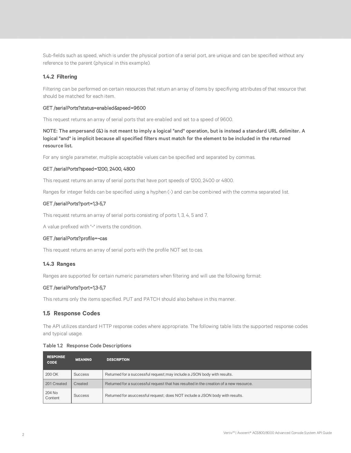Sub-fields such as speed, which is under the physical portion of a serial port, are unique and can be specified without any reference to the parent (physical in this example).

## <span id="page-9-0"></span>**1.4.2 Filtering**

Filtering can be performed on certain resources that return an array of items by specifiying attributes of that resource that should be matched for each item.

#### GET /serialPorts?status=enabled&speed=9600

This request returns an array of serial ports that are enabled and set to a speed of 9600.

NOTE: The ampersand (&) is not meant to imply a logical "and" operation, but is instead a standard URL delimiter. A logical "and" is implicit because all specified filters must match for the element to be included in the returned resource list.

For any single parameter, multiple acceptable values can be specified and separated by commas.

#### GET /serialPorts?speed=1200, 2400, 4800

This request returns an array of serial ports that have port speeds of 1200, 2400 or 4800.

Ranges for integer fields can be specified using a hyphen (-) and can be combined with the comma separated list.

#### GET /serialPorts?port=1,3-5,7

This request returns an array of serial ports consisting of ports 1, 3, 4, 5 and 7.

A value prefixed with "~" inverts the condition.

#### GET /serialPorts?profile=~cas

<span id="page-9-1"></span>This request returns an array of serial ports with the profile NOT set to cas.

#### **1.4.3 Ranges**

Ranges are supported for certain numeric parameters when filtering and will use the following format:

#### GET /serialPorts?port=1,3-5,7

<span id="page-9-2"></span>This returns only the items specified. PUT and PATCH should also behave in this manner.

#### **1.5 Response Codes**

The API utilizes standard HTTP response codes where appropriate. The following table lists the supported response codes and typical usage.

#### Table 1.2 Response Code Descriptions

| <b>RESPONSE</b><br><b>CODE</b> | <b>MEANING</b> | <b>DESCRIPTION</b>                                                                     |
|--------------------------------|----------------|----------------------------------------------------------------------------------------|
| 200 OK                         | <b>Success</b> | Returned for a successful request; may include a JSON body with results.               |
| 201 Created                    | Created        | Returned for a successful request that has resulted in the creation of a new resource. |
| 204 No<br>Content              | <b>Success</b> | Returned for asuccessful request; does NOT include a JSON body with results.           |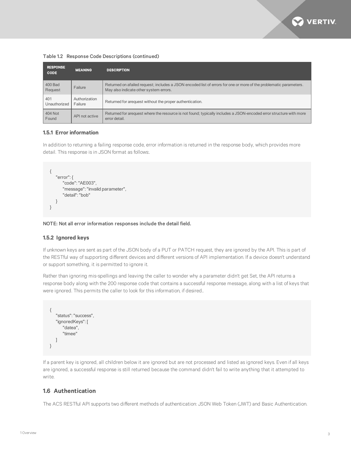

#### Table 1.2 Response Code Descriptions (continued)

| <b>RESPONSE</b><br><b>CODE</b> | <b>MEANING</b>           | <b>DESCRIPTION</b>                                                                                                                                           |  |
|--------------------------------|--------------------------|--------------------------------------------------------------------------------------------------------------------------------------------------------------|--|
| 400 Bad<br>Request             | Failure                  | Returned on afailed request; includes a JSON encoded list of errors for one or more of the problematic parameters.<br>May also indicate other system errors. |  |
| 401<br>Unauthorized            | Authorization<br>Failure | Returned for arequest without the proper authentication.                                                                                                     |  |
| 404 Not<br>Found               | API not active           | Returned for arequest where the resource is not found; typically includes a JSON-encoded error structure with more<br>error detail.                          |  |

#### <span id="page-10-0"></span>**1.5.1 Error information**

In addition to returning a failing response code, error information is returned in the response body, which provides more detail. This response is in JSON format as follows:.

```
{
   "error": {
      "code": "AE003",
      "message": "invalid parameter",
      "detail": "bob"
   }
}
```
<span id="page-10-1"></span>NOTE: Not all error information responses include the detail field.

#### **1.5.2 Ignored keys**

If unknown keys are sent as part of the JSON body of a PUT or PATCH request, they are ignored by the API. This is part of the RESTful way of supporting different devices and different versions of API implementation. If a device doesn't understand or support something, it is permitted to ignore it.

Rather than ignoring mis-spellings and leaving the caller to wonder why a parameter didn't get Set, the API returns a response body along with the 200 response code that contains a successful response message, along with a list of keys that were ignored. This permits the caller to look for this information, if desired..

```
{
   "status": "success",
   "ignoredKeys": [
      "datea",
      "timee"
   ]
}
```
If a parent key is ignored, all children below it are ignored but are not processed and listed as ignored keys. Even if all keys are ignored, a successful response is still returned because the command didn't fail to write anything that it attempted to write.

## <span id="page-10-2"></span>**1.6 Authentication**

The ACS RESTful API supports two different methods of authentication: JSON Web Token (JWT) and Basic Authentication.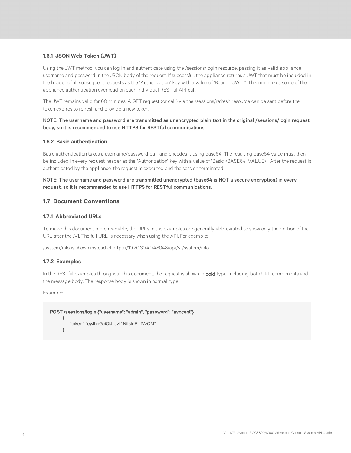## <span id="page-11-0"></span>**1.6.1 JSON Web Token (JWT)**

Using the JWT method, you can log in and authenticate using the /sessions/login resource, passing it aa valid appliance username and password in the JSON body of the request. If successful, the appliance returns a JWT that must be included in the header of all subsequent requests as the "Authorization" key with a value of "Bearer <JWT>". This minimizes some of the appliance authentication overhead on each individual RESTful API call.

The JWT remains valid for 60 minutes. A GET request (or call) via the /sessions/refresh resource can be sent before the token expires to refresh and provide a new token.

## NOTE: The username and password are transmitted as unencrypted plain text in the original /sessions/login request body, so it is recommended to use HTTPS for RESTful communications.

#### <span id="page-11-1"></span>**1.6.2 Basic authentication**

Basic authentication takes a username/password pair and encodes it using base64. The resulting base64 value must then be included in every request header as the "Authorization" key with a value of "Basic <BASE64\_VALUE>". After the request is authenticated by the appliance, the request is executed and the session terminated.

## NOTE: The username and password are transmitted unencrypted (base64 is NOT a secure encryption) in every request, so it is recommended to use HTTPS for RESTful communications.

## <span id="page-11-2"></span>**1.7 Document Conventions**

## <span id="page-11-3"></span>**1.7.1 Abbreviated URLs**

To make this document more readable, the URLs in the examples are generally abbreviated to show only the portion of the URL after the /v1. The full URL is necessary when using the API. For example:

<span id="page-11-4"></span>/system/info is shown instead of https://10.20.30.40:48048/api/v1/system/info

#### **1.7.2 Examples**

In the RESTful examples throughout this document, the request is shown in **bold** type, including both URL components and the message body. The response body is shown in normal type.

Example:

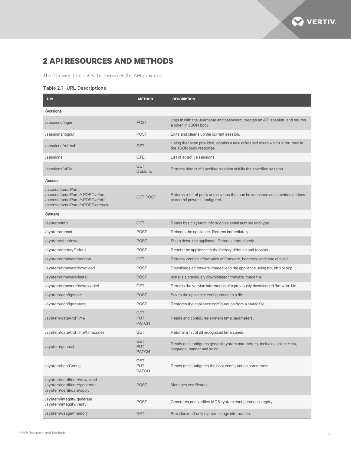**VERTIV.** 

## <span id="page-12-0"></span>**2 API RESOURCES AND METHODS**

The following table lists the resources the API provides.

#### Table 2.1 URL Descriptions

| <b>URL</b>                                                                                                                                               | <b>METHOD</b>                            | <b>DESCRIPTION</b>                                                                                               |
|----------------------------------------------------------------------------------------------------------------------------------------------------------|------------------------------------------|------------------------------------------------------------------------------------------------------------------|
| <b>Sessions</b>                                                                                                                                          |                                          |                                                                                                                  |
| /sessions/login                                                                                                                                          | <b>POST</b>                              | Logs in with the username and password, creates an API session, and returns<br>a token in JSON body.             |
| /sessions/logout                                                                                                                                         | <b>POST</b>                              | Exits and cleans up the current session.                                                                         |
| /sessions/refresh                                                                                                                                        | <b>GET</b>                               | Using the token provided, obtains a new refreshed token which is returned in<br>the JSON body response.          |
| /sessions                                                                                                                                                | <b>GTE</b>                               | List of all active sessions.                                                                                     |
| /sessions/ <id></id>                                                                                                                                     | <b>GET</b><br><b>DELETE</b>              | Returns details of specified session or kills the specified session.                                             |
| <b>Access</b>                                                                                                                                            |                                          |                                                                                                                  |
| /access/serialPorts<br>/access/serialPorts/ <port#>/on<br/>/access/serialPorts/<port#>/off<br/>/access/serialPorts/<port#>/cycle</port#></port#></port#> | <b>GET POST</b>                          | Returns a list of ports and devices that can be accessed and provides actions<br>to control power if configured. |
| System                                                                                                                                                   |                                          |                                                                                                                  |
| /system/info                                                                                                                                             | <b>GET</b>                               | Reads basic system info such as serial number and type.                                                          |
| /system/reboot                                                                                                                                           | <b>POST</b>                              | Reboots the appliance. Returns immediately.                                                                      |
| /system/shutdown                                                                                                                                         | <b>POST</b>                              | Shuts down the appliance. Returns immediately.                                                                   |
| /system/factoryDefault                                                                                                                                   | <b>POST</b>                              | Resets the appliance to the factory defaults and reboots.                                                        |
| /system/firmware/version                                                                                                                                 | <b>GET</b>                               | Returns version information of firmware, bootcode and date of build.                                             |
| /system/firmware/download                                                                                                                                | <b>POST</b>                              | Downloads a firmware image file to the appliance using ftp, sftp or scp.                                         |
| /system/firmware/install                                                                                                                                 | <b>POST</b>                              | Installs a previously downloaded firmware image file.                                                            |
| /system/firmware/downloaded                                                                                                                              | <b>GET</b>                               | Returns the version information of a previously downloaded firmware file.                                        |
| /system/config/save                                                                                                                                      | <b>POST</b>                              | Saves the appliance configuration to a file.                                                                     |
| /system/config/restore                                                                                                                                   | <b>POST</b>                              | Restores the appliance configuration from a saved file.                                                          |
| /system/dateAndTime                                                                                                                                      | <b>GET</b><br><b>PUT</b><br><b>PATCH</b> | Reads and configures system time parameters.                                                                     |
| /system/dateAndTime/timezones                                                                                                                            | <b>GET</b>                               | Returns a list of all recognized time zones.                                                                     |
| /system/general                                                                                                                                          | <b>GET</b><br>PUT<br><b>PATCH</b>        | Reads and configures general system parameters, including online Help,<br>language, banner and so on.            |
| /system/bootConfig                                                                                                                                       | <b>GET</b><br><b>PUT</b><br><b>PATCH</b> | Reads and configures the boot configuration parameters.                                                          |
| /system/certificate/download<br>/system/certificate/generate<br>/system/certificate/apply                                                                | <b>POST</b>                              | Manages certificates.                                                                                            |
| /system/integrity/generate<br>/system/integrity/verify                                                                                                   | <b>POST</b>                              | Generates and verifies MD5 system configuration integrity.                                                       |
| /system/usage/memory                                                                                                                                     | <b>GET</b>                               | Provides read-only system usage information.                                                                     |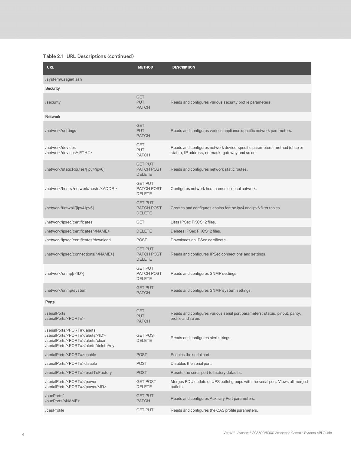| <b>URL</b>                                                                                                                                                                             | <b>METHOD</b>                                 | <b>DESCRIPTION</b>                                                                                                           |
|----------------------------------------------------------------------------------------------------------------------------------------------------------------------------------------|-----------------------------------------------|------------------------------------------------------------------------------------------------------------------------------|
| /system/usage/flash                                                                                                                                                                    |                                               |                                                                                                                              |
| Security                                                                                                                                                                               |                                               |                                                                                                                              |
| /security                                                                                                                                                                              | <b>GET</b><br><b>PUT</b><br><b>PATCH</b>      | Reads and configures various security profile parameters.                                                                    |
| <b>Network</b>                                                                                                                                                                         |                                               |                                                                                                                              |
| /network/settings                                                                                                                                                                      | <b>GET</b><br><b>PUT</b><br><b>PATCH</b>      | Reads and configures various appliance specific network parameters.                                                          |
| /network/devices<br>/network/devices/ <eth#></eth#>                                                                                                                                    | <b>GET</b><br><b>PUT</b><br><b>PATCH</b>      | Reads and configures network device-specific parameters: method (dhcp or<br>static), IP address, netmask, gateway and so on. |
| /network/staticRoutes/[ipv4/ipv6]                                                                                                                                                      | <b>GET PUT</b><br>PATCH POST<br><b>DELETE</b> | Reads and configures network static routes.                                                                                  |
| /network/hosts/network/hosts/ <addr></addr>                                                                                                                                            | <b>GET PUT</b><br>PATCH POST<br><b>DELETE</b> | Configures network host names on local network.                                                                              |
| /network/firewall/[ipv4 ipv6]                                                                                                                                                          | <b>GET PUT</b><br>PATCH POST<br><b>DELETE</b> | Creates and configures chains for the ipv4 and ipv6 filter tables.                                                           |
| /network/ipsec/certificates                                                                                                                                                            | <b>GET</b>                                    | Lists IPSec PKCS12 files.                                                                                                    |
| /network/ipsec/certificates/ <name></name>                                                                                                                                             | <b>DELETE</b>                                 | Deletes IPSec PKCS12 files.                                                                                                  |
| /network/ipsec/certificates/download                                                                                                                                                   | <b>POST</b>                                   | Downloads an IPSec certificate.                                                                                              |
| /network/ipsec/connections[/ <name>]</name>                                                                                                                                            | <b>GET PUT</b><br>PATCH POST<br><b>DELETE</b> | Reads and configures IPSec connections and settings.                                                                         |
| /network/snmp[/ <id>]</id>                                                                                                                                                             | <b>GET PUT</b><br>PATCH POST<br><b>DELETE</b> | Reads and configures SNMP settings.                                                                                          |
| /network/snmp/system                                                                                                                                                                   | <b>GET PUT</b><br><b>PATCH</b>                | Reads and configures SNMP system settings.                                                                                   |
| Ports                                                                                                                                                                                  |                                               |                                                                                                                              |
| /serialPorts<br>/serialPorts/ <port#></port#>                                                                                                                                          | <b>GET</b><br><b>PUT</b><br><b>PATCH</b>      | Reads and configures various serial port parameters: status, pinout, parity,<br>profile and so on.                           |
| /serialPorts/ <port#>/alerts<br/>/serialPorts/<port#>/alerts/<id><br/>/serialPorts/<port#>/alerts/clear<br/>/serialPorts/<port#>/alerts/deleteAny</port#></port#></id></port#></port#> | <b>GET POST</b><br><b>DELETE</b>              | Reads and configures alert strings.                                                                                          |
| /serialPorts/ <port#>enable</port#>                                                                                                                                                    | <b>POST</b>                                   | Enables the serial port.                                                                                                     |
| /serialPorts/ <port#>disable</port#>                                                                                                                                                   | <b>POST</b>                                   | Disables the serial port.                                                                                                    |
| /serialPorts/ <port#>resetToFactory</port#>                                                                                                                                            | <b>POST</b>                                   | Resets the serial port to factory defaults.                                                                                  |
| /serialPorts/ <port#>/power<br/>/serialPorts/<port#>/power/<id></id></port#></port#>                                                                                                   | <b>GET POST</b><br><b>DELETE</b>              | Merges PDU outlets or UPS outlet groups with the serial port. Views all merged<br>outlets.                                   |
| /auxPorts/<br>/auxPorts/ <name></name>                                                                                                                                                 | <b>GET PUT</b><br><b>PATCH</b>                | Reads and configures Auxiliary Port parameters.                                                                              |
| /casProfile                                                                                                                                                                            | <b>GET PUT</b>                                | Reads and configures the CAS profile parameters.                                                                             |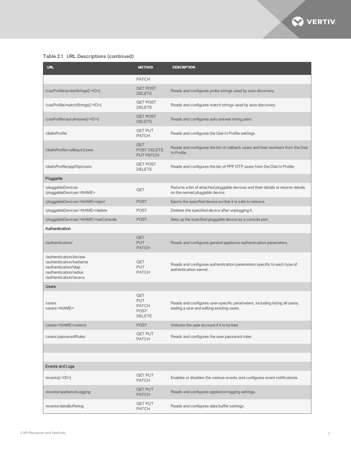

| <b>URL</b>                                                                                                                     | <b>METHOD</b>                                                            | <b>DESCRIPTION</b>                                                                                                       |
|--------------------------------------------------------------------------------------------------------------------------------|--------------------------------------------------------------------------|--------------------------------------------------------------------------------------------------------------------------|
|                                                                                                                                | <b>PATCH</b>                                                             |                                                                                                                          |
| /casProfile/probeStrings[/ <id>]</id>                                                                                          | <b>GET POST</b><br><b>DELETE</b>                                         | Reads and configures probe strings used by auto discovery.                                                               |
| /casProfile/matchStrings[/ <id>]</id>                                                                                          | <b>GET POST</b><br><b>DELETE</b>                                         | Reads and configures match strings used by auto discovery.                                                               |
| /casProfile/autoAnswer[/ <id>]</id>                                                                                            | <b>GET POST</b><br><b>DELETE</b>                                         | Reads and configures auto answer string pairs.                                                                           |
| /dialinProfile                                                                                                                 | <b>GET PUT</b><br><b>PATCH</b>                                           | Reads and configures the Dial-In Profile settings.                                                                       |
| /dialinProfile/callbackUsers                                                                                                   | <b>GET</b><br>POST DELETE<br>PUT PATCH                                   | Reads and configures the list of callback users and their numbers from the Dial-<br>In Profile.                          |
| /dialinProfile/pppOtpUsers                                                                                                     | <b>GET POST</b><br><b>DELETE</b>                                         | Reads and configures the list of PPP OTP users from the Dial-In Profile.                                                 |
| Pluggable                                                                                                                      |                                                                          |                                                                                                                          |
| /pluggableDevices<br>/pluggableDevices/ <name></name>                                                                          | <b>GET</b>                                                               | Returns a list of attached pluggable devices and their details or returns details<br>on the named pluggable device.      |
| /pluggableDevices/ <name>/eject</name>                                                                                         | <b>POST</b>                                                              | Ejects the specified device so that it is safe to remove.                                                                |
| /pluggableDevices/ <name>/delete</name>                                                                                        | <b>POST</b>                                                              | Deletes the specified device after unplugging it.                                                                        |
| /pluggableDevices/ <name>/setConsole</name>                                                                                    | <b>POST</b>                                                              | Sets up the specified pluggable device as a console port.                                                                |
| Authentication                                                                                                                 |                                                                          |                                                                                                                          |
| /authentication/                                                                                                               | <b>GET</b><br><b>PUT</b><br><b>PATCH</b>                                 | Reads and configures general appliance authentication parameters.                                                        |
| /authentication/dsview<br>/authentication/kerberos<br>/authentication/Idap<br>/authentication/radius<br>/authentication/tacacs | <b>GET</b><br><b>PUT</b><br><b>PATCH</b>                                 | Reads and configures authentication parameters specific to each type of<br>authentication server.                        |
| <b>Users</b>                                                                                                                   |                                                                          |                                                                                                                          |
| /users<br>/users/ <name></name>                                                                                                | <b>GET</b><br><b>PUT</b><br><b>PATCH</b><br><b>POST</b><br><b>DELETE</b> | Reads and configures user-specific parameters, including listing all users,<br>adding a user and editing existing users. |
| /users/ <name>/unlock</name>                                                                                                   | <b>POST</b>                                                              | Unlocks the user account if it is locked.                                                                                |
| /users/passwordRules                                                                                                           | <b>GET PUT</b><br><b>PATCH</b>                                           | Reads and configures the user password rules.                                                                            |
|                                                                                                                                |                                                                          |                                                                                                                          |
|                                                                                                                                |                                                                          |                                                                                                                          |
| <b>Events and Logs</b>                                                                                                         |                                                                          |                                                                                                                          |
| /events[/ <id>]</id>                                                                                                           | <b>GET PUT</b><br><b>PATCH</b>                                           | Enables or disables the various events and configures event notifications.                                               |
| /events/applianceLogging                                                                                                       | <b>GET PUT</b><br><b>PATCH</b>                                           | Reads and configures appliance logging settings.                                                                         |
| /events/dataBuffering                                                                                                          | <b>GET PUT</b><br><b>PATCH</b>                                           | Reads and configures data buffer settings.                                                                               |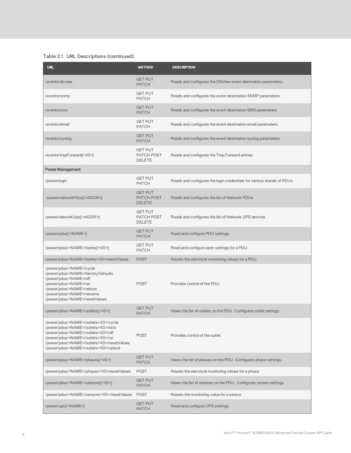| <b>URL</b>                                                                                                                                                                                                                                                                                                                        | <b>METHOD</b>                                 | <b>DESCRIPTION</b>                                                     |
|-----------------------------------------------------------------------------------------------------------------------------------------------------------------------------------------------------------------------------------------------------------------------------------------------------------------------------------|-----------------------------------------------|------------------------------------------------------------------------|
| /events/dsview                                                                                                                                                                                                                                                                                                                    | <b>GET PUT</b><br><b>PATCH</b>                | Reads and configures the DSView event destination parameters.          |
| /events/snmp                                                                                                                                                                                                                                                                                                                      | <b>GET PUT</b><br><b>PATCH</b>                | Reads and configures the event destination SNMP parameters.            |
| /events/sms                                                                                                                                                                                                                                                                                                                       | <b>GET PUT</b><br><b>PATCH</b>                | Reads and configures the event destination SMS parameters.             |
| /events/email                                                                                                                                                                                                                                                                                                                     | <b>GET PUT</b><br><b>PATCH</b>                | Reads and configures the event destination email parameters.           |
| /events/syslog                                                                                                                                                                                                                                                                                                                    | <b>GET PUT</b><br><b>PATCH</b>                | Reads and configures the event destination syslog parameters.          |
| /events/trapForward[/ <id>]</id>                                                                                                                                                                                                                                                                                                  | <b>GET PUT</b><br>PATCH POST<br><b>DELETE</b> | Reads and configures the Trap Forward entries.                         |
| <b>Power Management</b>                                                                                                                                                                                                                                                                                                           |                                               |                                                                        |
| /power/login                                                                                                                                                                                                                                                                                                                      | <b>GET PUT</b><br><b>PATCH</b>                | Reads and configures the login credentials for various brands of PDUs. |
| /power/networkPdus[/ <addr>]</addr>                                                                                                                                                                                                                                                                                               | <b>GET PUT</b><br>PATCH POST<br><b>DELETE</b> | Reads and configures the list of Network PDUs.                         |
| /power/networkUps[/ <addr>]</addr>                                                                                                                                                                                                                                                                                                | <b>GET PUT</b><br>PATCH POST<br>DELETE        | Reads and configures the list of Network UPS devices.                  |
| /power/pdus[/ <name>]</name>                                                                                                                                                                                                                                                                                                      | <b>GET PUT</b><br><b>PATCH</b>                | Read and configure PDU settings.                                       |
| /power/pdus/ <name>/banks[/<id>]</id></name>                                                                                                                                                                                                                                                                                      | <b>GET PUT</b><br><b>PATCH</b>                | Read and configure bank settings for a PDU.                            |
| /power/pdus/ <name>/banks/<id>/resetValues</id></name>                                                                                                                                                                                                                                                                            | <b>POST</b>                                   | Resets the electrical monitoring values for a PDU.                     |
| /power/pdus/ <name>/cycle<br/>/power/pdus/<name>/factoryDefaults<br/>/power/pdus/<name>/off<br/>/power/pdus/<name>/on<br/>/power/pdus/<name>/reboot<br/>/power/pdus/<name>/rename<br/>/power/pdus/<name>/resetValues</name></name></name></name></name></name></name>                                                             | <b>POST</b>                                   | Provides control of the PDU.                                           |
| /power/pdus/ <name>/outlets[/<id>]</id></name>                                                                                                                                                                                                                                                                                    | <b>GET PUT</b><br><b>PATCH</b>                | Views the list of outlets on the PDU. Configures outlet settings.      |
| /power/pdus/ <name>/outlets/<id>/cycle<br/>/power/pdus/<name>/outlets/<id>/lock<br/>/power/pdus/<name>/outlets/<id>/off<br/>/power/pdus/<name>/outlets/<id>/on<br/>/power/pdus/<name>/outlets/<id>/resetValues<br/>/power/pdus/<name>/outlets/<id>/unlock</id></name></id></name></id></name></id></name></id></name></id></name> | <b>POST</b>                                   | Provides control of the outlet.                                        |
| /power/pdus/ <name>/phases[/<id>]</id></name>                                                                                                                                                                                                                                                                                     | <b>GET PUT</b><br><b>PATCH</b>                | Views the list of phases on the PDU. Configures phase settings.        |
| /power/pdus/ <name>/phases/<id>/resetValues</id></name>                                                                                                                                                                                                                                                                           | <b>POST</b>                                   | Resets the electrical monitoring values for a phase.                   |
| /power/pdus/ <name>/sensors[/<id>]</id></name>                                                                                                                                                                                                                                                                                    | <b>GET PUT</b><br><b>PATCH</b>                | Views the list of sensors on the PDU. Configures sensor settings.      |
| /power/pdus/ <name>/sensors/<id>/resetValues</id></name>                                                                                                                                                                                                                                                                          | <b>POST</b>                                   | Resets the monitoring value for a sensor.                              |
| /power/ups[/ <name>]</name>                                                                                                                                                                                                                                                                                                       | <b>GET PUT</b><br><b>PATCH</b>                | Read and configure UPS settings.                                       |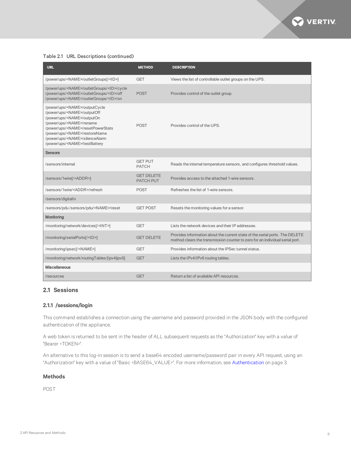

| <b>URL</b>                                                                                                                                                                                                                                                                                                                      | <b>METHOD</b>                  | DESCRIPTION                                                                                                                                                   |
|---------------------------------------------------------------------------------------------------------------------------------------------------------------------------------------------------------------------------------------------------------------------------------------------------------------------------------|--------------------------------|---------------------------------------------------------------------------------------------------------------------------------------------------------------|
| /power/ups/ <name>/outletGroups[/<id>]</id></name>                                                                                                                                                                                                                                                                              | <b>GET</b>                     | Views the list of controllable outlet groups on the UPS.                                                                                                      |
| /power/ups/ <name>/outletGroups/<id>/cycle<br/>/power/ups/<name>/outletGroups/<id>/off<br/>/power/ups/<name>/outletGroups/<id>/on</id></name></id></name></id></name>                                                                                                                                                           | <b>POST</b>                    | Provides control of the outlet group.                                                                                                                         |
| /power/ups/ <name>/outputCycle<br/>/power/ups/<name>/outputOff<br/>/power/ups/<name>/outputOn<br/>/power/ups/<name>/rename<br/>/power/ups/<name>/resetPowerStats<br/>/power/ups/<name>/restoreName<br/>/power/ups/<name>/silenceAlarm<br/>/power/ups/<name>/testBattery</name></name></name></name></name></name></name></name> | <b>POST</b>                    | Provides control of the UPS.                                                                                                                                  |
| <b>Sensors</b>                                                                                                                                                                                                                                                                                                                  |                                |                                                                                                                                                               |
| /sensors/internal                                                                                                                                                                                                                                                                                                               | <b>GET PUT</b><br><b>PATCH</b> | Reads the internal temperature sensors, and configures threshold values.                                                                                      |
| /sensors/1wire[/ <addr>]</addr>                                                                                                                                                                                                                                                                                                 | <b>GET DELETE</b><br>PATCH PUT | Provides access to the attached 1-wire sensors.                                                                                                               |
| /sensors/1wire/ <addr>/refresh</addr>                                                                                                                                                                                                                                                                                           | <b>POST</b>                    | Refreshes the list of 1-wire sensors.                                                                                                                         |
| /sensors/digitalln                                                                                                                                                                                                                                                                                                              |                                |                                                                                                                                                               |
| /sensors/pdu/sensors/pdu/ <name>/reset</name>                                                                                                                                                                                                                                                                                   | <b>GET POST</b>                | Resets the monitoring values for a sensor.                                                                                                                    |
| Monitoring                                                                                                                                                                                                                                                                                                                      |                                |                                                                                                                                                               |
| /monitoring/network/devices[/ <int>]</int>                                                                                                                                                                                                                                                                                      | <b>GET</b>                     | Lists the network devices and their IP addresses.                                                                                                             |
| /monitoring/serialPorts[/ <id>]</id>                                                                                                                                                                                                                                                                                            | <b>GET DELETE</b>              | Provides information about the current state of the serial ports. The DELETE<br>method clears the transmission counter to zero for an individual serial port. |
| /monitoring/ipsec[/ <name>]</name>                                                                                                                                                                                                                                                                                              | <b>GET</b>                     | Provides information about the IPSec tunnel status.                                                                                                           |
| /monitoring/network/routingTables/[ipv4 ipv6]                                                                                                                                                                                                                                                                                   | <b>GET</b>                     | Lists the IPv4/IPv6 routing tables.                                                                                                                           |
| <b>Miscellaneous</b>                                                                                                                                                                                                                                                                                                            |                                |                                                                                                                                                               |
| /resources                                                                                                                                                                                                                                                                                                                      | <b>GET</b>                     | Return a list of available API resources.                                                                                                                     |

## <span id="page-16-0"></span>**2.1 Sessions**

## <span id="page-16-1"></span>**2.1.1 /sessions/login**

This command establishes a connection using the username and password provided in the JSON body with the configured authentication of the appliance.

A web token is returned to be sent in the header of ALL subsequent requests as the "Authorization" key with a value of "Bearer <TOKEN>".

An alternative to this log-in session is to send a base64 encoded username/password pair in every API request, using an "Authorization" key with a value of "Basic <BASE64\_VALUE>". For more information, see [Authentication](#page-10-2) on page 3.

#### **Methods**

POST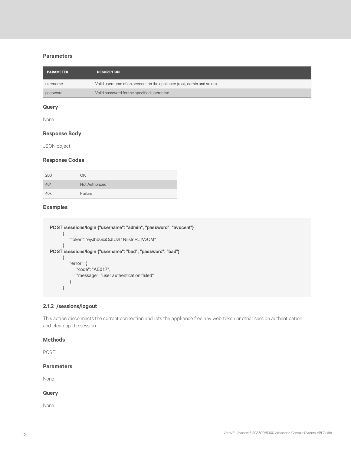#### **Parameters**

| <b>PARAMETER</b> | <b>DESCRIPTION</b>                                                    |
|------------------|-----------------------------------------------------------------------|
| username         | Valid username of an account on the appliance (root, admin and so on) |
| password         | Valid password for the specified username                             |

#### **Query**

None

## **Response Body**

JSON object

## **Response Codes**

| 200 | ОK             |
|-----|----------------|
| 401 | Not Authorized |
| 40x | Failure        |

## **Examples**

```
POST /sessions/login {"username": "admin", "password": "avocent"}
      {
         "token":"eyJhbGciOiJIUzI1NiIsInR…fVzCM"
      }
POST /sessions/login {"username": "bad", "password": "bad"}
      {
         "error": {
           "code": "AE017",
            "message": "user authentication failed"
         }
     }
```
## <span id="page-17-0"></span>**2.1.2 /sessions/logout**

This action disconnects the current connection and lets the appliance free any web token or other session authentication and clean up the session.

### **Methods**

POST

## **Parameters**

None

## **Query**

None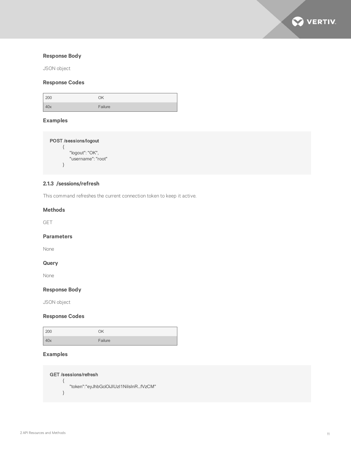

#### **Response Body**

JSON object

## **Response Codes**

| 200 | OK      |
|-----|---------|
| 40x | Failure |

### **Examples**

```
POST /sessions/logout
    {
        "logout": "OK",
        "username": "root"
     }
```
#### <span id="page-18-0"></span>**2.1.3 /sessions/refresh**

This command refreshes the current connection token to keep it active.

## **Methods**

GET

## **Parameters**

None

#### **Query**

None

## **Response Body**

JSON object

## **Response Codes**

| 200      | OK      |
|----------|---------|
| 40x<br>Ш | Failure |

#### **Examples**

```
GET /sessions/refresh
     {
        "token":"eyJhbGciOiJIUzI1NiIsInR…fVzCM"
     }
```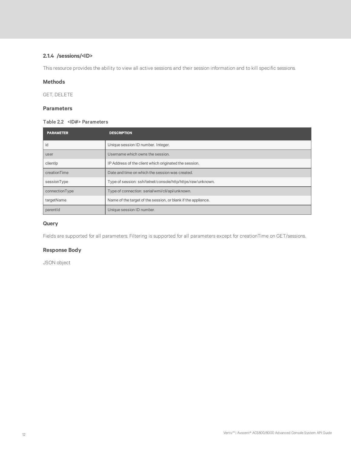## <span id="page-19-0"></span>**2.1.4 /sessions/<ID>**

This resource provides the ability to view all active sessions and their session information and to kill specific sessions.

#### **Methods**

GET, DELETE

### **Parameters**

## Table 2.2 <ID#> Parameters

| <b>PARAMETER</b> | <b>DESCRIPTION</b>                                            |
|------------------|---------------------------------------------------------------|
| id               | Unique session ID number. Integer.                            |
| user             | Username which owns the session.                              |
| clientlp         | IP Address of the client which originated the session.        |
| creationTime     | Date and time on which the session was created.               |
| sessionType      | Type of session: ssh/telnet/console/http/https/raw/unknown.   |
| connectionType   | Type of connection: serial/wmi/cli/api/unknown.               |
| targetName       | Name of the target of the session, or blank if the appliance. |
| parentId         | Unique session ID number.                                     |

## **Query**

Fields are supported for all parameters. Filtering is supported for all parameters except for creationTime on GET/sessions.

## **Response Body**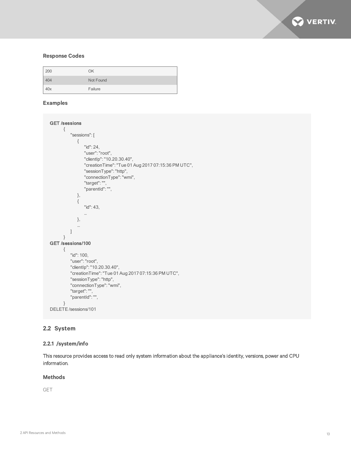

| 200 | OK        |
|-----|-----------|
| 404 | Not Found |
| 40x | Failure   |

#### **Examples**

```
GET /sessions
      {
          "sessions": [
            {
                "id": 24,
                "user": "root",
                "clientIp": "10.20.30.40",
                "creationTime": "Tue 01 Aug 2017 07:15:36 PM UTC",
                "sessionType": "http",
                "connectionType": "wmi",
                "target": "",
                "parentId": "",
             },
             {
                "id": 43,
                 …
             },
              …
         ]
      }
GET /sessions/100
      {
          "id": 100,
          "user": "root",
         "clientIp": "10.20.30.40",
         "creationTime": "Tue 01 Aug 2017 07:15:36 PM UTC",
          "sessionType": "http",
         "connectionType": "wmi",
         "target": "",
          "parentId": "",
      }
DELETE /sessions/101
```
## <span id="page-20-0"></span>**2.2 System**

#### <span id="page-20-1"></span>**2.2.1 /system/info**

This resource provides access to read only system information about the appliance's identity, versions, power and CPU information.

## **Methods**

GET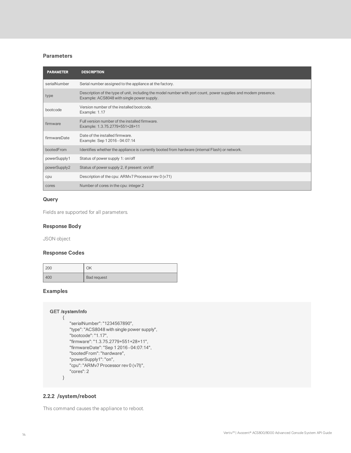#### **Parameters**

| <b>PARAMETER</b> | <b>DESCRIPTION</b>                                                                                                                                            |
|------------------|---------------------------------------------------------------------------------------------------------------------------------------------------------------|
| serialNumber     | Serial number assigned to the appliance at the factory.                                                                                                       |
| type             | Description of the type of unit, including the model number with port count, power supplies and modem presence.<br>Example: ACS8048 with single power supply. |
| bootcode         | Version number of the installed bootcode<br>Example: 1.17                                                                                                     |
| firmware         | Full version number of the installed firmware.<br>Example: 1.3.75.2779+551+28+11                                                                              |
| firmwareDate     | Date of the installed firmware.<br>Example: Sep 1 2016 - 04:07:14                                                                                             |
| bootedFrom       | Identifies whether the appliance is currently booted from hardware (internal Flash) or network.                                                               |
| powerSupply1     | Status of power supply 1: on/off                                                                                                                              |
| powerSupply2     | Status of power supply 2, if present: on/off                                                                                                                  |
| cpu              | Description of the cpu: ARMv7 Processor rev 0 (v71)                                                                                                           |
| cores            | Number of cores in the cpu: integer 2                                                                                                                         |

#### **Query**

Fields are supported for all parameters.

## **Response Body**

JSON object

#### **Response Codes**

| 200 | OK                 |
|-----|--------------------|
| 400 | <b>Bad request</b> |

#### **Examples**

#### GET /system/info

```
{
   "serialNumber": "1234567890",
   "type": "ACS8048 with single power supply",
   "bootcode": "1.17",
   "firmware": "1.3.75.2779+551+28+11",
   "firmwareDate": "Sep 1 2016 – 04:07:14",
   "bootedFrom": "hardware",
   "powerSupply1": "on",
   "cpu": "ARMv7 Processor rev 0 (v7l)",
   "cores": 2
}
```
### <span id="page-21-0"></span>**2.2.2 /system/reboot**

This command causes the appliance to reboot.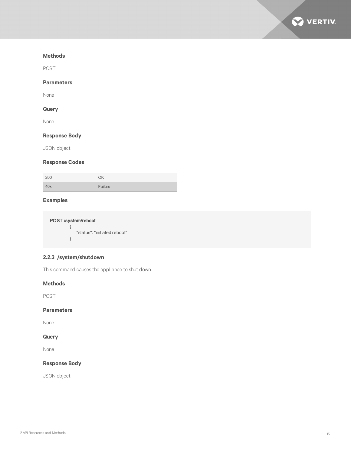

#### **Methods**

POST

## **Parameters**

None

#### **Query**

None

## **Response Body**

JSON object

## **Response Codes**

| 200 | ОK      |
|-----|---------|
| 40x | Failure |

## **Examples**

```
POST /system/reboot
         {
            "status": "initiated reboot"
         }
```
## <span id="page-22-0"></span>**2.2.3 /system/shutdown**

This command causes the appliance to shut down.

#### **Methods**

POST

## **Parameters**

None

## **Query**

None

## **Response Body**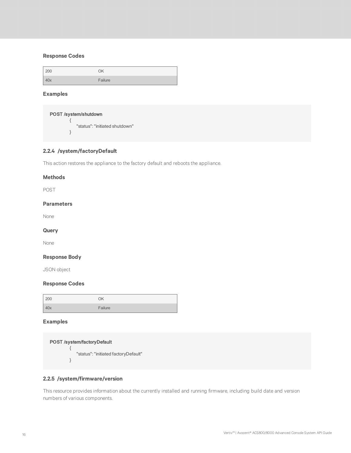| 200 | OK      |
|-----|---------|
| 40x | Failure |

## **Examples**

## POST /system/shutdown

{

}

"status": "initiated shutdown"

## <span id="page-23-0"></span>**2.2.4 /system/factoryDefault**

This action restores the appliance to the factory default and reboots the appliance.

#### **Methods**

POST

#### **Parameters**

None

## **Query**

None

#### **Response Body**

JSON object

#### **Response Codes**

| 200 | OK      |
|-----|---------|
| 40x | Failure |

#### **Examples**

## POST /system/factoryDefault

{ "status": "initiated factoryDefault" }

#### <span id="page-23-1"></span>**2.2.5 /system/firmware/version**

This resource provides information about the currently installed and running firmware, including build date and version numbers of various components.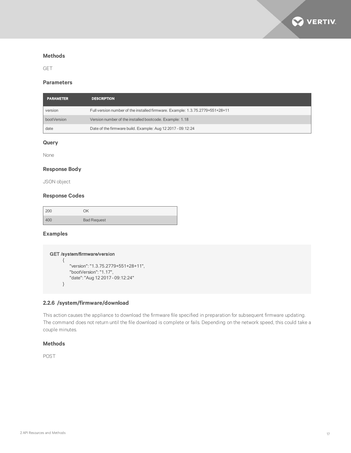

#### **Methods**

GET

## **Parameters**

| <b>PARAMETER</b> | <b>DESCRIPTION</b>                                                            |
|------------------|-------------------------------------------------------------------------------|
| version          | Full version number of the installed firmware. Example: 1.3.75.2779+551+28+11 |
| bootVersion      | Version number of the installed bootcode. Example: 1.18                       |
| date             | Date of the firmware build. Example: Aug 12 2017 - 09:12:24                   |

#### **Query**

None

#### **Response Body**

JSON object

#### **Response Codes**

| 200 | ОK                 |
|-----|--------------------|
| 400 | <b>Bad Request</b> |

#### **Examples**

```
GET /system/firmware/version
     {
         "version": "1.3.75.2779+551+28+11",
         "bootVersion": "1.17",
         "date": "Aug 12 2017 – 09:12:24"
     }
```
#### <span id="page-24-0"></span>**2.2.6 /system/firmware/download**

This action causes the appliance to download the firmware file specified in preparation for subsequent firmware updating. The command does not return until the file download is complete or fails. Depending on the network speed, this could take a couple minutes.

#### **Methods**

POST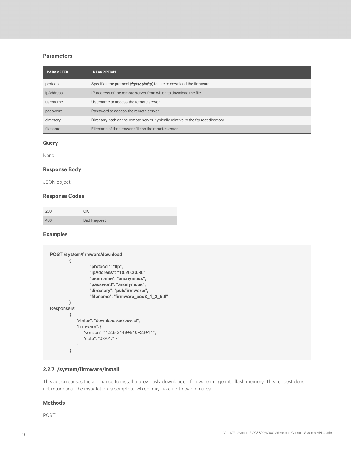#### **Parameters**

| <b>PARAMETER</b> | <b>DESCRIPTION</b>                                                                 |
|------------------|------------------------------------------------------------------------------------|
| protocol         | Specifies the protocol (ftp/scp/sftp) to use to download the firmware.             |
| ipAddress        | IP address of the remote server from which to download the file.                   |
| username         | Username to access the remote server.                                              |
| password         | Password to access the remote server.                                              |
| directory        | Directory path on the remote server, typically relative to the ftp root directory. |
| filename         | Filename of the firmware file on the remote server.                                |

#### **Query**

None

## **Response Body**

JSON object

#### **Response Codes**

| 200 | ОK                 |
|-----|--------------------|
| 400 | <b>Bad Request</b> |

#### **Examples**

```
POST /system/firmware/download
        {
                  "protocol": "ftp",
                  "ipAddress": "10.20.30.80",
                  "username": "anonymous",
                  "password": "anonymous",
                  "directory": "pub/firmware/",
                  "filename": "firmware_acs8_1_2_9.fl"
        }
Response is:
         {
            "status": "download successful",
            "firmware": {
               "version": "1.2.9.2449+540+23+11",
               "date": "03/01/17"
            }
         }
```
#### <span id="page-25-0"></span>**2.2.7 /system/firmware/install**

This action causes the appliance to install a previously downloaded firmware image into flash memory. This request does not return until the installation is complete, which may take up to two minutes.

#### **Methods**

POST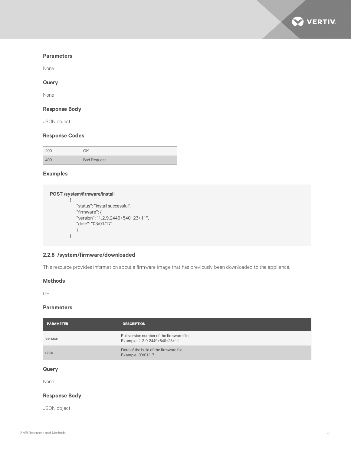

#### **Parameters**

None

**Query**

None

#### **Response Body**

JSON object

#### **Response Codes**

| 200 | ОK                 |
|-----|--------------------|
| 400 | <b>Bad Request</b> |

#### **Examples**

```
POST /system/firmware/install
       {
```

```
"status": "install successful",
  "firmware": {
  "version": "1.2.9.2449+540+23+11",
  "date": "03/01/17"
   }
}
```
### <span id="page-26-0"></span>**2.2.8 /system/firmware/downloaded**

This resource provides information about a firmware image that has previously been downloaded to the appliance.

#### **Methods**

GET

#### **Parameters**

| <b>PARAMETER</b> | <b>DESCRIPTION</b>                                                         |
|------------------|----------------------------------------------------------------------------|
| version          | Full version number of the firmware file.<br>Example: 1.2.9.2449+540+23+11 |
| date             | Date of the build of the firmware file.<br>Example: 03/01/17               |

#### **Query**

None

#### **Response Body**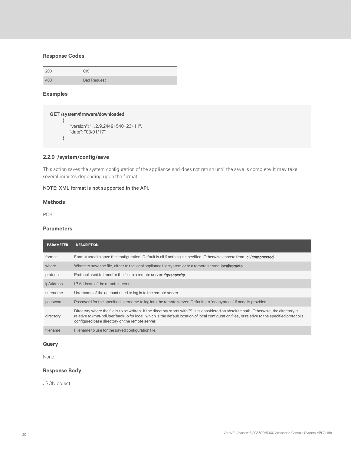| 200 | NС                 |
|-----|--------------------|
| 400 | <b>Bad Request</b> |

## **Examples**

#### GET /system/firmware/downloaded

```
{
   "version": "1.2.9.2449+540+23+11",
   "date": "03/01/17"
}
```
## <span id="page-27-0"></span>**2.2.9 /system/config/save**

This action saves the system configuration of the appliance and does not return until the save is complete. It may take several minutes depending upon the format.

#### NOTE: XML format is not supported in the API.

### **Methods**

POST

## **Parameters**

| <b>PARAMETER</b> | <b>DESCRIPTION</b>                                                                                                                                                                                                                                                                                                                              |
|------------------|-------------------------------------------------------------------------------------------------------------------------------------------------------------------------------------------------------------------------------------------------------------------------------------------------------------------------------------------------|
| format           | Format used to save the configuration. Default is cli if nothing is specified. Otherwise choose from: <b>cli/compressed</b> .                                                                                                                                                                                                                   |
| where            | Where to save the file, either to the local appliance file system or to a remote server: local/remote.                                                                                                                                                                                                                                          |
| protocol         | Protocol used to transfer the file to a remote server: ftp/scp/sftp.                                                                                                                                                                                                                                                                            |
| ipAddress        | IP Address of the remote server.                                                                                                                                                                                                                                                                                                                |
| username         | Username of the account used to log in to the remote server.                                                                                                                                                                                                                                                                                    |
| password         | Password for the specified username to log into the remote server. Defaults to "anonymous" if none is provided.                                                                                                                                                                                                                                 |
| directory        | Directory where the file is to be written. If the directory starts with "/", it is considered an absolute path. Otherwise, the directory is<br>relative to /mnt/hdUser/backup for local, which is the default location of local configuration files, or relative to the specified protocol's<br>configured base directory on the remote server. |
| filename         | Filename to use for the saved configuration file.                                                                                                                                                                                                                                                                                               |

#### **Query**

None

#### **Response Body**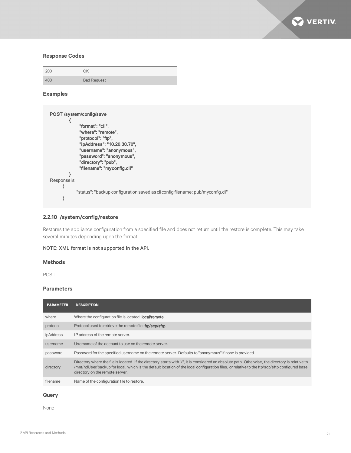

| 200 | OK                 |
|-----|--------------------|
| 400 | <b>Bad Request</b> |

## **Examples**

| POST/system/config/save                                                         |
|---------------------------------------------------------------------------------|
| "format": "cli".                                                                |
| "where": "remote",                                                              |
| "protocol": "ftp",                                                              |
| "ipAddress": "10.20.30.70",                                                     |
| "username": "anonymous",<br>"password": "anonymous",                            |
| "directory": "pub",                                                             |
| "filename": "myconfig.cli"                                                      |
|                                                                                 |
| Response is:                                                                    |
| "status": "backup configuration saved as cli config filename: pub/myconfig.cli" |
|                                                                                 |
|                                                                                 |

## <span id="page-28-0"></span>**2.2.10 /system/config/restore**

Restores the appliance configuration from a specified file and does not return until the restore is complete. This may take several minutes depending upon the format.

#### NOTE: XML format is not supported in the API.

#### **Methods**

POST

#### **Parameters**

| <b>PARAMETER</b> | <b>DESCRIPTION</b>                                                                                                                                                                                                                                                                                                                    |
|------------------|---------------------------------------------------------------------------------------------------------------------------------------------------------------------------------------------------------------------------------------------------------------------------------------------------------------------------------------|
| where            | Where the configuration file is located: local/remote.                                                                                                                                                                                                                                                                                |
| protocol         | Protocol used to retrieve the remote file: ftp/scp/sftp.                                                                                                                                                                                                                                                                              |
| ipAddress        | IP address of the remote server.                                                                                                                                                                                                                                                                                                      |
| username         | Username of the account to use on the remote server.                                                                                                                                                                                                                                                                                  |
| password         | Password for the specified username on the remote server. Defaults to "anonymous" if none is provided.                                                                                                                                                                                                                                |
| directory        | Directory where the file is located. If the directory starts with "/", it is considered an absolute path. Otherwise, the directory is relative to<br>/mnt/hdUser/backup for local, which is the default location of the local configuration files, or relative to the ftp/scp/sftp configured base<br>directory on the remote server. |
| filename         | Name of the configuration file to restore.                                                                                                                                                                                                                                                                                            |

#### **Query**

None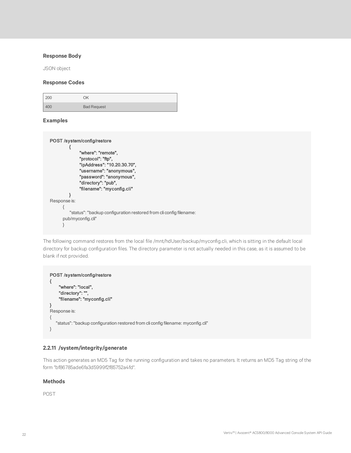#### **Response Body**

JSON object

#### **Response Codes**

| 200 | OK                 |
|-----|--------------------|
| 400 | <b>Bad Request</b> |

#### **Examples**

```
POST /system/config/restore
         {
              "where": "remote",
              "protocol": "ftp",
              "ipAddress": "10.20.30.70",
              "username": "anonymous",
              "password": "anonymous",
              "directory": "pub",
              "filename": "myconfig.cli"
         }
Response is:
      {
         "status": "backup configuration restored from cli config filename:
      pub/myconfig.cli"
      }
```
The following command restores from the local file /mnt/hdUser/backup/myconfig.cli, which is sitting in the default local directory for backup configuration files. The directory parameter is not actually needed in this case, as it is assumed to be blank if not provided.

```
POST /system/config/restore
{
     "where": "local",
    "directory": "",
    "filename": "myconfig.cli"
}
Response is:
{
   "status": "backup configuration restored from cli config filename: myconfig.cli"
}
```
## <span id="page-29-0"></span>**2.2.11 /system/integrity/generate**

This action generates an MD5 Tag for the running configuration and takes no parameters. It returns an MD5 Tag string of the form "bf86785ade6fa3d5999f2f85752a4fd".

#### **Methods**

POST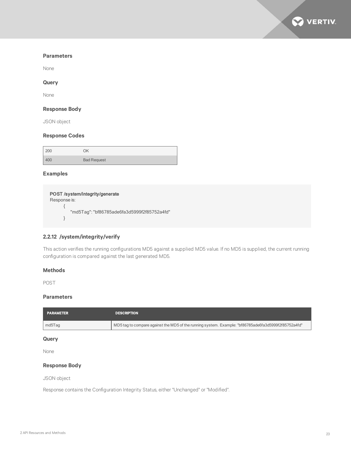

#### **Parameters**

None

**Query**

None

#### **Response Body**

JSON object

#### **Response Codes**

| 200 | OK                 |
|-----|--------------------|
| 400 | <b>Bad Request</b> |

#### **Examples**

## POST /system/integrity/generate Response is: { "md5Tag": "bf86785ade6fa3d5999f2f85752a4fd" }

## <span id="page-30-0"></span>**2.2.12 /system/integrity/verify**

This action verifies the running configurations MD5 against a supplied MD5 value. If no MD5 is supplied, the current running configuration is compared against the last generated MD5.

## **Methods**

POST

#### **Parameters**

| <b>PARAMETER</b> | <b>DESCRIPTION</b>                                                                                   |
|------------------|------------------------------------------------------------------------------------------------------|
| md5Tag           | MD5 tag to compare against the MD5 of the running system. Example: "bf86785ade6fa3d5999f2f85752a4fd" |

#### **Query**

None

#### **Response Body**

JSON object

Response contains the Configuration Integrity Status, either "Unchanged" or "Modified".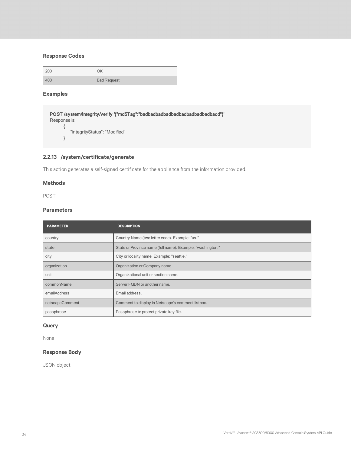| 200 | OK                 |
|-----|--------------------|
| 400 | <b>Bad Request</b> |

## **Examples**

POST /system/integrity/verify '{"md5Tag":"badbadbadbadbadbadbadbadbadd"}' Response is:

```
{
   "integrityStatus": "Modified"
}
```
## <span id="page-31-0"></span>**2.2.13 /system/certificate/generate**

This action generates a self-signed certificate for the appliance from the information provided.

#### **Methods**

POST

#### **Parameters**

| <b>PARAMETER</b> | <b>DESCRIPTION</b>                                         |
|------------------|------------------------------------------------------------|
| country          | Country Name (two letter code). Example: "us."             |
| state            | State or Province name (full name). Example: "washington." |
| city             | City or locality name. Example: "seattle."                 |
| organization     | Organization or Company name.                              |
| unit             | Organizational unit or section name.                       |
| commonName       | Server FQDN or another name.                               |
| emailAddress     | Email address.                                             |
| netscapeComment  | Comment to display in Netscape's comment listbox.          |
| passphrase       | Passphrase to protect private key file.                    |

#### **Query**

None

## **Response Body**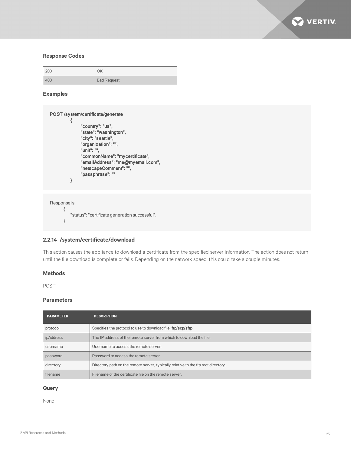

| 200 | ΩK                 |
|-----|--------------------|
| 400 | <b>Bad Request</b> |

## **Examples**

```
POST /system/certificate/generate
         {
              "country": "us",
              "state": "washington",
              "city": "seattle",
              "organization": "",
              "unit": "",
              "commonName": "mycertificate",
              "emailAddress": "me@myemail.com",
              "netscapeComment": "",
              "passphrase": ""
         }
Response is:
      {
          "status": "certificate generation successful",
```
## <span id="page-32-0"></span>**2.2.14 /system/certificate/download**

This action causes the appliance to download a certificate from the specified server information. The action does not return until the file download is complete or fails. Depending on the network speed, this could take a couple minutes.

#### **Methods**

}

POST

## **Parameters**

| <b>PARAMETER</b> | <b>DESCRIPTION</b>                                                                 |
|------------------|------------------------------------------------------------------------------------|
| protocol         | Specifies the protocol to use to download file: ftp/scp/sftp                       |
| ipAddress        | The IP address of the remote server from which to download the file.               |
| username         | Username to access the remote server.                                              |
| password         | Password to access the remote server.                                              |
| directory        | Directory path on the remote server, typically relative to the ftp root directory. |
| filename         | Filename of the certificate file on the remote server.                             |

#### **Query**

None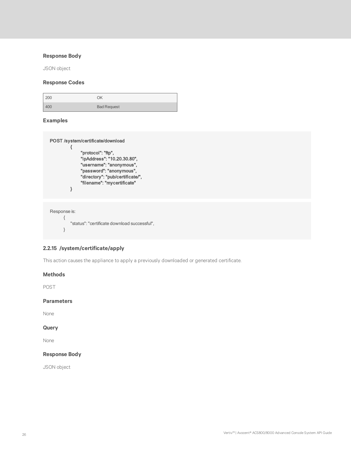#### **Response Body**

JSON object

## **Response Codes**

| 200 | OK                 |
|-----|--------------------|
| 400 | <b>Bad Request</b> |

#### **Examples**

```
POST /system/certificate/download
         {
              "protocol": "ftp",
              "ipAddress": "10.20.30.80",
              "username": "anonymous",
              "password": "anonymous",
              "directory": "pub/certificate/",
              "filename": "mycertificate"
         }
```

```
Response is:
      {
          "status": "certificate download successful",
      }
```
## <span id="page-33-0"></span>**2.2.15 /system/certificate/apply**

This action causes the appliance to apply a previously downloaded or generated certificate.

#### **Methods**

POST

#### **Parameters**

None

#### **Query**

None

## **Response Body**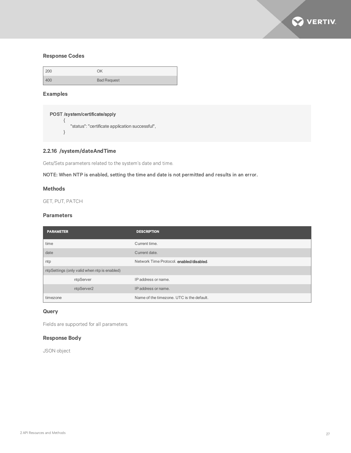

| 200 | ΩK                 |
|-----|--------------------|
| 400 | <b>Bad Request</b> |

## **Examples**

## POST /system/certificate/apply

```
{
   "status": "certificate application successful",
}
```
## <span id="page-34-0"></span>**2.2.16 /system/dateAndTime**

Gets/Sets parameters related to the system's date and time.

NOTE: When NTP is enabled, setting the time and date is not permitted and results in an error.

#### **Methods**

GET, PUT, PATCH

#### **Parameters**

| <b>PARAMETER</b>                             | <b>DESCRIPTION</b>                        |
|----------------------------------------------|-------------------------------------------|
| time                                         | Current time.                             |
| date                                         | Current date.                             |
| ntp                                          | Network Time Protocol. enabled/disabled.  |
| ntpSettings (only valid when ntp is enabled) |                                           |
| ntpServer                                    | IP address or name.                       |
| ntpServer2                                   | IP address or name.                       |
| timezone                                     | Name of the timezone. UTC is the default. |

## **Query**

Fields are supported for all parameters.

#### **Response Body**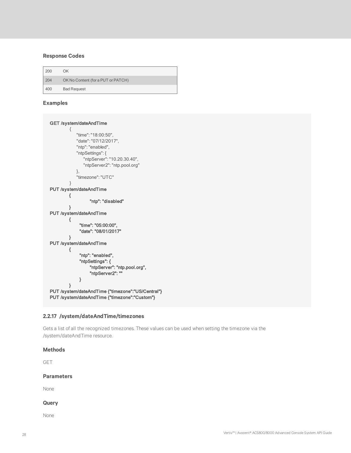| 200 | ΩK                                 |
|-----|------------------------------------|
| 204 | OK No Content (for a PUT or PATCH) |
| 400 | <b>Bad Request</b>                 |

#### **Examples**

```
GET /system/dateAndTime
        {
            "time": "18:00:50",
            "date": "07/12/2017",
            "ntp": "enabled",
            "ntpSettings": {
               "ntpServer": "10.20.30.40",
               "ntpServer2": "ntp.pool.org"
            },
            "timezone": "UTC"
         }
PUT /system/dateAndTime
        {
                  "ntp": "disabled"
        }
PUT /system/dateAndTime
         {
             "time": "05:00:00",
             "date": "08/01/2017"
        }
PUT /system/dateAndTime
        {
             "ntp": "enabled",
             "ntpSettings": {
                  "ntpServer": "ntp.pool.org",
                  "ntpServer2": ""
             }
        }
PUT /system/dateAndTime {"timezone":"US/Central"}
PUT /system/dateAndTime {"timezone":"Custom"}
```
#### <span id="page-35-0"></span>**2.2.17 /system/dateAndTime/timezones**

Gets a list of all the recognized timezones. These values can be used when setting the timezone via the /system/dateAndTime resource.

#### **Methods**

GET

#### **Parameters**

None

#### **Query**

None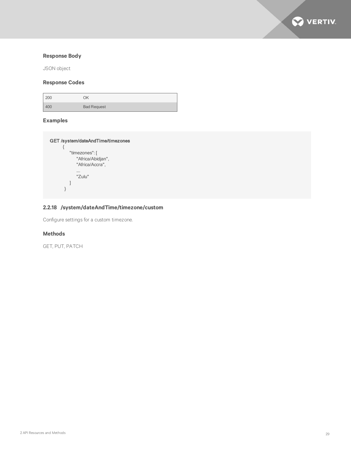

## **Response Body**

JSON object

## **Response Codes**

| 200 | OK                 |
|-----|--------------------|
| 400 | <b>Bad Request</b> |

## **Examples**

```
GET /system/dateAndTime/timezones
    {
       "timezones": [
          "Africa/Abidjan",
          "Africa/Accra",
            ….
            "Zulu"
       ]
      }
```
## **2.2.18 /system/dateAndTime/timezone/custom**

Configure settings for a custom timezone.

## **Methods**

GET, PUT, PATCH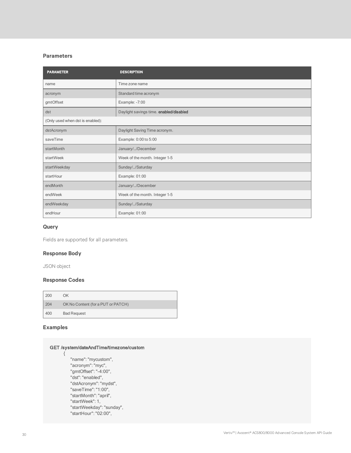#### **Parameters**

| <b>PARAMETER</b>                 | <b>DESCRIPTION</b>                      |
|----------------------------------|-----------------------------------------|
| name                             | Time zone name                          |
| acronym                          | Standard time acronym                   |
| gmtOffset                        | Example: -7:00                          |
| dst                              | Daylight savings time. enabled/disabled |
| (Only used when dst is enabled): |                                         |
| dstAcronym                       | Daylight Saving Time acronym.           |
| saveTime                         | Example: 0:00 to 5:00                   |
| startMonth                       | January//December                       |
| startWeek                        | Week of the month. Integer 1-5          |
| startWeekday                     | Sunday//Saturday                        |
| startHour                        | Example: 01:00                          |
| endMonth                         | January//December                       |
| endWeek                          | Week of the month. Integer 1-5          |
| endWeekday                       | Sunday//Saturday                        |
| endHour                          | Example: 01:00                          |

## **Query**

Fields are supported for all parameters.

## **Response Body**

JSON object

## **Response Codes**

| 200 | ΟK                                 |
|-----|------------------------------------|
| 204 | OK No Content (for a PUT or PATCH) |
| 400 | <b>Bad Request</b>                 |

#### **Examples**

# GET /system/dateAndTime/timezone/custom

{ "name": "mycustom", "acronym": "myc", "gmtOffset": "-4:00", "dst": "enabled", "dstAcronym": "mydst", "saveTime": "1:00", "startMonth": "april", "startWeek": 1, "startWeekday": "sunday", "startHour": "02:00",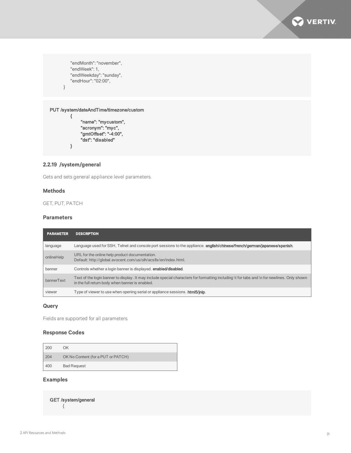

"endMonth": "november", "endWeek": 1, "endWeekday": "sunday", "endHour": "02:00",

```
PUT /system/dateAndTime/timezone/custom
         {
              "name": "mycustom",
              "acronym": "myc",
              "gmtOffset": "-4:00",
              "dst": "disabled"
         }
```
## **2.2.19 /system/general**

}

Gets and sets general appliance level parameters.

## **Methods**

GET, PUT, PATCH

## **Parameters**

| <b>PARAMETER</b> | <b>DESCRIPTION</b>                                                                                                                                                                             |
|------------------|------------------------------------------------------------------------------------------------------------------------------------------------------------------------------------------------|
| language         | Language used for SSH, Telnet and console port sessions to the appliance. english/chinese/french/german/japanese/spanish.                                                                      |
| onlineHelp       | URL for the online help product documentation.<br>Default: http://global.avocent.com/us/olh/acs8x/en/index.html.                                                                               |
| banner           | Controls whether a login banner is displayed. enabled/disabled.                                                                                                                                |
| bannerText       | Text of the login banner to display. It may include special characters for formatting including \t for tabs and \n for newlines. Only shown<br>in the full return body when banner is enabled. |
| viewer           | Type of viewer to use when opening serial or appliance sessions. <b>html5/inlp</b> .                                                                                                           |

### **Query**

Fields are supported for all parameters.

## **Response Codes**

| 200 | ОK                                 |
|-----|------------------------------------|
| 204 | OK No Content (for a PUT or PATCH) |
| 400 | <b>Bad Request</b>                 |

```
GET /system/general
     {
```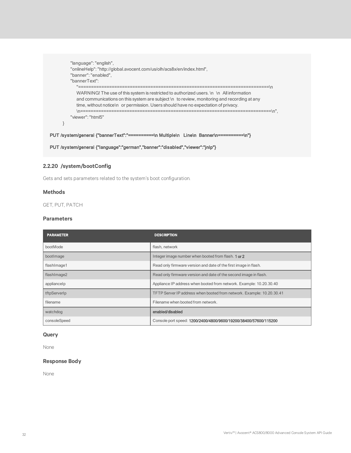

## **2.2.20 /system/bootConfig**

Gets and sets parameters related to the system's boot configuration.

## **Methods**

GET, PUT, PATCH

### **Parameters**

| <b>PARAMETER</b> | <b>DESCRIPTION</b>                                                    |
|------------------|-----------------------------------------------------------------------|
| bootMode         | flash, network                                                        |
| bootImage        | Integer image number when booted from flash. 1 or 2                   |
| flashImage1      | Read only firmware version and date of the first image in flash.      |
| flashImage2      | Read only firmware version and date of the second image in flash.     |
| appliancelp      | Appliance IP address when booted from network. Example: 10.20.30.40   |
| tftpServerIp     | TFTP Server IP address when booted from network. Example: 10.20.30.41 |
| filename         | Filename when booted from network.                                    |
| watchdog         | enabled/disabled                                                      |
| consoleSpeed     | Console port speed: 1200/2400/4800/9600/19200/38400/57600/115200      |

### **Query**

None

### **Response Body**

None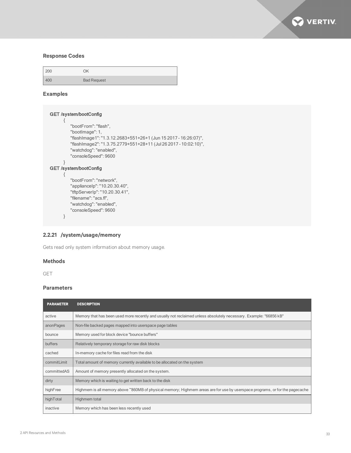

| 200 | OK                 |
|-----|--------------------|
| 400 | <b>Bad Request</b> |

## **Examples**

## GET /system/bootConfig

```
{
         "bootFrom": "flash",
         "bootImage": 1,
          "flashImage1": "1.3.12.2683+551+26+1 (Jun 15 2017 – 16:26:07)",
          "flashImage2": "1.3.75.2779+551+28+11 (Jul 26 2017 – 10:02:10)",
         "watchdog": "enabled",
         "consoleSpeed": 9600
      }
GET /system/bootConfig
      {
```

```
"bootFrom": "network",
   "applianceIp": "10.20.30.40",
   "tftpServerIp": "10.20.30.41",
   "filename": "acs.fl",
   "watchdog": "enabled",
   "consoleSpeed": 9600
}
```
## **2.2.21 /system/usage/memory**

Gets read only system information about memory usage.

### **Methods**

GET

### **Parameters**

| <b>PARAMETER</b> | <b>DESCRIPTION</b>                                                                                                           |
|------------------|------------------------------------------------------------------------------------------------------------------------------|
| active           | Memory that has been used more recently and usually not reclaimed unless absolutely necessary. Example: "66856 kB"           |
| anonPages        | Non-file backed pages mapped into userspace page tables                                                                      |
| bounce           | Memory used for block device "bounce buffers"                                                                                |
| <b>buffers</b>   | Relatively temporary storage for raw disk blocks                                                                             |
| cached           | In-memory cache for files read from the disk                                                                                 |
| commitLimit      | Total amount of memory currently available to be allocated on the system                                                     |
| committedAS      | Amount of memory presently allocated on the system.                                                                          |
| dirty            | Memory which is waiting to get written back to the disk                                                                      |
| highFree         | Highmem is all memory above ~860MB of physical memory; Highmem areas are for use by userspace programs, or for the pagecache |
| highTotal        | Highmem total                                                                                                                |
| inactive         | Memory which has been less recently used                                                                                     |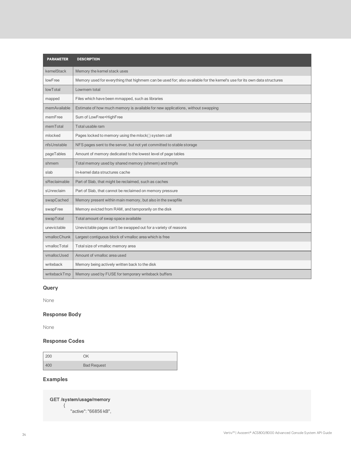| <b>PARAMETER</b> | <b>DESCRIPTION</b>                                                                                                       |
|------------------|--------------------------------------------------------------------------------------------------------------------------|
| kernelStack      | Memory the kernel stack uses                                                                                             |
| <b>lowFree</b>   | Memory used for everything that highmem can be used for; also available for the kernel's use for its own data structures |
| lowTotal         | Lowmem total                                                                                                             |
| mapped           | Files which have been mmapped, such as libraries                                                                         |
| memAvailable     | Estimate of how much memory is available for new applications, without swapping                                          |
| memFree          | Sum of LowFree+HighFree                                                                                                  |
| memTotal         | Total usable ram                                                                                                         |
| mlocked          | Pages locked to memory using the mlock() system call                                                                     |
| nfsUnstable      | NFS pages sent to the server, but not yet committed to stable storage                                                    |
| pageTables       | Amount of memory dedicated to the lowest level of page tables                                                            |
| shmem            | Total memory used by shared memory (shmem) and tmpfs                                                                     |
| slab             | In-kernel data structures cache                                                                                          |
| sReclaimable     | Part of Slab, that might be reclaimed, such as caches                                                                    |
| sUnreclaim       | Part of Slab, that cannot be reclaimed on memory pressure                                                                |
| swapCached       | Memory present within main memory, but also in the swapfile                                                              |
| swapFree         | Memory evicted from RAM, and temporarily on the disk                                                                     |
| swapTotal        | Total amount of swap space available                                                                                     |
| unevictable      | Unevictable pages can't be swapped out for a variety of reasons                                                          |
| vmallocChunk     | Largest contiguous block of vmalloc area which is free                                                                   |
| vmallocTotal     | Total size of vmalloc memory area                                                                                        |
| vmallocUsed      | Amount of ymalloc area used                                                                                              |
| writeback        | Memory being actively written back to the disk                                                                           |
| writebackTmp     | Memory used by FUSE for temporary writeback buffers                                                                      |

# **Query**

None

## **Response Body**

None

# **Response Codes**

{

| 200 | OК                 |
|-----|--------------------|
| 400 | <b>Bad Request</b> |

## **Examples**

# GET /system/usage/memory

"active": "66856 kB",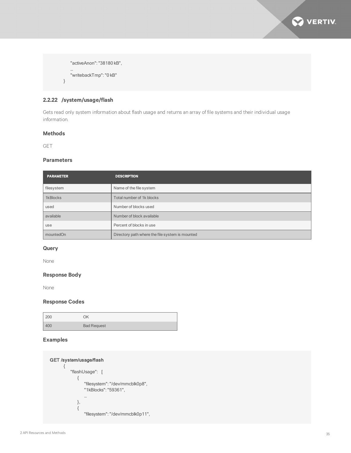

```
"activeAnon": "38180 kB",
   …
   "writebackTmp": "0 kB"
}
```
## **2.2.22 /system/usage/flash**

Gets read only system information about flash usage and returns an array of file systems and their individual usage information.

### **Methods**

GET

## **Parameters**

| <b>PARAMETER</b> | <b>DESCRIPTION</b>                              |
|------------------|-------------------------------------------------|
| filesystem       | Name of the file system                         |
| 1kBlocks         | Total number of 1k blocks                       |
| used             | Number of blocks used                           |
| available        | Number of block available                       |
| use              | Percent of blocks in use                        |
| mountedOn        | Directory path where the file system is mounted |

## **Query**

None

### **Response Body**

None

## **Response Codes**

| 200 | ОK                 |
|-----|--------------------|
| 400 | <b>Bad Request</b> |

```
GET /system/usage/flash
     {
         "flashUsage": [
           {
```

```
"filesystem": "/dev/mmcblk0p8",
   "1kBlocks": "59361",
    …
},
{
   "filesystem": "/dev/mmcblk0p11",
```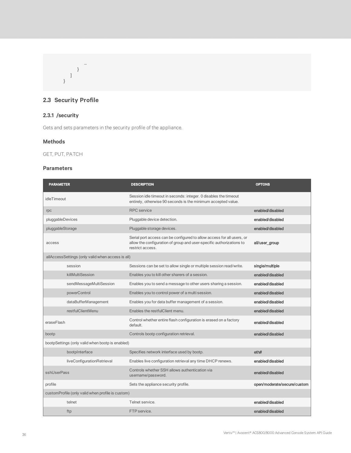

# **2.3 Security Profile**

# **2.3.1 /security**

Gets and sets parameters in the security profile of the appliance.

## **Methods**

GET, PUT, PATCH

## **Parameters**

| <b>PARAMETER</b> |                                                   | <b>DESCRIPTION</b>                                                                                                                                                 | <b>OPTONS</b>               |
|------------------|---------------------------------------------------|--------------------------------------------------------------------------------------------------------------------------------------------------------------------|-----------------------------|
| idleTimeout      |                                                   | Session idle timeout in seconds: integer. 0 disables the timeout<br>entirely, otherwise 90 seconds is the minimum accepted value.                                  |                             |
| rpc              |                                                   | <b>RPC</b> service                                                                                                                                                 | enabled/disabled            |
| pluggableDevices |                                                   | Pluggable device detection.                                                                                                                                        | enabled/disabled            |
| pluggableStorage |                                                   | Pluggable storage devices.                                                                                                                                         | enabled/disabled            |
| access           |                                                   | Serial port access can be configured to allow access for all users, or<br>allow the configuration of group and user-specific authorizations to<br>restrict access. | all/user_group              |
|                  | allAccessSettings (only valid when access is all) |                                                                                                                                                                    |                             |
|                  | session                                           | Sessions can be set to allow single or multiple session read/write.                                                                                                | single/multiple             |
|                  | killMultiSession                                  | Enables you to kill other sharers of a session.                                                                                                                    | enabled/disabled            |
|                  | sendMessageMultiSession                           | Enables you to send a message to other users sharing a session.                                                                                                    | enabled/disabled            |
|                  | powerControl                                      | Enables you to control power of a multi session.                                                                                                                   | enabled/disabled            |
|                  | dataBufferManagement                              | Enables you for data buffer management of a session.                                                                                                               | enabled/disabled            |
|                  | restfulClientMenu                                 | Enables the restfulClient menu.                                                                                                                                    | enabled/disabled            |
| eraseFlash       |                                                   | Control whether entire flash configuration is erased on a factory<br>default.                                                                                      | enabled/disabled            |
| bootp            |                                                   | Controls bootp configuration retrieval.                                                                                                                            | enabled/disabled            |
|                  | bootpSettings (only valid when bootp is enabled)  |                                                                                                                                                                    |                             |
|                  | bootpInterface                                    | Specifies network interface used by bootp.                                                                                                                         | eth#                        |
|                  | liveConfigurationRetrieval                        | Enables live configuration retrieval any time DHCP renews.                                                                                                         | enabled/disabled            |
| sshUserPass      |                                                   | Controls whether SSH allows authentication via<br>username/password.                                                                                               | enabled/disabled            |
| profile          |                                                   | Sets the appliance security profile.                                                                                                                               | open/moderate/secure/custom |
|                  | customProfile (only valid when profile is custom) |                                                                                                                                                                    |                             |
|                  | telnet                                            | Telnet service.                                                                                                                                                    | enabled/disabled            |
|                  | ftp                                               | FTP service.                                                                                                                                                       | enabled/disabled            |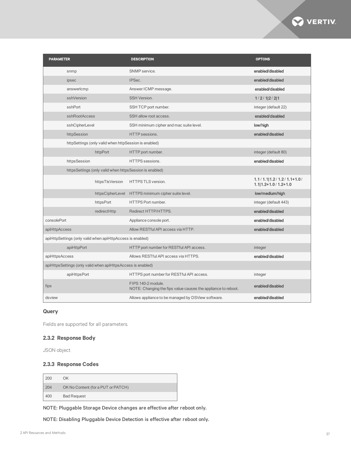

| <b>PARAMETER</b> |                |                                                              | <b>DESCRIPTION</b>                                                                  | <b>OPTONS</b>                                                    |
|------------------|----------------|--------------------------------------------------------------|-------------------------------------------------------------------------------------|------------------------------------------------------------------|
|                  | snmp           |                                                              | SNMP service.                                                                       | enabled/disabled                                                 |
|                  | ipsec          |                                                              | IPSec.                                                                              | enabled/disabled                                                 |
|                  | answerlcmp     |                                                              | Answer ICMP message.                                                                | enabled/disabled                                                 |
|                  | sshVersion     |                                                              | <b>SSH Version.</b>                                                                 | 1/2/1 2/2 1                                                      |
|                  | sshPort        |                                                              | SSH TCP port number.                                                                | integer (default 22)                                             |
|                  | sshRootAccess  |                                                              | SSH allow root access.                                                              | enabled/disabled                                                 |
|                  | sshCipherLevel |                                                              | SSH minimum cipher and mac suite level.                                             | low/high                                                         |
|                  | httpSession    |                                                              | HTTP sessions.                                                                      | enabled/disabled                                                 |
|                  |                | httpSettings (only valid when httpSession is enabled)        |                                                                                     |                                                                  |
|                  |                | httpPort                                                     | HTTP port number.                                                                   | integer (default 80)                                             |
|                  | httpsSession   |                                                              | HTTPS sessions.                                                                     | enabled/disabled                                                 |
|                  |                |                                                              | httpsSettings (only valid when httpsSession is enabled)                             |                                                                  |
|                  |                | httpsTlsVersion                                              | HTTPS TLS version.                                                                  | $1.1/1.1$   1.2 / 1.2 / 1.1 + 1.0 /<br>$1.1$   1.2+1.0 / 1.2+1.0 |
|                  |                |                                                              | httpsCipherLevel HTTPS minimum cipher suite level.                                  | low/medium/high                                                  |
|                  |                | httpsPort                                                    | HTTPS Port number.                                                                  | integer (default 443)                                            |
|                  |                | redirectHttp                                                 | Redirect HTTP/HTTPS.                                                                | enabled/disabled                                                 |
| consolePort      |                |                                                              | Appliance console port.                                                             | enabled/disabled                                                 |
| apiHttpAccess    |                |                                                              | Allow RESTful API access via HTTP.                                                  | enabled/disabled                                                 |
|                  |                | apiHttpSettings (only valid when apiHttpAccess is enabled)   |                                                                                     |                                                                  |
|                  | apiHttpPort    |                                                              | HTTP port number for RESTful API access.                                            | integer                                                          |
| apiHttpsAccess   |                |                                                              | Allows RESTful API access via HTTPS.                                                | enabled/disabled                                                 |
|                  |                | apiHttpsSettings (only valid when apiHttpsAccess is enabled) |                                                                                     |                                                                  |
|                  | apiHttpsPort   |                                                              | HTTPS port number for RESTful API access.                                           | integer                                                          |
| fips             |                |                                                              | FIPS 140-2 module.<br>NOTE: Changing the fips value causes the appliance to reboot. | enabled/disabled                                                 |
| dsview           |                |                                                              | Allows appliance to be managed by DSView software.                                  | enabled/disabled                                                 |

## **Query**

Fields are supported for all parameters.

## **2.3.2 Response Body**

JSON object

## **2.3.3 Response Codes**

| 200 | ΟK                                 |
|-----|------------------------------------|
| 204 | OK No Content (for a PUT or PATCH) |
| 400 | <b>Bad Request</b>                 |

NOTE: Pluggable Storage Device changes are effective after reboot only.

NOTE: Disabling Pluggable Device Detection is effective after reboot only.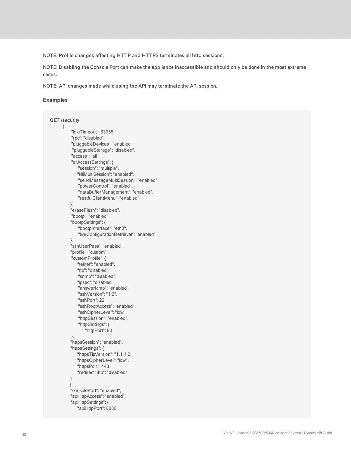NOTE: Profile changes affecting HTTP and HTTPS terminates all http sessions.

NOTE: Disabling the Console Port can make the appliance inaccessible and should only be done in the most extreme cases.

NOTE: API changes made while using the API may terminate the API session.

```
GET /security
      {
           "idleTimeout": 63955,
          "rpc": "disabled",
           "pluggableDevices": "enabled",
           "pluggableStorage": "disabled",
          "access": "all",
          "allAccessSettings": {
              "session": "multiple",
             "killMultiSession": "enabled",
              "sendMessageMultiSession": "enabled",
              "powerControl": "enabled",
              "dataBufferManagement": "enabled",
              "restfulClientMenu": "enabled"
          },
          "eraseFlash": "disabled",
          "bootp": "enabled",
          "bootpSettings": {
              "bootpInterface": "eth0",
              "liveConfigurationRetrieval": "enabled"
          },
          "sshUserPass": "enabled",
          "profile": "custom",
          "customProfile": {
             "telnet": "enabled",
             "ftp": "disabled",
             "snmp": "disabled",
             "ipsec": "disabled",
             "answerIcmp": "enabled",
             "sshVersion": "1|2",
             "sshPort": 22,
             "sshRootAccess": "enabled",
             "sshCipherLevel": "low",
              "httpSession": "enabled",
              "httpSettings": {
                 "httpPort": 80
          },
          "httpsSession": "enabled",
          "httpsSettings": {
             "httpsTlsVersion": "1.1|1.2,
             "httpsCipherLevel": "low",
             "httpsPort": 443,
             "redirectHttp": "disabled"
          }
         },
          "consolePort": "enabled",
          "apiHttpAccess": "enabled",
          "apiHttpSettings": {
             "apiHttpPort": 8080
```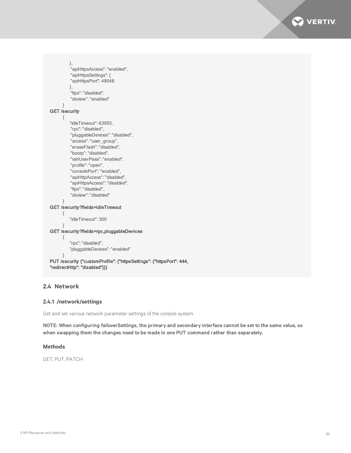

```
},
          "apiHttpsAccess": "enabled",
          "apiHttpsSettings": {
          "apiHttpsPort": 48048
         },
          "fips": "disabled",
          "dsview": "enabled"
       }
GET /security
      {
         "idleTimeout": 63955,
          "rpc": "disabled",
          "pluggableDevices": "disabled",
          "access": "user_group",
          "eraseFlash": "disabled",
          "bootp": "disabled",
          "sshUserPass": "enabled",
          "profile": "open",
          "consolePort": "enabled",
          "apiHttpAccess": "disabled",
          "apiHttpsAccess": "disabled",
          "fips": "disabled",
          "dsview": "disabled"
      }
GET /security?fields=idleTimeout
      { 
         "idleTimeout": 300
      }
GET /security?fields=rpc,pluggableDevices
      { 
         "rpc": "disabled",
         "pluggableDevices": "enabled"
       }
PUT /security {"customProfile": {"httpsSettings": {"httpsPort": 444,
"redirectHttp": "disabled"}}}
```
## **2.4 Network**

### **2.4.1 /network/settings**

Get and set various network parameter settings of the console system.

NOTE: When configuring failoverSettings, the primary and secondary interface cannot be set to the same value, so when swapping them the changes need to be made in one PUT command rather than separately.

### **Methods**

GET, PUT, PATCH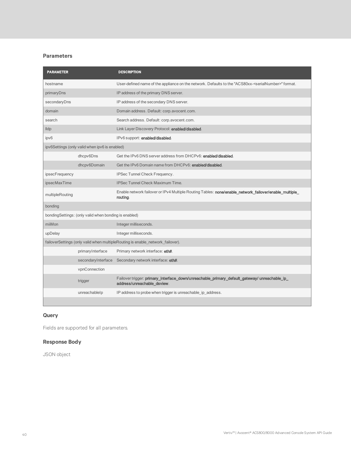#### **Parameters**

| <b>PARAMETER</b> |                                                       | <b>DESCRIPTION</b>                                                                                                          |
|------------------|-------------------------------------------------------|-----------------------------------------------------------------------------------------------------------------------------|
| hostname         |                                                       | User-defined name of the appliance on the network. Defaults to the "ACS80xx- <serialnumber>" format.</serialnumber>         |
| primaryDns       |                                                       | IP address of the primary DNS server.                                                                                       |
| secondaryDns     |                                                       | IP address of the secondary DNS server.                                                                                     |
| domain           |                                                       | Domain address. Default: corp.avocent.com.                                                                                  |
| search           |                                                       | Search address. Default: corp.avocent.com.                                                                                  |
| <b>Ildp</b>      |                                                       | Link Layer Discovery Protocol: enabled/disabled.                                                                            |
| ipv6             |                                                       | IPv6 support: enabled/disabled.                                                                                             |
|                  | ipv6Settings (only valid when ipv6 is enabled)        |                                                                                                                             |
|                  | dhcpv6Dns                                             | Get the IPv6 DNS server address from DHCPv6: enabled/disabled.                                                              |
|                  | dhcpv6Domain                                          | Get the IPv6 Domain name from DHCPv6: enabled/disabled.                                                                     |
| ipsecFrequency   |                                                       | IPSec Tunnel Check Frequency.                                                                                               |
| ipsecMaxTime     |                                                       | <b>IPSec Tunnel Check Maximum Time.</b>                                                                                     |
| multipleRouting  |                                                       | Enable network failover or IPv4 Multiple Routing Tables: none/enable_network_failover/enable_multiple_<br>routing.          |
| bonding          |                                                       |                                                                                                                             |
|                  | bondingSettings: (only valid when bonding is enabled) |                                                                                                                             |
| miiMon           |                                                       | Integer milliseconds.                                                                                                       |
| upDelay          |                                                       | Integer milliseconds.                                                                                                       |
|                  |                                                       | failoverSettings (only valid when multipleRouting is enable_network_failover).                                              |
|                  | primaryInterface                                      | Primary network interface: eth#.                                                                                            |
|                  | secondaryInterface                                    | Secondary network interface: eth#.                                                                                          |
|                  | vpnConnection                                         |                                                                                                                             |
|                  | trigger                                               | Failover trigger: primary_interface_down/unreachable_primary_default_gateway/unreachable_ip_<br>address/unreachable_dsview. |
|                  | unreachablelp                                         | IP address to probe when trigger is unreachable ip address.                                                                 |
|                  |                                                       |                                                                                                                             |

# **Query**

Fields are supported for all parameters.

# **Response Body**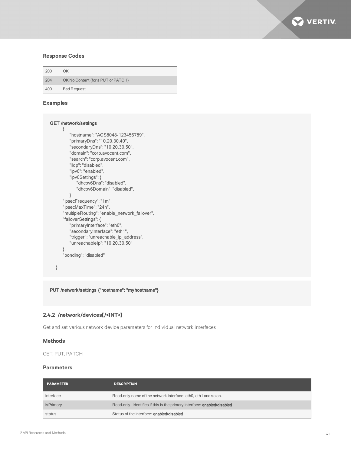

| 200 | OK                                 |
|-----|------------------------------------|
| 204 | OK No Content (for a PUT or PATCH) |
| 400 | <b>Bad Request</b>                 |

## **Examples**

```
GET /network/settings
     {
         "hostname": "ACS8048-123456789",
         "primaryDns": "10.20.30.40",
         "secondaryDns": "10.20.30.50",
         "domain": "corp.avocent.com",
         "search": "corp.avocent.com",
         "lldp": "disabled",
         "ipv6": "enabled",
         "ipv6Settings": {
            "dhcpv6Dns": "disabled",
            "dhcpv6Domain": "disabled",
         }
      "ipsecFrequency": "1m",
      "ipsecMaxTime": "24h",
      "multipleRouting": "enable_network_failover",
      "failoverSettings": {
         "primaryInterface": "eth0",
         "secondaryInterface": "eth1",
         "trigger": "unreachable_ip_address",
         "unreachableIp": "10.20.30.50"
      },
      "bonding": "disabled"
  }
```
PUT /network/settings {"hostname": "myhostname"}

## **2.4.2 /network/devices[/<INT>]**

Get and set various network device parameters for individual network interfaces.

#### **Methods**

GET, PUT, PATCH

## **Parameters**

| <b>PARAMETER</b> | <b>DESCRIPTION</b>                                                       |
|------------------|--------------------------------------------------------------------------|
| interface        | Read-only name of the network interface: eth0, eth1 and so on.           |
| isPrimary        | Read-only. Identifies if this is the primary interface: enabled/disabled |
| status           | Status of the interface: enabled/disabled                                |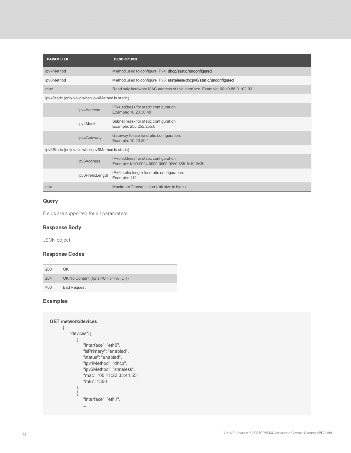| <b>PARAMETER</b> |                                                   | <b>DESCRIPTION</b>                                                                         |
|------------------|---------------------------------------------------|--------------------------------------------------------------------------------------------|
| ipv4Method       |                                                   | Method used to configure IPv4: dhcp/static/unconfigured                                    |
| ipv6Method       |                                                   | Method used to configure IPv6: stateless/dhcpv6/static/unconfigured                        |
| mac              |                                                   | Read only hardware MAC address of this interface. Example: 00:e0:86:01:02:03               |
|                  | ipv4Static (only valid when ipv4Method is static) |                                                                                            |
|                  | ipv4Address                                       | IPv4 address for static configuration.<br>Example: 10.20.30.40                             |
|                  | ipv4Mask                                          | Subnet mask for static configuration.<br>Example: 255.255.255.0                            |
|                  | ipv4Gateway                                       | Gateway to use for static configuration.<br>Example: 10.20.30.1                            |
|                  | ipv6Static (only valid when ipv6Method is static) |                                                                                            |
|                  | ipv6Address                                       | IPv6 address for static configuration.<br>Example: fd00:0024:0000:0000:02e0:86ff:fe10:2c3b |
|                  | ipv6PrefixLength                                  | IPv6 prefix length for static configuration.<br>Example: 112                               |
| mtu              |                                                   | Maximum Transmission Unit size in bytes.                                                   |

## **Query**

Fields are supported for all parameters.

## **Response Body**

JSON object

## **Response Codes**

| 200 | OK                                 |
|-----|------------------------------------|
| 204 | OK No Content (for a PUT or PATCH) |
| 400 | <b>Bad Request</b>                 |

```
GET /network/devices
      {
         "devices": [
            {
               "interface": "eth0",
               "isPrimary": "enabled",
                "status": "enabled",
                "ipv4Method": "dhcp",
                "ipv6Method": "stateless",
                "mac": "00:11:22:33:44:55",
                "mtu": 1500
            },
            {
                "interface": "eth1",
                …
```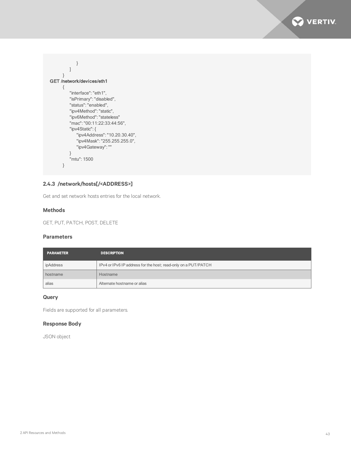



## **2.4.3 /network/hosts[/<ADDRESS>]**

Get and set network hosts entries for the local network.

#### **Methods**

GET, PUT, PATCH, POST, DELETE

### **Parameters**

| <b>PARAMETER</b> | <b>DESCRIPTION</b>                                             |
|------------------|----------------------------------------------------------------|
| ipAddress        | IPv4 or IPv6 IP address for the host; read-only on a PUT/PATCH |
| hostname         | Hostname                                                       |
| alias            | Alternate hostname or alias                                    |

#### **Query**

Fields are supported for all parameters.

## **Response Body**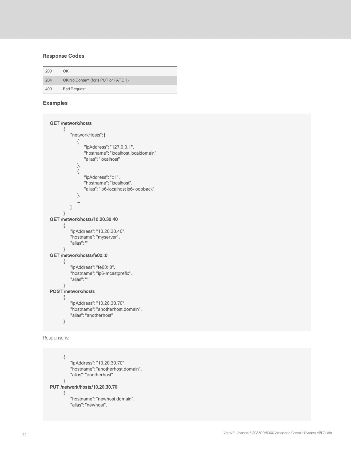| 200 | ΟK                                 |
|-----|------------------------------------|
| 204 | OK No Content (for a PUT or PATCH) |
| 400 | <b>Bad Request</b>                 |

## **Examples**

```
GET /network/hosts
```

```
{
          "networkHosts": [
             {
                 "ipAddress": "127.0.0.1",
                 "hostname": "localhost.localdomain",
                 "alias": "localhost"
             },
             {
                 "ipAddress": "::1",
                 "hostname": "localhost",
                 "alias": "ip6-localhost ip6-loopback"
             },
              …
          ]
      }
GET /network/hosts/10.20.30.40
       {
          "ipAddress": "10.20.30.40",
          "hostname": "myserver",
          "alias": ""
      }
GET /network/hosts/fe00::0
       {
          "ipAddress": "fe00::0",
          "hostname": "ip6-mcastprefix",
          "alias": ""
      }
POST /network/hosts
      {
          "ipAddress": "10.20.30.70",
          "hostname": "anotherhost.domain",
          "alias": "anotherhost"
      }
```
Response is:

```
{
          "ipAddress": "10.20.30.70",
          "hostname": "anotherhost.domain",
          "alias": "anotherhost"
      }
PUT /network/hosts/10.20.30.70
      {
          "hostname": "newhost.domain",
```
"alias": "newhost",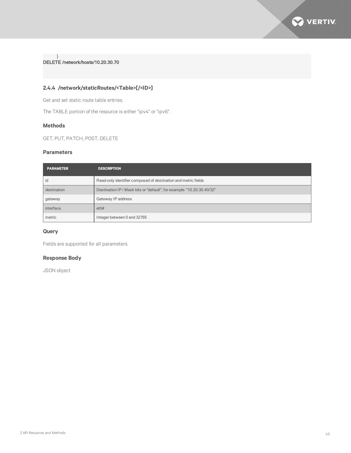

## } DELETE /network/hosts/10.20.30.70

## **2.4.4 /network/staticRoutes/<Table>[/<ID>]**

Get and set static route table entries.

The TABLE portion of the resource is either "ipv4" or "ipv6".

## **Methods**

GET, PUT, PATCH, POST, DELETE

#### **Parameters**

| <b>PARAMETER</b> | <b>DESCRIPTION</b>                                                     |
|------------------|------------------------------------------------------------------------|
| id               | Read-only identifier composed of destination and metric fields         |
| destination      | Destination IP / Mask bits or "default", for example: "10.20.30.40/32" |
| gateway          | Gateway IP address                                                     |
| interface        | eth#                                                                   |
| metric           | Integer between 0 and 32765                                            |

## **Query**

Fields are supported for all parameters.

## **Response Body**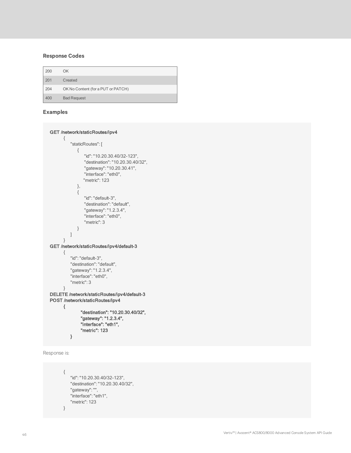| 200 | OK                                 |
|-----|------------------------------------|
| 201 | Created                            |
| 204 | OK No Content (for a PUT or PATCH) |
| 400 | <b>Bad Request</b>                 |

## **Examples**

```
GET /network/staticRoutes/ipv4
      {
          "staticRoutes": [
             {
                 "id": "10.20.30.40/32-123",
                 "destination": "10.20.30.40/32",
                 "gateway": "10.20.30.41",
                 "interface": "eth0",
                 "metric": 123
             },
              {
                 "id": "default-3",
                 "destination": "default",
                 "gateway": "1.2.3.4",
                 "interface": "eth0",
                 "metric": 3
             }
          \overline{1}}
GET /network/staticRoutes/ipv4/default-3
      {
          "id": "default-3",
          "destination": "default",
          "gateway": "1.2.3.4",
          "interface": "eth0",
          "metric": 3
      }
DELETE /network/staticRoutes/ipv4/default-3
POST /network/staticRoutes/ipv4
      {
               "destination": "10.20.30.40/32",
               "gateway": "1.2.3.4",
               "interface": "eth1",
               "metric": 123
          }
```
Response is:

{ "id": "10.20.30.40/32-123", "destination": "10.20.30.40/32", "gateway": "", "interface": "eth1", "metric": 123 }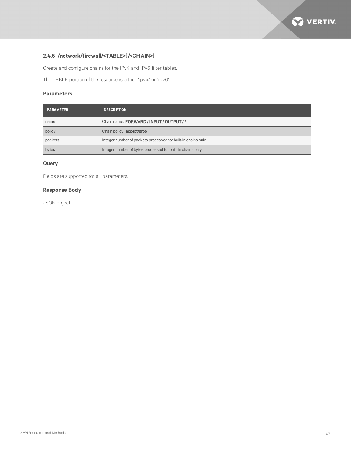

## **2.4.5 /network/firewall/<TABLE>[/<CHAIN>]**

Create and configure chains for the IPv4 and IPv6 filter tables.

The TABLE portion of the resource is either "ipv4" or "ipv6".

### **Parameters**

| <b>PARAMETER</b> | <b>DESCRIPTION</b>                                           |
|------------------|--------------------------------------------------------------|
| name             | Chain name. FORWARD / INPUT / OUTPUT /*                      |
| policy           | Chain policy: accept/drop                                    |
| packets          | Integer number of packets processed for built-in chains only |
| bytes            | Integer number of bytes processed for built-in chains only   |

## **Query**

Fields are supported for all parameters.

## **Response Body**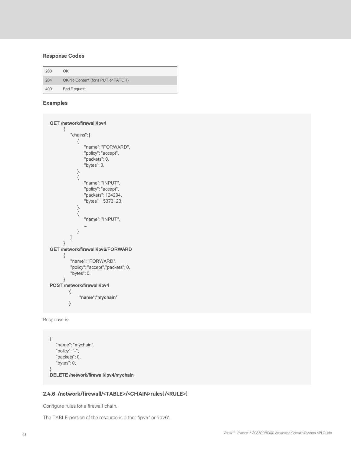| 200 | ОK                                 |
|-----|------------------------------------|
| 204 | OK No Content (for a PUT or PATCH) |
| 400 | <b>Bad Request</b>                 |

## **Examples**

```
GET /network/firewall/ipv4
      {
         "chains": [
             {
                "name": "FORWARD",
                "policy": "accept",
                "packets": 0,
                "bytes": 0,
             },
             {
                "name": "INPUT",
                "policy": "accept",
                "packets": 124294,
                "bytes": 15373123,
             },
             {
                "name": "INPUT",
                 …
             }
         \mathbf{I}}
GET /network/firewall/ipv6/FORWARD
      {
         "name": "FORWARD",
          "policy": "accept","packets": 0,
         "bytes": 0,
      }
POST /network/firewall/ipv4
         {
              "name":"mychain"
         }
```
Response is:

```
{ 
   "name": "mychain",
  "policy": "-",
   "packets": 0,
   "bytes": 0,
}
DELETE /network/firewall/ipv4/mychain
```
## **2.4.6 /network/firewall/<TABLE>/<CHAIN>rules[/<RULE>]**

Configure rules for a firewall chain.

The TABLE portion of the resource is either "ipv4" or "ipv6".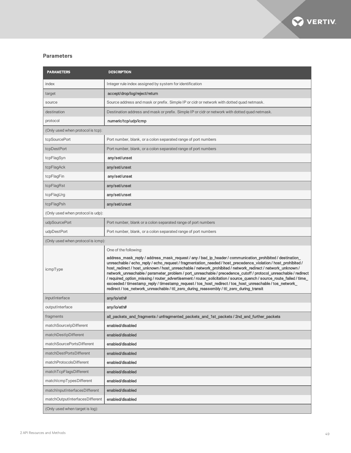

#### **Parameters**

| <b>PARAMETERS</b>                  | <b>DESCRIPTION</b>                                                                                                                                                                                                                                                                                                                                                                                                                                                                                                                                                                                                                                                                                          |
|------------------------------------|-------------------------------------------------------------------------------------------------------------------------------------------------------------------------------------------------------------------------------------------------------------------------------------------------------------------------------------------------------------------------------------------------------------------------------------------------------------------------------------------------------------------------------------------------------------------------------------------------------------------------------------------------------------------------------------------------------------|
| index                              | Integer rule index assigned by system for identification                                                                                                                                                                                                                                                                                                                                                                                                                                                                                                                                                                                                                                                    |
| target                             | accept/drop/log/reject/return                                                                                                                                                                                                                                                                                                                                                                                                                                                                                                                                                                                                                                                                               |
| source                             | Source address and mask or prefix. Simple IP or cidr or network with dotted quad netmask.                                                                                                                                                                                                                                                                                                                                                                                                                                                                                                                                                                                                                   |
| destination                        | Destination address and mask or prefix. Simple IP or cidr or network with dotted quad netmask.                                                                                                                                                                                                                                                                                                                                                                                                                                                                                                                                                                                                              |
| protocol                           | numeric/tcp/udp/icmp                                                                                                                                                                                                                                                                                                                                                                                                                                                                                                                                                                                                                                                                                        |
| (Only used when protocol is tcp):  |                                                                                                                                                                                                                                                                                                                                                                                                                                                                                                                                                                                                                                                                                                             |
| tcpSourcePort                      | Port number, blank, or a colon separated range of port numbers                                                                                                                                                                                                                                                                                                                                                                                                                                                                                                                                                                                                                                              |
| tcpDestPort                        | Port number, blank, or a colon separated range of port numbers                                                                                                                                                                                                                                                                                                                                                                                                                                                                                                                                                                                                                                              |
| tcpFlagSyn                         | any/set/unset                                                                                                                                                                                                                                                                                                                                                                                                                                                                                                                                                                                                                                                                                               |
| tcpFlagAck                         | any/set/unset                                                                                                                                                                                                                                                                                                                                                                                                                                                                                                                                                                                                                                                                                               |
| tcpFlagFin                         | any/set/unset                                                                                                                                                                                                                                                                                                                                                                                                                                                                                                                                                                                                                                                                                               |
| tcpFlagRst                         | any/set/unset                                                                                                                                                                                                                                                                                                                                                                                                                                                                                                                                                                                                                                                                                               |
| tcpFlagUrg                         | any/set/unset                                                                                                                                                                                                                                                                                                                                                                                                                                                                                                                                                                                                                                                                                               |
| tcpFlagPsh                         | any/set/unset                                                                                                                                                                                                                                                                                                                                                                                                                                                                                                                                                                                                                                                                                               |
| (Only used when protocol is udp):  |                                                                                                                                                                                                                                                                                                                                                                                                                                                                                                                                                                                                                                                                                                             |
| udpSourcePort                      | Port number, blank or a colon separated range of port numbers                                                                                                                                                                                                                                                                                                                                                                                                                                                                                                                                                                                                                                               |
| udpDestPort                        | Port number, blank, or a colon separated range of port numbers                                                                                                                                                                                                                                                                                                                                                                                                                                                                                                                                                                                                                                              |
| (Only used when protocol is icmp): |                                                                                                                                                                                                                                                                                                                                                                                                                                                                                                                                                                                                                                                                                                             |
| icmpType                           | One of the following:<br>address_mask_reply / address_mask_request / any / bad_ip_header / communication_prohibited / destination_<br>unreachable / echo_reply / echo_request / fragmentation_needed / host_precedence_violation / host_prohibited /<br>host_redirect / host_unknown / host_unreachable / network_prohibited / network_redirect / network_unknown /<br>network_unreachable/parameter_problem/port_unreachable/precedence_cutoff/protocol_unreachable/redirect<br>/ required_option_missing/ router_advertisement/ router_solicitation/ source_quench/ source_route_failed/time_<br>exceeded / timestamp_reply / timestamp_request / tos_host_redirect / tos_host_unreachable / tos_network_ |
|                                    | redirect / tos_network_unreachable / ttl_zero_during_reassembly / ttl_zero_during_transit                                                                                                                                                                                                                                                                                                                                                                                                                                                                                                                                                                                                                   |
| inputInterface                     | any/lo/eth#                                                                                                                                                                                                                                                                                                                                                                                                                                                                                                                                                                                                                                                                                                 |
| outputInterface                    | any/lo/eth#                                                                                                                                                                                                                                                                                                                                                                                                                                                                                                                                                                                                                                                                                                 |
| fragments                          | all_packets_and_fragments / unfragmented_packets_and_1st_packets / 2nd_and_further_packets                                                                                                                                                                                                                                                                                                                                                                                                                                                                                                                                                                                                                  |
| matchSourceIpDifferent             | enabled/disabled                                                                                                                                                                                                                                                                                                                                                                                                                                                                                                                                                                                                                                                                                            |
| matchDestIpDifferent               | enabled/disabled                                                                                                                                                                                                                                                                                                                                                                                                                                                                                                                                                                                                                                                                                            |
| matchSourcePortsDifferent          | enabled/disabled                                                                                                                                                                                                                                                                                                                                                                                                                                                                                                                                                                                                                                                                                            |
| matchDestPortsDifferent            | enabled/disabled                                                                                                                                                                                                                                                                                                                                                                                                                                                                                                                                                                                                                                                                                            |
| matchProtocolsDifferent            | enabled/disabled                                                                                                                                                                                                                                                                                                                                                                                                                                                                                                                                                                                                                                                                                            |
| matchTcpFlagsDifferent             | enabled/disabled                                                                                                                                                                                                                                                                                                                                                                                                                                                                                                                                                                                                                                                                                            |
| matchlcmpTypesDifferent            | enabled/disabled                                                                                                                                                                                                                                                                                                                                                                                                                                                                                                                                                                                                                                                                                            |
| matchInputInterfacesDifferent      | enabled/disabled                                                                                                                                                                                                                                                                                                                                                                                                                                                                                                                                                                                                                                                                                            |
| matchOutputInterfacesDifferent     | enabled/disabled                                                                                                                                                                                                                                                                                                                                                                                                                                                                                                                                                                                                                                                                                            |
| (Only used when target is log):    |                                                                                                                                                                                                                                                                                                                                                                                                                                                                                                                                                                                                                                                                                                             |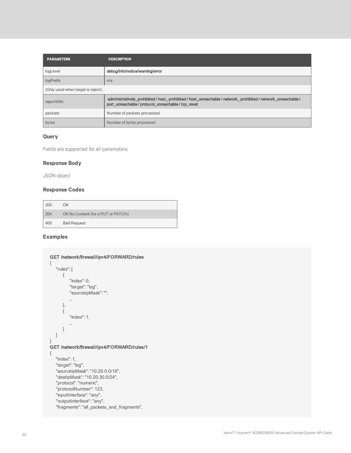| <b>PARAMETERS</b>                  | <b>DESCRIPTION</b>                                                                                                                                                   |
|------------------------------------|----------------------------------------------------------------------------------------------------------------------------------------------------------------------|
| logLevel                           | debug/info/notice/warning/error                                                                                                                                      |
| logPrefix                          | n/a                                                                                                                                                                  |
| (Only used when target is reject): |                                                                                                                                                                      |
| rejectWith                         | administratively_prohibited / host_prohibited / host_unreachable / network_prohibited / network_unreachable /<br>port_unreachable / protocol_unreachable / tcp_reset |
| packets                            | Number of packets processed                                                                                                                                          |
| bytes                              | Number of bytes processed                                                                                                                                            |

### **Query**

Fields are supported for all parameters.

## **Response Body**

JSON object

## **Response Codes**

| 200 | OK                                 |
|-----|------------------------------------|
| 204 | OK No Content (for a PUT or PATCH) |
| 400 | <b>Bad Request</b>                 |

```
GET /network/firewall/ipv4/FORWARD/rules
{ 
   "rules": [
      {
         "index": 0,
          "target": "log",
          "sourceIpMask": "",
          …
      },
      {
          "index": 1,
          …
      }
   \mathbf{I}}
GET /network/firewall/ipv4/FORWARD/rules/1
{ 
   "index": 1,
   "target": "log",
   "sourceIpMask": "10.20.0.0/16",
   "destIpMask": "10.20.30.0/24",
   "protocol": "numeric",
   "protocolNumber": 123,
   "inputInterface": "any",
   "outputInterface": "any",
   "fragments": "all_packets_and_fragments",
```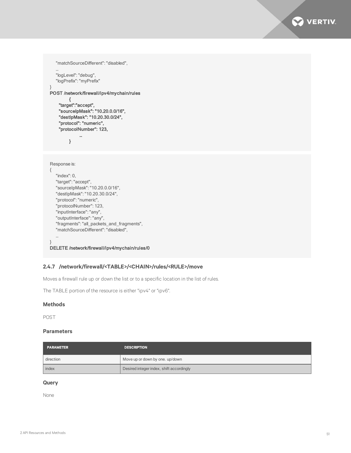

```
"matchSourceDifferent": "disabled",
   …
   "logLevel": "debug",
   "logPrefix": "myPrefix"
}
POST /network/firewall/ipv4/mychain/rules
         {
    "target":"accept",
    "sourceIpMask": "10.20.0.0/16",
    "destIpMask": "10.20.30.0/24",
    "protocol": "numeric",
    "protocolNumber": 123,
               …
         }
Response is:
{ 
  "index": 0,
  "target": "accept",
  "sourceIpMask": "10.20.0.0/16",
  "destIpMask": "10.20.30.0/24",
  "protocol": "numeric",
  "protocolNumber": 123,
  "inputInterface": "any",
  "outputInterface": "any",
  "fragments": "all_packets_and_fragments",
  "matchSourceDifferent": "disabled",
   …
}
DELETE /network/firewall/ipv4/mychain/rules/0
```
## **2.4.7 /network/firewall/<TABLE>/<CHAIN>/rules/<RULE>/move**

Moves a firewall rule up or down the list or to a specific location in the list of rules.

The TABLE portion of the resource is either "ipv4" or "ipv6".

#### **Methods**

POST

## **Parameters**

| <b>PARAMETER</b> | <b>DESCRIPTION</b>                       |
|------------------|------------------------------------------|
| direction        | Move up or down by one. up/down          |
| index            | Desired integer index, shift accordingly |

#### **Query**

None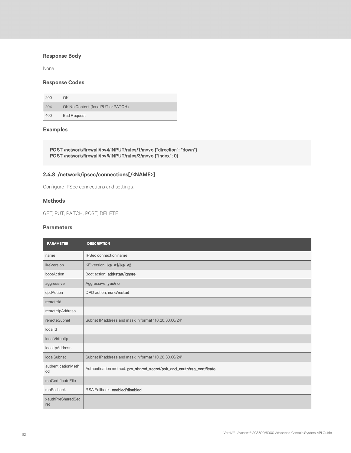## **Response Body**

None

## **Response Codes**

| 200 | OK.                                |
|-----|------------------------------------|
| 204 | OK No Content (for a PUT or PATCH) |
| 400 | <b>Bad Request</b>                 |

## **Examples**

POST /network/firewall/ipv4/INPUT/rules/1/move {"direction": "down"} POST /network/firewall/ipv6/INPUT/rules/3/move {"index": 0}

## **2.4.8 /network/ipsec/connections[/<NAME>]**

Configure IPSec connections and settings.

#### **Methods**

GET, PUT, PATCH, POST, DELETE

### **Parameters**

| <b>PARAMETER</b>         | <b>DESCRIPTION</b>                                                     |
|--------------------------|------------------------------------------------------------------------|
| name                     | IPSec connection name                                                  |
| ikeVersion               | KE version. ike_v1/ike_v2                                              |
| bootAction               | Boot action; add/start/ignore                                          |
| aggressive               | Aggressive; yes/no                                                     |
| dpdAction                | DPD action; none/restart                                               |
| remoteld                 |                                                                        |
| remotelpAddress          |                                                                        |
| remoteSubnet             | Subnet IP address and mask in format "10.20.30.00/24"                  |
| localld                  |                                                                        |
| localVirtualIp           |                                                                        |
| locallpAddress           |                                                                        |
| localSubnet              | Subnet IP address and mask in format "10.20.30.00/24"                  |
| authenticationMeth<br>od | Authentication method. pre_shared_secret/psk_and_xauth/rsa_certificate |
| rsaCertificateFile       |                                                                        |
| rsaFallback              | RSA Fallback. enabled/disabled                                         |
| xauthPreSharedSec<br>ret |                                                                        |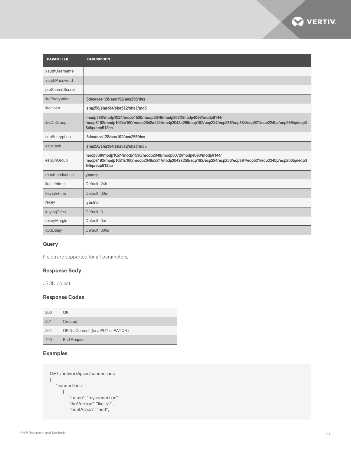

| <b>PARAMETER</b> | <b>DESCRIPTION</b>                                                                                                                                                                           |
|------------------|----------------------------------------------------------------------------------------------------------------------------------------------------------------------------------------------|
| xauthUsername    |                                                                                                                                                                                              |
| xauthPassword    |                                                                                                                                                                                              |
| preSharedSecret  |                                                                                                                                                                                              |
| ikeEncryption    | 3des/aes128/aes192/aes256/des                                                                                                                                                                |
| ikeHash          | sha256/sha384/sha512/sha1/md5                                                                                                                                                                |
| ikeDhGroup       | modp768/modp1024/modp1536/modp2048/modp3072/modp4096/modp6144/<br>modp8192/modp1024s160/modp2048s224/modp2048s256/ecp192/ecp224/ecp256/ecp384/ecp521/ecp224bp/ecp256bp/ecp3<br>84bp/ecp512bp |
| espEncryption    | 3des/aes128/aes192/aes256/des                                                                                                                                                                |
| espHash          | sha256/sha384/sha512/sha1/md5                                                                                                                                                                |
| espDhGroup       | modp768/modp1024/modp1536/modp2048/modp3072/modp4096/modp6144/<br>modp8192/modp1024s160/modp2048s224/modp2048s256/ecp192/ecp224/ecp256/ecp384/ecp521/ecp224bp/ecp256bp/ecp3<br>84bp/ecp512bp |
| reauthentication | yes/no                                                                                                                                                                                       |
| ikeLifetime      | Default: 24h                                                                                                                                                                                 |
| keyLifetime      | Default: 60m                                                                                                                                                                                 |
| rekey            | yes/no                                                                                                                                                                                       |
| keyingTries      | Default: 3                                                                                                                                                                                   |
| rekeyMargin      | Default: 3m                                                                                                                                                                                  |
| dpdDelay         | Default: 300s                                                                                                                                                                                |

## **Query**

Fields are supported for all parameters.

## **Response Body**

JSON object

## **Response Codes**

| 200 | OK                                 |
|-----|------------------------------------|
| 201 | Created                            |
| 204 | OK No Content (for a PUT or PATCH) |
| 400 | <b>Bad Request</b>                 |

```
GET /network/ipsec/connections
{ 
   "connections": [
      {
          "name": "myconnection",
          "ikeVersion": "ike_v2",
         "bootAction": "add",
```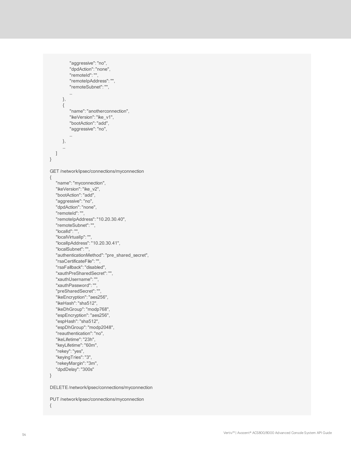```
"aggressive": "no",
          "dpdAction": "none",
          "remoteId": "",
          "remoteIpAddress": "",
          "remoteSubnet": "",
          …
      },
      {
          "name": "anotherconnection",
          "ikeVersion": "ike_v1",
          "bootAction": "add",
          "aggressive": "no",
          …
      },
       …
   \begin{array}{c} \hline \end{array}}
GET /network/ipsec/connections/myconnection
{ 
   "name": "myconnection",
   "ikeVersion": "ike_v2",
   "bootAction": "add",
   "aggressive": "no",
   "dpdAction": "none",
   "remoteId": "",
   "remoteIpAddress": "10.20.30.40",
   "remoteSubnet": "",
   "localId": "",
   "localVirtualIp": "",
   "localIpAddress": "10.20.30.41",
   "localSubnet": "",
   "authenticationMethod": "pre_shared_secret",
   "rsaCertificateFile": "",
   "rsaFallback": "disabled",
   "xauthPreSharedSecret": "",
   "xauthUsername": "",
   "xauthPassword": "",
   "preSharedSecret": "",
   "ikeEncryption": "aes256",
   "ikeHash": "sha512",
   "ikeDhGroup": "modp768",
   "espEncryption": "aes256",
   "espHash": "sha512",
   "espDhGroup": "modp2048",
   "reauthentication": "no",
   "ikeLifetime": "23h",
   "keyLifetime": "60m",
   "rekey": "yes",
   "keyingTries": "3",
   "rekeyMargin": "3m",
   "dpdDelay": "300s"
}
DELETE /network/ipsec/connections/myconnection
PUT /network/ipsec/connections/myconnection
{
```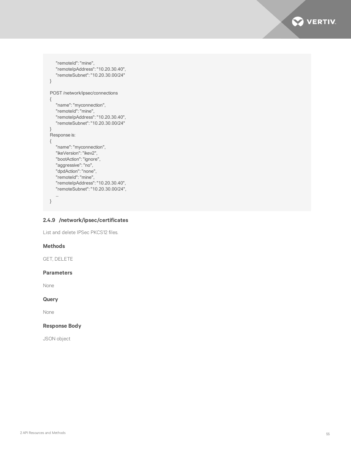

```
"remoteId": "mine",
   "remoteIpAddress": "10.20.30.40",
   "remoteSubnet": "10.20.30.00/24"
}
POST /network/ipsec/connections
{ 
   "name": "myconnection",
   "remoteId": "mine",
   "remoteIpAddress": "10.20.30.40",
   "remoteSubnet": "10.20.30.00/24"
}
Response is:
{ 
   "name": "myconnection",
   "ikeVersion": "ikev2",
  "bootAction": "ignore",
   "aggressive": "no",
   "dpdAction": "none",
   "remoteId": "mine",
   "remoteIpAddress": "10.20.30.40",
   "remoteSubnet": "10.20.30.00/24", …
```

```
}
```
## **2.4.9 /network/ipsec/certificates**

List and delete IPSec PKCS12 files.

#### **Methods**

GET, DELETE

#### **Parameters**

None

#### **Query**

None

### **Response Body**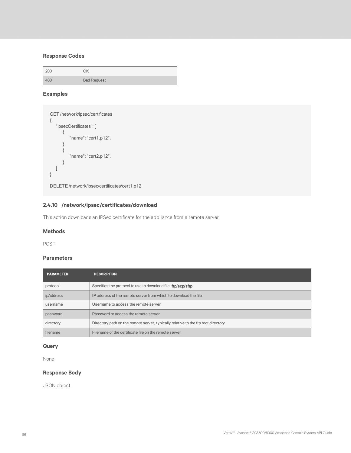| 200 | ЭK                 |
|-----|--------------------|
| 400 | <b>Bad Request</b> |

## **Examples**

```
GET /network/ipsec/certificates
{
   "ipsecCertificates": [
      {
         "name": "cert1.p12",
      },
      {
         "name": "cert2.p12",
      }
  ]
}
DELETE /network/ipsec/certificates/cert1.p12
```
# **2.4.10 /network/ipsec/certificates/download**

This action downloads an IPSec certificate for the appliance from a remote server.

### **Methods**

POST

## **Parameters**

| <b>PARAMETER</b> | <b>DESCRIPTION</b>                                                                |
|------------------|-----------------------------------------------------------------------------------|
| protocol         | Specifies the protocol to use to download file: ftp/scp/sftp                      |
| ipAddress        | IP address of the remote server from which to download the file                   |
| username         | Username to access the remote server                                              |
| password         | Password to access the remote server                                              |
| directory        | Directory path on the remote server, typically relative to the ftp root directory |
| filename         | Filename of the certificate file on the remote server                             |

## **Query**

None

## **Response Body**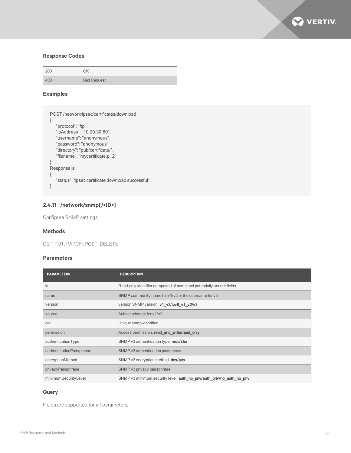

| 200 | OK                 |
|-----|--------------------|
| 400 | <b>Bad Request</b> |

## **Examples**

```
POST /network/ipsec/certificates/download
{
   "protocol": "ftp",
   "ipAddress": "10.20.30.80",
   "username": "anonymous",
  "password": "anonymous",
  "directory": "pub/certificate/",
  "filename": "mycertificate.p12"
}
Response is:
{
   "status": "ipsec certificate download successful",
}
```
## **2.4.11 /network/snmp[/<ID>]**

Configure SNMP settings.

#### **Methods**

GET, PUT, PATCH, POST, DELETE

## **Parameters**

| <b>PARAMETERS</b>        | <b>DESCRIPTION</b>                                                     |
|--------------------------|------------------------------------------------------------------------|
| id                       | Read-only identifier composed of name and potentially source fields    |
| name                     | SNMP community name for v1/v2 or the username for v3                   |
| version                  | version SNMP version. v1_v2/ipv6_v1_v2/v3                              |
| source                   | Subnet address for v1/v2.                                              |
| oid                      | Unique snmp identifier                                                 |
| permission               | Access permission. read and write/read only                            |
| authenticationType       | SNMP v3 authentication type. md5/sha                                   |
| authenticationPassphrase | SNMP v3 authentication passphrase                                      |
| encryptionMethod         | SNMP v3 encryption method. des/aes                                     |
| privacyPassphrase        | SNMP v3 privacy passphrase                                             |
| minimumSecurityLevel     | SNMP v3 minimum security level. auth no priv/auth priv/no auth no priv |

#### **Query**

Fields are supported for all parameters.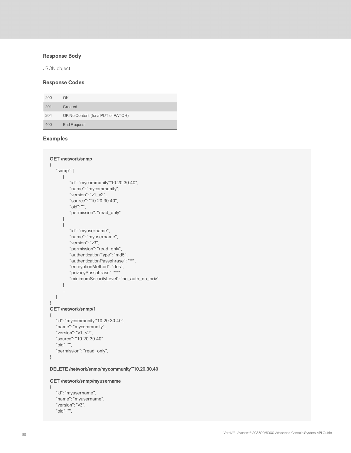#### **Response Body**

JSON object

### **Response Codes**

| 200 | OK.                                |
|-----|------------------------------------|
| 201 | Created                            |
| 204 | OK No Content (for a PUT or PATCH) |
| 400 | <b>Bad Request</b>                 |

```
GET /network/snmp
{ 
   "snmp": [
      {
         "id": "mycommunity~10.20.30.40",
         "name": "mycommunity",
         "version": "v1_v2",
         "source": "10.20.30.40",
         "oid": "",
         "permission": "read_only"
      },
      {
         "id": "myusername",
         "name": "myusername",
         "version": "v3",
         "permission": "read_only",
         "authenticationType": "md5",
         "authenticationPassphrase":****,
         "encryptionMethod": "des",
         "privacyPassphrase":****,
         "minimumSecurityLevel": "no_auth_no_priv"
      }
      …
  ]
}
GET /network/snmp/1
{ 
   "id": "mycommunity~10.20.30.40",
   "name": "mycommunity",
   "version": "v1_v2",
   "source": "10.20.30.40"
  "oid": "",
   "permission": "read_only",
}
DELETE /network/snmp/mycommunity~10.20.30.40
GET /network/snmp/myusername
{
```

```
"id": "myusername",
"name": "myusername",
"version": "v3",
"oid": "",
```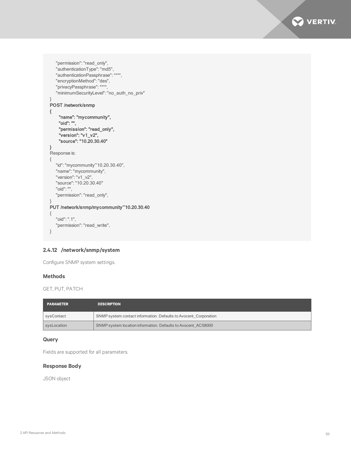

```
"permission": "read_only",
   "authenticationType": "md5",
   "authenticationPassphrase":****,
   "encryptionMethod": "des",
   "privacyPassphrase":****,
   "minimumSecurityLevel": "no_auth_no_priv"
}
POST /network/snmp
{
    "name": "mycommunity",
    "oid": "",
    "permission": "read_only",
    "version": "v1_v2",
    "source": "10.20.30.40"
}
Response is:
{ 
   "id": "mycommunity~10.20.30.40",
   "name": "mycommunity",
   "version": "v1_v2",
   "source": "10.20.30.40"
  "oid": "",
   "permission": "read_only",
}
PUT /network/snmp/mycommunity~10.20.30.40
{ 
   "oid": ".1",
   "permission": "read_write",
}
```
### **2.4.12 /network/snmp/system**

Configure SNMP system settings.

### **Methods**

GET, PUT, PATCH

| <b>PARAMETER</b> | <b>DESCRIPTION</b>                                               |
|------------------|------------------------------------------------------------------|
| sysContact       | SNMP system contact information. Defaults to Avocent Corporation |
| sysLocation      | SNMP system location information. Defaults to Avocent ACS8000    |

#### **Query**

Fields are supported for all parameters.

### **Response Body**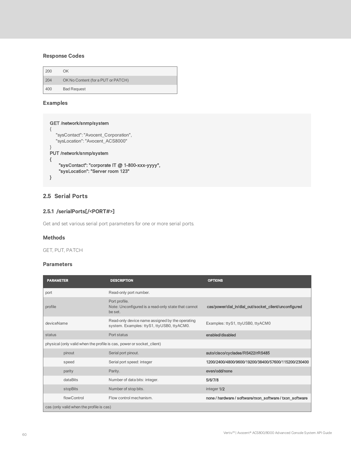| 200 | ΩK                                 |
|-----|------------------------------------|
| 204 | OK No Content (for a PUT or PATCH) |
| 400 | <b>Bad Request</b>                 |

## **Examples**

```
GET /network/snmp/system
{ 
  "sysContact": "Avocent_Corporation",
  "sysLocation": "Avocent_ACS8000"
}
PUT /network/snmp/system
{ 
    "sysContact": "corporate IT @ 1-800-xxx-yyyy",
    "sysLocation": "Server room 123"
}
```
# **2.5 Serial Ports**

## **2.5.1 /serialPorts[/<PORT#>]**

Get and set various serial port parameters for one or more serial ports.

## **Methods**

GET, PUT, PATCH

#### **Parameters**

| <b>PARAMETER</b>                                                      | <b>DESCRIPTION</b>                                                                            | <b>OPTIONS</b>                                           |
|-----------------------------------------------------------------------|-----------------------------------------------------------------------------------------------|----------------------------------------------------------|
| port                                                                  | Read-only port number.                                                                        |                                                          |
| profile                                                               | Port profile.<br>Note: Unconfigured is a read-only state that cannot<br>be set.               | cas/power/dial_in/dial_out/socket_client/unconfigured    |
| deviceName                                                            | Read-only device name assigned by the operating<br>system. Examples: ttyS1, ttyUSB0, ttyACM0. | Examples: ttyS1, ttyUSB0, ttyACM0                        |
| status                                                                | Port status                                                                                   | enabled/disabled                                         |
| physical (only valid when the profile is cas, power or socket client) |                                                                                               |                                                          |
| pinout                                                                | Serial port pinout.                                                                           | auto/cisco/cyclades/RS422/rRS485                         |
| speed                                                                 | Serial port speed: integer                                                                    | 1200/2400/4800/9600/19200/38400/57600/115200/230400      |
| parity                                                                | Parity.                                                                                       | even/odd/none                                            |
| dataBits                                                              | Number of data bits: integer.                                                                 | 5/6/7/8                                                  |
| stopBits                                                              | Number of stop bits.                                                                          | integer 1/2                                              |
| flowControl                                                           | Flow control mechanism.                                                                       | none / hardware / software/rxon_software / txon_software |
| cas (only valid when the profile is cas)                              |                                                                                               |                                                          |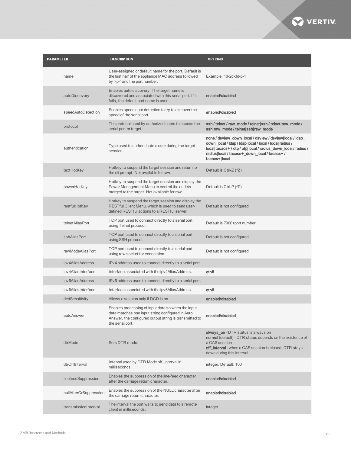

| <b>PARAMETER</b> |                        | <b>DESCRIPTION</b>                                                                                                                                                                   | <b>OPTIONS</b>                                                                                                                                                                                                                                   |
|------------------|------------------------|--------------------------------------------------------------------------------------------------------------------------------------------------------------------------------------|--------------------------------------------------------------------------------------------------------------------------------------------------------------------------------------------------------------------------------------------------|
|                  | name                   | User-assigned or default name for the port. Default is<br>the last half of the appliance MAC address followed<br>by "-p-" and the port number.                                       | Example: 10-2c-3d-p-1                                                                                                                                                                                                                            |
|                  | autoDiscovery          | Enables auto discovery. The target name is<br>discovered and associated with this serial port. If it<br>fails, the default port name is used.                                        | enabled/disabled                                                                                                                                                                                                                                 |
|                  | speedAutoDetection     | Enables speed auto detection to try to discover the<br>speed of the serial port.                                                                                                     | enabled/disabled                                                                                                                                                                                                                                 |
|                  | protocol               | The protocol used by authorized users to access the<br>serial port or target.                                                                                                        | ssh/telnet/raw_mode/telnet ssh/telnet raw_mode/<br>ssh raw_mode/telnet ssh raw_mode                                                                                                                                                              |
|                  | authentication         | Type used to authenticate a user during the target<br>session.                                                                                                                       | none / dsview_down_local / dsview / dsview local / ldap_<br>down_local / Idap / Idap local / local / local radius /<br>local tacacs+/otp/otp local/radius_down_local/radius/<br>radius   local / tacacs+_down_local / tacacs+ /<br>tacacs+ local |
|                  | textHotKey             | Hotkey to suspend the target session and return to<br>the cli prompt. Not available for raw.                                                                                         | Default is Ctrl-Z (^Z)                                                                                                                                                                                                                           |
|                  | powerHotKey            | Hotkey to suspend the target session and display the<br>Power Management Menu to control the outlets<br>merged to the target. Not available for raw.                                 | Default is Ctrl-P (^P)                                                                                                                                                                                                                           |
|                  | restfulHotKey          | Hotkey to suspend the target session and display the<br>RESTful Client Menu, which is used to send user-<br>defined RESTful actions to a RESTful server.                             | Default is not configured                                                                                                                                                                                                                        |
|                  | telnetAliasPort        | TCP port used to connect directly to a serial port<br>using Telnet protocol.                                                                                                         | Default is 7000+port number                                                                                                                                                                                                                      |
|                  | sshAliasPort           | TCP port used to connect directly to a serial port<br>using SSH protocol.                                                                                                            | Default is not configured                                                                                                                                                                                                                        |
|                  | rawModeAliasPort       | TCP port used to connect directly to a serial port<br>using raw socket for connection.                                                                                               | Default is not configured                                                                                                                                                                                                                        |
|                  | ipv4AliasAddress       | IPv4 address used to connect directly to a serial port.                                                                                                                              |                                                                                                                                                                                                                                                  |
|                  | ipv4AliasInterface     | Interface associated with the ipv4AliasAddress.                                                                                                                                      | eth#                                                                                                                                                                                                                                             |
|                  | ipv6AliasAddress       | IPv6 address used to connect directly to a serial port.                                                                                                                              |                                                                                                                                                                                                                                                  |
|                  | ipv6AliasInterface     | Interface associated with the ipv6AliasAddress.                                                                                                                                      | eth#                                                                                                                                                                                                                                             |
|                  | dcdSensitivity         | Allows a session only if DCD is on.                                                                                                                                                  | enabled/disabled                                                                                                                                                                                                                                 |
|                  | autoAnswer             | Enables processing of input data so when the input<br>data matches one input string configured in Auto<br>Answer, the configured output string is transmitted to<br>the serial port. | enabled/disabled                                                                                                                                                                                                                                 |
|                  | dtrMode                | Sets DTR mode.                                                                                                                                                                       | <b>always_on</b> - DTR status is always on<br>normal (default) - DTR status depends on the existence of<br>a CAS session<br>off_interval - when a CAS session is closed; DTR stays<br>down during this interval                                  |
|                  | dtrOffInterval         | Interval used by DTR Mode off_interval in<br>milliseconds.                                                                                                                           | integer, Default: 100                                                                                                                                                                                                                            |
|                  | linefeedSuppression    | Enables the suppression of the line-feed character<br>after the carriage return character.                                                                                           | enabled/disabled                                                                                                                                                                                                                                 |
|                  | nullAfterCrSuppression | Enables the suppression of the NULL character after<br>the carriage return character.                                                                                                | enabled/disabled                                                                                                                                                                                                                                 |
|                  | transmissionInterval   | The interval the port waits to send data to a remote<br>client in milliseconds.                                                                                                      | integer                                                                                                                                                                                                                                          |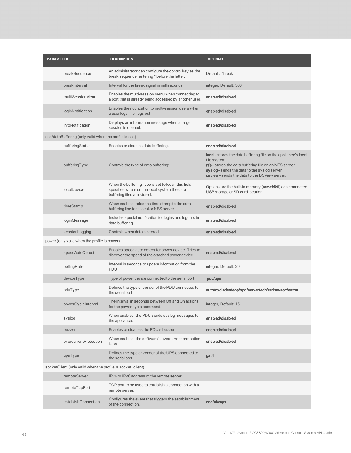| <b>PARAMETER</b> |                                                             | <b>DESCRIPTION</b>                                                                                                                 | <b>OPTIONS</b>                                                                                                                                                                                                                           |
|------------------|-------------------------------------------------------------|------------------------------------------------------------------------------------------------------------------------------------|------------------------------------------------------------------------------------------------------------------------------------------------------------------------------------------------------------------------------------------|
|                  | breakSequence                                               | An administrator can configure the control key as the<br>break sequence, entering ^ before the letter.                             | Default: ~break                                                                                                                                                                                                                          |
|                  | breakInterval                                               | Interval for the break signal in milliseconds.                                                                                     | integer, Default: 500                                                                                                                                                                                                                    |
|                  | multiSessionMenu                                            | Enables the multi-session menu when connecting to<br>a port that is already being accessed by another user.                        | enabled/disabled                                                                                                                                                                                                                         |
|                  | loginNotification                                           | Enables the notification to multi-session users when<br>a user logs in or logs out.                                                | enabled/disabled                                                                                                                                                                                                                         |
|                  | infoNotification                                            | Displays an information message when a target<br>session is opened.                                                                | enabled/disabled                                                                                                                                                                                                                         |
|                  | cas/dataBuffering (only valid when the profile is cas)      |                                                                                                                                    |                                                                                                                                                                                                                                          |
|                  | bufferingStatus                                             | Enables or disables data buffering.                                                                                                | enabled/disabled                                                                                                                                                                                                                         |
|                  | bufferingType                                               | Controls the type of data buffering:                                                                                               | local - stores the data buffering file on the appliance's local<br>file system<br>nfs - stores the data buffering file on an NFS server<br>syslog - sends the data to the syslog server<br>dsview - sends the data to the DSView server. |
|                  | localDevice                                                 | When the buffering Type is set to local, this field<br>specifies where on the local system the data<br>buffering files are stored. | Options are the built-in memory (mmcblk0) or a connected<br>USB storage or SD card location.                                                                                                                                             |
|                  | timeStamp                                                   | When enabled, adds the time stamp to the data<br>buffering line for a local or NFS server.                                         | enabled/disabled                                                                                                                                                                                                                         |
|                  | loginMessage                                                | Includes special notification for logins and logouts in<br>data buffering.                                                         | enabled/disabled                                                                                                                                                                                                                         |
|                  | sessionLogging                                              | Controls when data is stored.                                                                                                      | enabled/disabled                                                                                                                                                                                                                         |
|                  | power (only valid when the profile is power)                |                                                                                                                                    |                                                                                                                                                                                                                                          |
|                  | speedAutoDetect                                             | Enables speed auto detect for power device. Tries to<br>discover the speed of the attached power device.                           | enabled/disabled                                                                                                                                                                                                                         |
|                  | pollingRate                                                 | Interval in seconds to update information from the<br>PDU                                                                          | integer, Default: 20                                                                                                                                                                                                                     |
|                  | deviceType                                                  | Type of power device connected to the serial port.                                                                                 | pdu/ups                                                                                                                                                                                                                                  |
|                  | pduType                                                     | Defines the type or vendor of the PDU connected to<br>the serial port.                                                             | auto/cyclades/enp/spc/servertech/raritan/apc/eaton                                                                                                                                                                                       |
|                  | powerCycleInterval                                          | The interval in seconds between Off and On actions<br>for the power cycle command.                                                 | integer, Default: 15                                                                                                                                                                                                                     |
|                  | syslog                                                      | When enabled, the PDU sends syslog messages to<br>the appliance.                                                                   | enabled/disabled                                                                                                                                                                                                                         |
|                  | buzzer                                                      | Enables or disables the PDU's buzzer.                                                                                              | enabled/disabled                                                                                                                                                                                                                         |
|                  | overcurrentProtection                                       | When enabled, the software's overcurrent protection<br>is on.                                                                      | enabled/disabled                                                                                                                                                                                                                         |
|                  | upsType                                                     | Defines the type or vendor of the UPS connected to<br>the serial port.                                                             | gxt4                                                                                                                                                                                                                                     |
|                  | socketClient (only valid when the profile is socket client) |                                                                                                                                    |                                                                                                                                                                                                                                          |
|                  | remoteServer                                                | IPv4 or IPv6 address of the remote server.                                                                                         |                                                                                                                                                                                                                                          |
|                  | remoteTcpPort                                               | TCP port to be used to establish a connection with a<br>remote server.                                                             |                                                                                                                                                                                                                                          |
|                  | establishConnection                                         | Configures the event that triggers the establishment<br>of the connection.                                                         | dcd/always                                                                                                                                                                                                                               |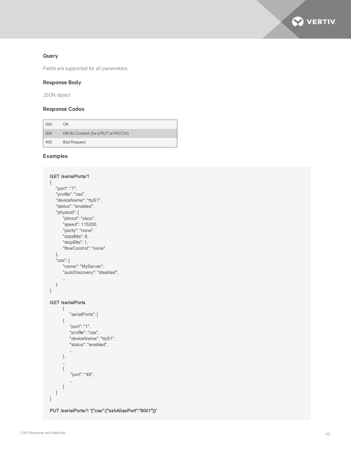

## **Query**

Fields are supported for all parameters.

### **Response Body**

JSON object

## **Response Codes**

| 200 | ΩK                                 |
|-----|------------------------------------|
| 204 | OK No Content (for a PUT or PATCH) |
| 400 | <b>Bad Request</b>                 |

```
GET /serialPorts/1
{ 
   "port": "1",
   "profile": "cas",
   "deviceName": "ttyS1",
   "status": "enabled",
    "physical":
{
      "pinout": "cisco",
      "speed": 115200,
      "parity": "none",
      "dataBits": 8,
      "stopBits": 1,
      "flowControl": "none"
   },
    "cas":
{
      "name": "MyServer",
      "autoDiscovery": "disabled", …
  }
}
GET /serialPorts
      { 
           "serialPorts":
[
      {
          "port": "1",
          "profile": "cas",
          "deviceName": "ttyS1",
          "status": "enabled", …
      \},},…{
      \cdots\{"port": "48", …
      }
  \, ]
}
PUT /serialPorts/1
'{"cas":{"sshAliasPort":"8001"}}'
```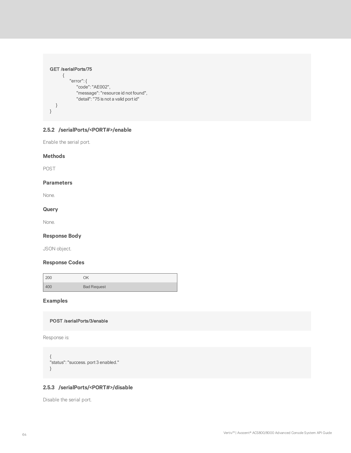```
GET /serialPorts/75
      { 
          "error": {
             "code": "AE002",
             "message": "resource id not found",
             "detail": "75 is not a valid port id"
  }
}
```
## **2.5.2 /serialPorts/<PORT#>/enable**

Enable the serial port.

## **Methods**

POST

## **Parameters**

None.

## **Query**

None.

## **Response Body**

JSON object.

### **Response Codes**

| 200 | OK                 |
|-----|--------------------|
| 400 | <b>Bad Request</b> |

**Examples**

## POST /serialPorts/3/enable

Response is:

{ "status": "success. port 3 enabled." }

## **2.5.3 /serialPorts/<PORT#>/disable**

Disable the serial port.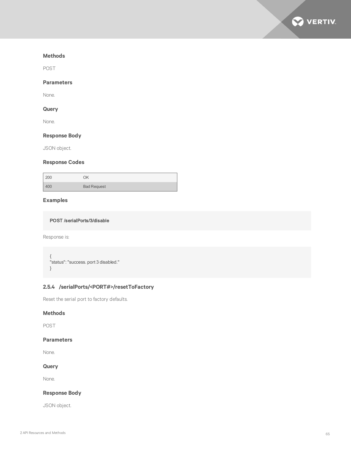

#### **Methods**

POST

## **Parameters**

None.

## **Query**

None.

## **Response Body**

JSON object.

## **Response Codes**

| 200             | $\cap$ K           |
|-----------------|--------------------|
| 40 <sub>C</sub> | <b>Bad Request</b> |

## **Examples**

POST /serialPorts/3/disable

Response is:

```
{
"status": "success. port 3 disabled."
}
```
## **2.5.4 /serialPorts/<PORT#>/resetToFactory**

Reset the serial port to factory defaults.

## **Methods**

POST

## **Parameters**

None.

## **Query**

None.

## **Response Body**

JSON object.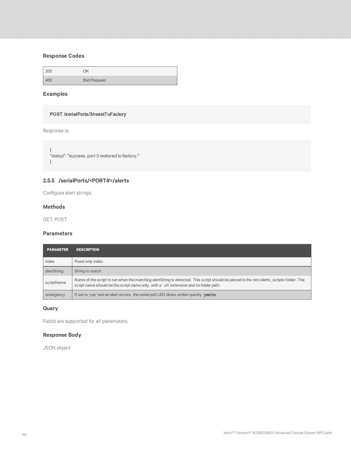| 200 | DК                 |
|-----|--------------------|
| 400 | <b>Bad Request</b> |

## **Examples**

## POST /serialPorts/3/resetToFactory

Response is:

{ "status": "success. port 3 restored to factory." }

## **2.5.5 /serialPorts/<PORT#>/alerts**

Configure alert strings.

## **Methods**

GET, POST

## **Parameters**

| <b>PARAMETER</b> | <b>DESCRIPTION</b>                                                                                                                                                                                                                 |
|------------------|------------------------------------------------------------------------------------------------------------------------------------------------------------------------------------------------------------------------------------|
| index            | Read-only index.                                                                                                                                                                                                                   |
| alertString      | String to match.                                                                                                                                                                                                                   |
| scriptName       | Name of the script to run when the matching alertString is detected. This script should be placed in the /etc/alerts scripts folder. The<br>script name should be the script name only, with a '.sh' extension and no folder path. |
| emergency        | If set to 'yes' and an alert occurs, the serial port LED blinks amber quickly. <b>yes/no</b>                                                                                                                                       |

## **Query**

Fields are supported for all parameters.

## **Response Body**

JSON object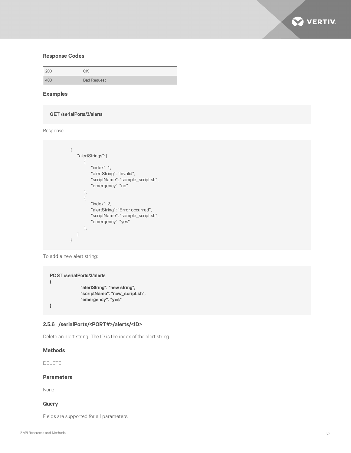

200 OK 400 Bad Request

## **Examples**

## GET /serialPorts/3/alerts

Response:

```
{
   "alertStrings": [
      {
          "index": 1,
          "alertString": "Invalid",
          "scriptName": "sample_script.sh",
          "emergency": "no"
      },
       {
          "index": 2,
          "alertString": "Error occurred",
          "scriptName": "sample_script.sh",
          "emergency": "yes"
      },
   ]
}
```
To add a new alert string:

```
POST /serialPorts/3/alerts
{
              "alertString": "new string",
              "scriptName": "new_script.sh",
              "emergency": "yes"
}
```
## **2.5.6 /serialPorts/<PORT#>/alerts/<ID>**

Delete an alert string. The ID is the index of the alert string.

## **Methods**

DELETE

## **Parameters**

None

## **Query**

Fields are supported for all parameters.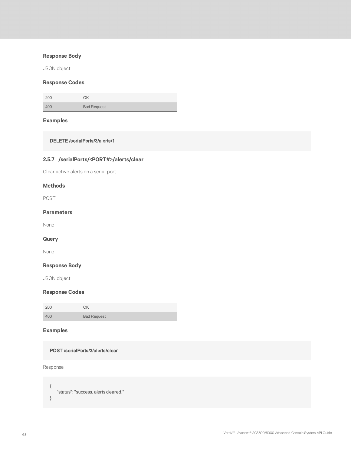## **Response Body**

JSON object

## **Response Codes**

| 200 | ОK                 |
|-----|--------------------|
| 400 | <b>Bad Request</b> |

## **Examples**

DELETE /serialPorts/3/alerts/1

## **2.5.7 /serialPorts/<PORT#>/alerts/clear**

Clear active alerts on a serial port.

## **Methods**

POST

## **Parameters**

None

## **Query**

None

## **Response Body**

JSON object

## **Response Codes**

| 200 | ОK                 |
|-----|--------------------|
| 400 | <b>Bad Request</b> |

## **Examples**

#### POST /serialPorts/3/alerts/clear

Response:

{ "status": "success. alerts cleared." }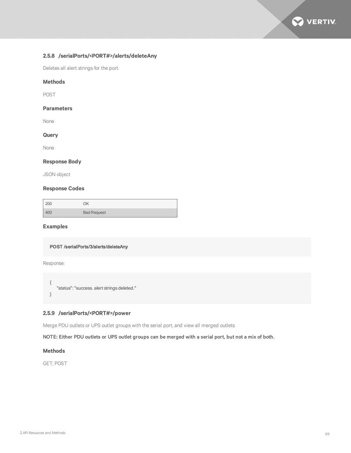

## **2.5.8 /serialPorts/<PORT#>/alerts/deleteAny**

Deletes all alert strings for the port.

### **Methods**

POST

#### **Parameters**

None

## **Query**

None

## **Response Body**

JSON object

#### **Response Codes**

| 200 | DК                 |
|-----|--------------------|
| 400 | <b>Bad Request</b> |

#### **Examples**

## POST /serialPorts/3/alerts/deleteAny

Response:

{ "status": "success. alert strings deleted." }

## **2.5.9 /serialPorts/<PORT#>/power**

Merge PDU outlets or UPS outlet groups with the serial port, and view all merged outlets.

## NOTE: Either PDU outlets or UPS outlet groups can be merged with a serial port, but not a mix of both.

## **Methods**

GET, POST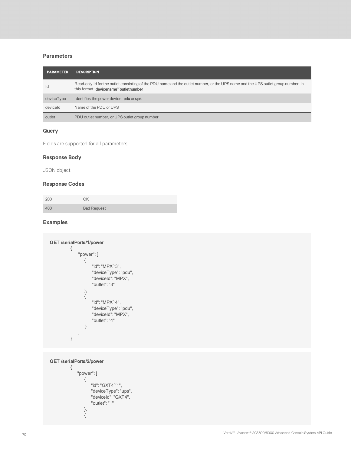#### **Parameters**

| <b>PARAMETER</b> | <b>DESCRIPTION</b>                                                                                                                                                        |
|------------------|---------------------------------------------------------------------------------------------------------------------------------------------------------------------------|
| Id               | Read-only Id for the outlet consisting of the PDU name and the outlet number, or the UPS name and the UPS outlet group number, in<br>this format: devicename~outletnumber |
| deviceType       | Identifies the power device: pdu or ups                                                                                                                                   |
| deviceld         | Name of the PDU or UPS                                                                                                                                                    |
| outlet           | PDU outlet number, or UPS outlet group number                                                                                                                             |

### **Query**

Fields are supported for all parameters.

## **Response Body**

JSON object

### **Response Codes**

| 200 | ЭK                 |
|-----|--------------------|
| 400 | <b>Bad Request</b> |

## **Examples**

```
GET /serialPorts/1/power
         {
             "power": [
                {
                   "id": "MPX~3",
                   "deviceType": "pdu",
                   "deviceId": "MPX",
                    "outlet": "3"
                },
                {
                   "id": "MPX~4",
                   "deviceType": "pdu",
                   "deviceId": "MPX",
                    "outlet": "4"
                }
            \, ]
         }
```

```
GET /serialPorts/2/power
         {
             "power": [
                {
                  "id": "GXT4~1",
                   "deviceType": "ups",
                   "deviceId": "GXT4",
                   "outlet": "1"
               },
                {
```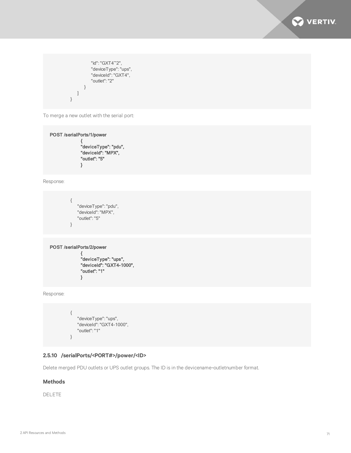

```
"id": "GXT4~2",
          "deviceType": "ups",
          "deviceId": "GXT4",
          "outlet": "2"
      }
   ]
}
```
To merge a new outlet with the serial port:

```
POST /serialPorts/1/power
               {
              "deviceType": "pdu",
              "deviceId": "MPX",
              "outlet": "5"
              }
```
Response:

```
{
   "deviceType": "pdu",
   "deviceId": "MPX",
   "outlet": "5"
}
```

```
POST /serialPorts/2/power
               {
               "deviceType": "ups",
              "deviceId": "GXT4-1000",
              "outlet": "1"
              }
```
Response:

```
{
   "deviceType": "ups",
   "deviceId": "GXT4-1000",
   "outlet": "1"
}
```
## **2.5.10 /serialPorts/<PORT#>/power/<ID>**

Delete merged PDU outlets or UPS outlet groups. The ID is in the devicename~outletnumber format.

### **Methods**

DELETE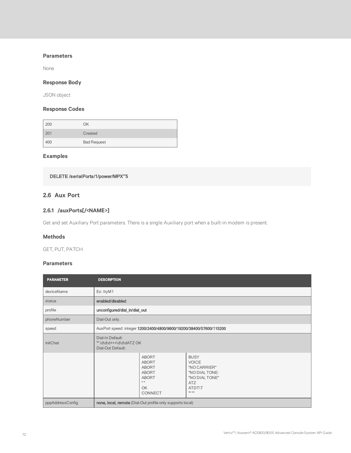#### **Parameters**

None

## **Response Body**

JSON object

## **Response Codes**

| 200 | OK                 |
|-----|--------------------|
| 201 | Created            |
| 400 | <b>Bad Request</b> |

## **Examples**

DELETE /serialPorts/1/power/MPX~5

## **2.6 Aux Port**

## **2.6.1 /auxPorts[/<NAME>]**

Get and set Auxiliary Port parameters. There is a single Auxiliary port when a built-in modem is present.

### **Methods**

GET, PUT, PATCH

## **Parameters**

| <b>PARAMETER</b> | <b>DESCRIPTION</b>                                               |                                                                                                        |                                                                                                                           |
|------------------|------------------------------------------------------------------|--------------------------------------------------------------------------------------------------------|---------------------------------------------------------------------------------------------------------------------------|
| deviceName       | Ex: ttyM1                                                        |                                                                                                        |                                                                                                                           |
| status           | enabled/disabled                                                 |                                                                                                        |                                                                                                                           |
| profile          | unconfigured/dial_in/dial_out                                    |                                                                                                        |                                                                                                                           |
| phoneNumber      | Dial-Out only.                                                   |                                                                                                        |                                                                                                                           |
| speed            |                                                                  | AuxPort speed: integer 1200/2400/4800/9600/19200/38400/57600/115200                                    |                                                                                                                           |
| initChat         | Dial-In Default:<br>""\d\d\d+++\d\d\dATZ OK<br>Dial-Out Default: |                                                                                                        |                                                                                                                           |
|                  |                                                                  | <b>ABORT</b><br><b>ABORT</b><br><b>ABORT</b><br><b>ABORT</b><br><b>ABORT</b><br>11.11<br>OK<br>CONNECT | <b>BUSY</b><br><b>VOICE</b><br>"NO CARRIER"<br>"NO DIAL TONE:<br>"NO DIAL TONE"<br><b>ATZ</b><br><b>ATDT\T</b><br>101.101 |
| pppAddressConfig |                                                                  | none, local, remote (Dial-Out profile only supports local)                                             |                                                                                                                           |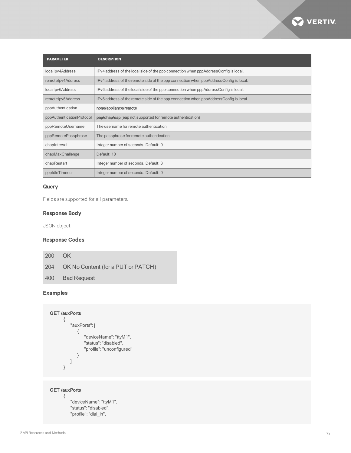

| <b>PARAMETER</b>          | <b>DESCRIPTION</b>                                                                    |
|---------------------------|---------------------------------------------------------------------------------------|
| locallpv4Address          | IPv4 address of the local side of the ppp connection when pppAddressConfig is local.  |
| remotelpv4Address         | IPv4 address of the remote side of the ppp connection when pppAddressConfig is local. |
| locallpv6Address          | IPv6 address of the local side of the ppp connection when pppAddressConfig is local.  |
| remotelpv6Address         | IPv6 address of the remote side of the ppp connection when pppAddressConfig is local. |
| pppAuthentication         | none/appliance/remote                                                                 |
| pppAuthenticationProtocol | pap/chap/eap (eap not supported for remote authentication)                            |
| pppRemoteUsername         | The username for remote authentication.                                               |
| pppRemotePassphrase       | The passphrase for remote authentication.                                             |
| chapInterval              | Integer number of seconds. Default: 0                                                 |
| chapMaxChallenge          | Default: 10                                                                           |
| chapRestart               | Integer number of seconds. Default: 3                                                 |
| pppIdleTimeout            | Integer number of seconds. Default: 0                                                 |

## **Query**

Fields are supported for all parameters.

## **Response Body**

JSON object

## **Response Codes**

| 200 OK |                                        |
|--------|----------------------------------------|
|        | 204 OK No Content (for a PUT or PATCH) |
|        | 400 Bad Request                        |

## **Examples**

```
GET /auxPorts
     {
         "auxPorts": [
            {
               "deviceName": "ttyM1",
               "status": "disabled",
                "profile": "unconfigured"
            }
         \, ]
      }
```
#### GET /auxPorts {

"deviceName": "ttyM1", "status": "disabled", "profile": "dial\_in",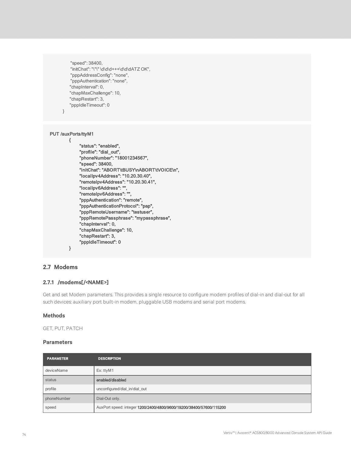```
"speed": 38400,
"initChat": "\"\" \d\d\d+++\d\d\dATZ OK",
"pppAddressConfig": "none",
"pppAuthentication": "none",
"chapInterval": 0,
"chapMaxChallenge": 10,
"chapRestart": 3,
"pppIdleTimeout": 0
```

```
}
```
#### PUT /auxPorts/ttyM1 {

```
"status": "enabled",
"profile": "dial_out",
"phoneNumber": "18001234567",
"speed": 38400,
"initChat": "ABORT\tBUSY\nABORT\tVOICE\n",
"localIpv4Address": "10.20.30.40",
"remoteIpv4Address": "10.20.30.41",
"localIpv6Address": "",
"remoteIpv6Address": "",
"pppAuthentication": "remote",
"pppAuthenticationProtocol": "pap",
"pppRemoteUsername": "testuser",
"pppRemotePassphrase": "mypassphrase",
"chapInterval": 0,
"chapMaxChallenge": 10,
"chapRestart": 3,
"pppIdleTimeout": 0
```
## **2.7 Modems**

## **2.7.1 /modems[/<NAME>]**

}

Get and set Modem parameters. This provides a single resource to configure modem profiles of dial-in and dial-out for all such devices: auxiliary port built-in modem, pluggable USB modems and serial port modems.

#### **Methods**

GET, PUT, PATCH

### **Parameters**

| <b>PARAMETER</b> | <b>DESCRIPTION</b>                                                  |
|------------------|---------------------------------------------------------------------|
| deviceName       | $Ex:$ tty $M1$                                                      |
| status           | enabled/disabled                                                    |
| profile          | unconfigured/dial in/dial out                                       |
| phoneNumber      | Dial-Out only.                                                      |
| speed            | AuxPort speed: integer 1200/2400/4800/9600/19200/38400/57600/115200 |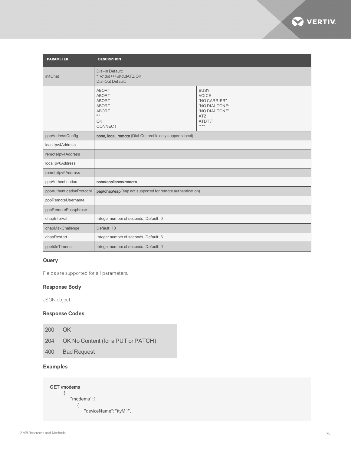

| <b>PARAMETER</b>          | <b>DESCRIPTION</b>                                                                                            |                                                                                                                           |
|---------------------------|---------------------------------------------------------------------------------------------------------------|---------------------------------------------------------------------------------------------------------------------------|
| initChat                  | Dial-In Default:<br>HO STAb/b/h+++b/b/b/m'<br>Dial-Out Default:                                               |                                                                                                                           |
|                           | <b>ABORT</b><br><b>ABORT</b><br><b>ABORT</b><br><b>ABORT</b><br><b>ABORT</b><br>$\mathbf{H}$<br>OK<br>CONNECT | <b>BUSY</b><br><b>VOICE</b><br>"NO CARRIER"<br>"NO DIAL TONE:<br>"NO DIAL TONE"<br><b>ATZ</b><br><b>ATDT\T</b><br>101.101 |
| pppAddressConfig          | none, local, remote (Dial-Out profile only supports local)                                                    |                                                                                                                           |
| locallpv4Address          |                                                                                                               |                                                                                                                           |
| remotelpv4Address         |                                                                                                               |                                                                                                                           |
| locallpv6Address          |                                                                                                               |                                                                                                                           |
| remotelpv6Address         |                                                                                                               |                                                                                                                           |
| pppAuthentication         | none/appliance/remote                                                                                         |                                                                                                                           |
| pppAuthenticationProtocol | pap/chap/eap (eap not supported for remote authentication)                                                    |                                                                                                                           |
| pppRemoteUsername         |                                                                                                               |                                                                                                                           |
| pppRemotePassphrase       |                                                                                                               |                                                                                                                           |
| chapInterval              | Integer number of seconds. Default: 0                                                                         |                                                                                                                           |
| chapMaxChallenge          | Default: 10                                                                                                   |                                                                                                                           |
| chapRestart               | Integer number of seconds. Default: 3                                                                         |                                                                                                                           |
| pppIdleTimeout            | Integer number of seconds. Default: 0                                                                         |                                                                                                                           |

## **Query**

Fields are supported for all parameters.

## **Response Body**

JSON object

## **Response Codes**

| 200 OK |                                        |
|--------|----------------------------------------|
|        | 204 OK No Content (for a PUT or PATCH) |
|        | 400 Bad Request                        |

# **Examples**

```
GET /modems
    {
        "modems": [
          {
             "deviceName": "ttyM1",
```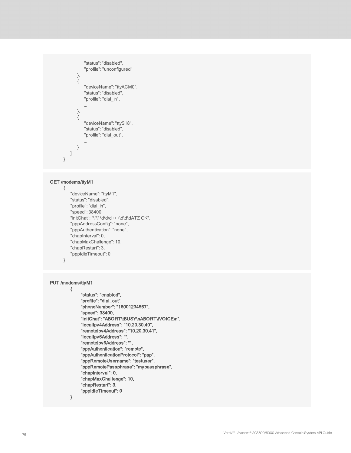```
"status": "disabled",
           "profile": "unconfigured"
       },
       {
           "deviceName": "ttyACM0",
           "status": "disabled",
           "profile": "dial_in",
            …
       },
       {
           "deviceName": "ttyS18",
           "status": "disabled",
           "profile": "dial_out",
            …
       }
   \mathbf{I}}
```
#### GET /modems/ttyM1

{

```
"deviceName": "ttyM1",
"status": "disabled",
"profile": "dial_in",
"speed": 38400,
"initChat": "\"\" \d\d\d+++\d\d\dATZ OK",
"pppAddressConfig": "none",
"pppAuthentication": "none",
"chapInterval": 0,
"chapMaxChallenge": 10,
"chapRestart": 3,
"pppIdleTimeout": 0
```

```
}
```
#### PUT /modems/ttyM1 {

```
"status": "enabled",
"profile": "dial_out",
"phoneNumber": "18001234567",
"speed": 38400,
"initChat": "ABORT\tBUSY\nABORT\tVOICE\n",
"localIpv4Address": "10.20.30.40",
"remoteIpv4Address": "10.20.30.41",
"localIpv6Address": "",
"remoteIpv6Address": "",
"pppAuthentication": "remote",
"pppAuthenticationProtocol": "pap",
"pppRemoteUsername": "testuser",
"pppRemotePassphrase": "mypassphrase",
"chapInterval": 0,
"chapMaxChallenge": 10,
"chapRestart": 3,
"pppIdleTimeout": 0
```
}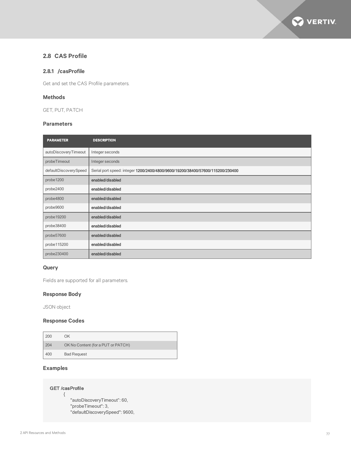

## **2.8 CAS Profile**

#### **2.8.1 /casProfile**

Get and set the CAS Profile parameters.

## **Methods**

GET, PUT, PATCH

## **Parameters**

| <b>PARAMETER</b>      | <b>DESCRIPTION</b>                                                             |
|-----------------------|--------------------------------------------------------------------------------|
| autoDiscoveryTimeout  | Integer seconds                                                                |
| probeTimeout          | Integer seconds                                                                |
| defaultDiscoverySpeed | Serial port speed: integer 1200/2400/4800/9600/19200/38400/57600/115200/230400 |
| probe1200             | enabled/disabled                                                               |
| probe2400             | enabled/disabled                                                               |
| probe4800             | enabled/disabled                                                               |
| probe9600             | enabled/disabled                                                               |
| probe19200            | enabled/disabled                                                               |
| probe38400            | enabled/disabled                                                               |
| probe57600            | enabled/disabled                                                               |
| probe115200           | enabled/disabled                                                               |
| probe230400           | enabled/disabled                                                               |

## **Query**

Fields are supported for all parameters.

## **Response Body**

JSON object

## **Response Codes**

| 200 | OK                                 |
|-----|------------------------------------|
| 204 | OK No Content (for a PUT or PATCH) |
| 400 | <b>Bad Request</b>                 |

## **Examples**

## GET /casProfile

{

"autoDiscoveryTimeout": 60,

"probeTimeout": 3,

"defaultDiscoverySpeed": 9600,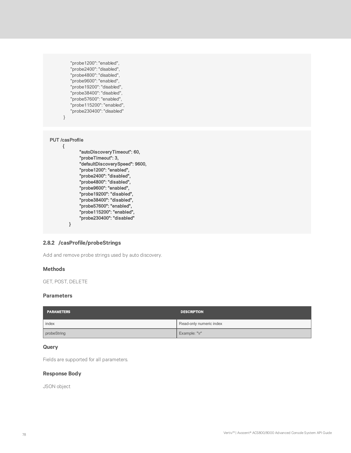```
"probe1200": "enabled",
          "probe2400": "disabled",
          "probe4800": "disabled",
          "probe9600": "enabled",
          "probe19200": "disabled",
          "probe38400": "disabled",
          "probe57600": "enabled",
          "probe115200": "enabled",
          "probe230400": "disabled"
      }
PUT /casProfile
     {
```

```
"autoDiscoveryTimeout": 60,
     "probeTimeout": 3,
     "defaultDiscoverySpeed": 9600,
     "probe1200": "enabled",
     "probe2400": "disabled",
     "probe4800": "disabled",
     "probe9600": "enabled",
     "probe19200": "disabled",
     "probe38400": "disabled",
     "probe57600": "enabled",
     "probe115200": "enabled",
    "probe230400": "disabled"
}
```
#### **2.8.2 /casProfile/probeStrings**

Add and remove probe strings used by auto discovery.

#### **Methods**

GET, POST, DELETE

### **Parameters**

| <b>PARAMETERS</b> | <b>DESCRIPTION</b>      |
|-------------------|-------------------------|
| index             | Read-only numeric index |
| probeString       | Example: "\r"           |

#### **Query**

Fields are supported for all parameters.

#### **Response Body**

JSON object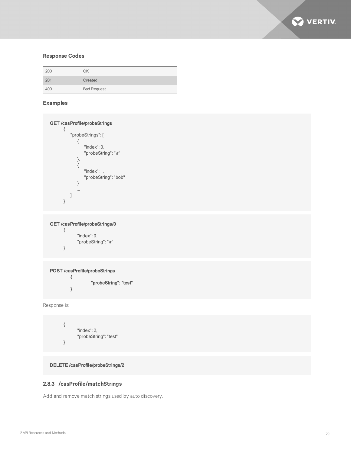

| 200 | ΩK                 |
|-----|--------------------|
| 201 | Created            |
| 400 | <b>Bad Request</b> |

## **Examples**



{ "index": 2, "probeString": "test" }

## DELETE /casProfile/probeStrings/2

## **2.8.3 /casProfile/matchStrings**

Add and remove match strings used by auto discovery.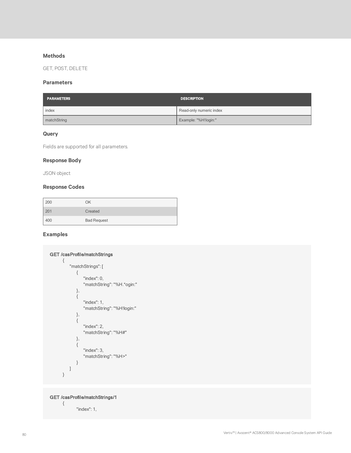#### **Methods**

GET, POST, DELETE

## **Parameters**

| <b>PARAMETERS</b> | <b>DESCRIPTION</b>      |
|-------------------|-------------------------|
| index             | Read-only numeric index |
| matchString       | Example: "%H!login:"    |

#### **Query**

Fields are supported for all parameters.

## **Response Body**

JSON object

## **Response Codes**

| 200 | ΟK                 |
|-----|--------------------|
| 201 | Created            |
| 400 | <b>Bad Request</b> |

## **Examples**

```
GET /casProfile/matchStrings
      {
         "matchStrings": [
             {
                "index": 0,
                "matchString": "%H.*ogin:"
             },
             {
                "index": 1,
                "matchString": "%H!login:"
             },
             {
                "index": 2,
                "matchString": "%H#"
             },
             {
                "index": 3,
                "matchString": "%H>"
             }
         \mathbf{l}}
```
## GET /casProfile/matchStrings/1

{

"index": 1,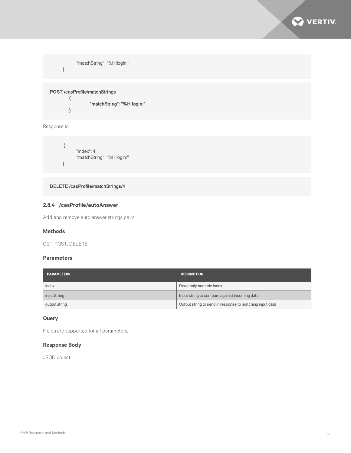



# **2.8.4 /casProfile/autoAnswer**

Add and remove auto answer strings pairs.

#### **Methods**

GET, POST, DELETE

## **Parameters**

| <b>PARAMETERS</b> | <b>DESCRIPTION</b>                                       |
|-------------------|----------------------------------------------------------|
| index             | Read-only numeric index                                  |
| inputString       | Input string to compare against incoming data            |
| outputString      | Output string to send in response to matching input data |

### **Query**

Fields are supported for all parameters.

## **Response Body**

JSON object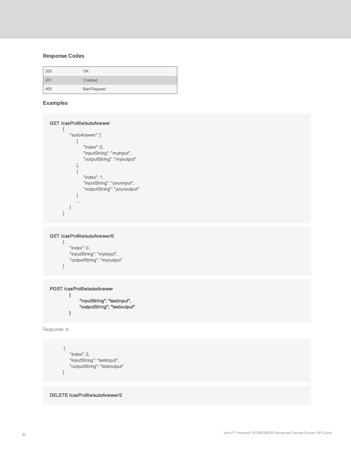| 200 | OK                 |
|-----|--------------------|
| 201 | Created            |
| 400 | <b>Bad Request</b> |

## **Examples**

```
GET /casProfile/autoAnswer
       {
           "autoAnswer": [
              {
                  "index": 0,
                   "inputString": "myinput",
                   "outputString": "myoutput"
               },
               {
                   "index": 1,
                   "inputString": "yourinput",
                   "outputString": "youroutput"
               }
               …
           \begin{array}{c} \hline \end{array}}
```

```
GET /casProfile/autoAnswer/0
     {
         "index": 0,
```

```
"inputString": "myinput",
"outputString": "myoutput"
```

```
POST /casProfile/autoAnswer
         \{"inputString": "testinput",
              "outputString": "testoutput"
         }
```

```
Response is:
```
}

```
{
   "index": 2,
   "inputString": "testinput",
   "outputString": "testoutput"
}
```
DELETE /casProfile/autoAnswer/2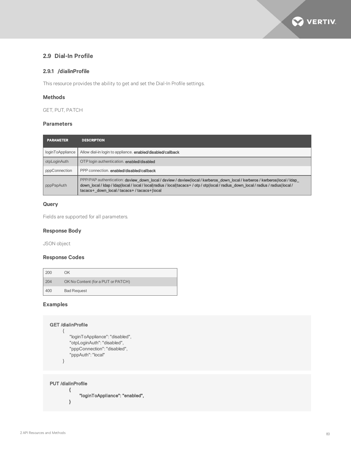

## **2.9 Dial-In Profile**

#### **2.9.1 /dialinProfile**

This resource provides the ability to get and set the Dial-In Profile settings.

## **Methods**

GET, PUT, PATCH

## **Parameters**

| <b>PARAMETER</b> | <b>DESCRIPTION</b>                                                                                                                                                                                                                                                                                        |
|------------------|-----------------------------------------------------------------------------------------------------------------------------------------------------------------------------------------------------------------------------------------------------------------------------------------------------------|
| loginToAppliance | Allow dial-in login to appliance. enabled/disabled/callback                                                                                                                                                                                                                                               |
| otpLoginAuth     | OTP login authentication. enabled/disabled                                                                                                                                                                                                                                                                |
| pppConnection    | PPP connection, enabled/disabled/callback                                                                                                                                                                                                                                                                 |
| pppPapAuth       | PPP/PAP authentication: dsview_down_local/dsview/dsview local/kerberos_down_local/kerberos/kerberos local/ldap<br>down_local / Idap / Idap local / local / Iocal radius / local tacacs+ / otp / otp local / radius_down_local / radius / radius local /<br>tacacs+_down_local / tacacs+ / tacacs+   local |

## **Query**

Fields are supported for all parameters.

## **Response Body**

JSON object

## **Response Codes**

| 200 | OK                                 |
|-----|------------------------------------|
| 204 | OK No Content (for a PUT or PATCH) |
| 400 | <b>Bad Request</b>                 |

## **Examples**

```
GET /dialinProfile
     {
         "loginToAppliance": "disabled",
         "otpLoginAuth": "disabled",
         "pppConnection": "disabled",
         "pppAuth": "local"
     }
```
### PUT /dialinProfile

 $\{$ "loginToAppliance": "enabled", }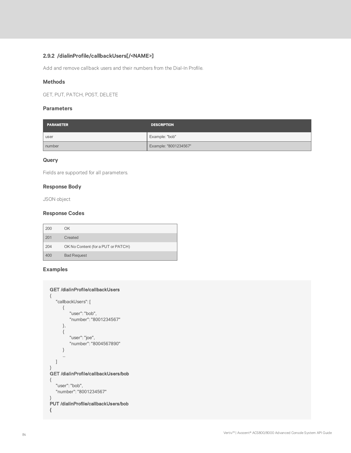## **2.9.2 /dialinProfile/callbackUsers[/<NAME>]**

Add and remove callback users and their numbers from the Dial-In Profile.

## **Methods**

GET, PUT, PATCH, POST, DELETE

#### **Parameters**

| <b>PARAMETER</b> | <b>DESCRIPTION</b>    |
|------------------|-----------------------|
| user             | Example: "bob"        |
| number           | Example: "8001234567" |

## **Query**

Fields are supported for all parameters.

#### **Response Body**

JSON object

## **Response Codes**

| 200 | OK.                                |
|-----|------------------------------------|
| 201 | Created                            |
| 204 | OK No Content (for a PUT or PATCH) |
| 400 | <b>Bad Request</b>                 |

#### **Examples**

```
GET /dialinProfile/callbackUsers
{ 
   "callbackUsers": [
      {
          "user": "bob",
          "number": "8001234567"
      },
      {
          "user": "joe",
          "number": "8004567890"
      }
       …
   \begin{array}{c} \hline \end{array}}
GET /dialinProfile/callbackUsers/bob
{ 
   "user": "bob",
   "number": "8001234567"
}
PUT /dialinProfile/callbackUsers/bob
{
```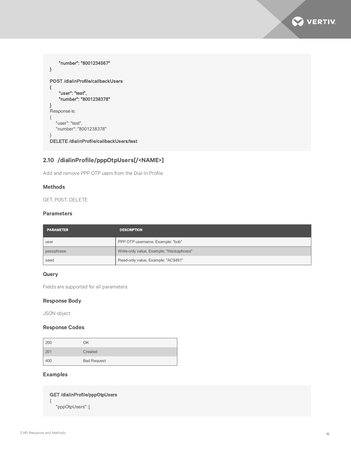

```
"number": "8001234567"
}
POST /dialinProfile/callbackUsers
{
    "user": "test",
    "number": "8001238378"
}
Response is:
{ 
  "user": "test",
  "number": "8001238378"
}
DELETE /dialinProfile/callbackUsers/test
```
## **2.10 /dialinProfile/pppOtpUsers[/<NAME>]**

Add and remove PPP OTP users from the Dial-In Profile.

## **Methods**

GET, POST, DELETE

## **Parameters**

| <b>PARAMETER</b> | <b>DESCRIPTION</b>                         |
|------------------|--------------------------------------------|
| user             | PPP OTP username. Example: "bob"           |
| passphrase       | Write-only value. Example: "thisisaphrase" |
| seed             | Read-only value. Example: "AC9491"         |

## **Query**

Fields are supported for all parameters.

## **Response Body**

JSON object

## **Response Codes**

| 200 | OK                 |
|-----|--------------------|
| 201 | Created            |
| 400 | <b>Bad Request</b> |

## **Examples**

{

## GET /dialinProfile/pppOtpUsers

"pppOtpUsers": [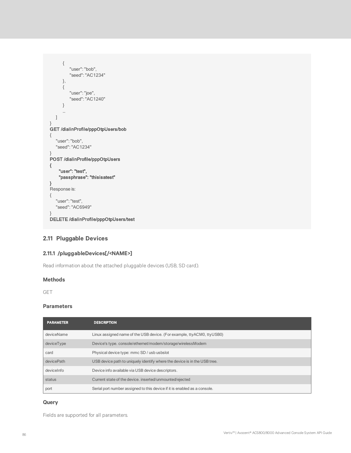

## **2.11 Pluggable Devices**

## **2.11.1 /pluggableDevices[/<NAME>]**

Read information about the attached pluggable devices (USB, SD card).

## **Methods**

GET

#### **Parameters**

| <b>PARAMETER</b> | <b>DESCRIPTION</b>                                                        |
|------------------|---------------------------------------------------------------------------|
| deviceName       | Linux assigned name of the USB device. (For example, ttyACM0, ttyUSB0)    |
| deviceType       | Device's type. console/ethernet/modem/storage/wirelessModem               |
| card             | Physical device type: mmc SD / usb usbslot                                |
| devicePath       | USB device path to uniquely identify where the device is in the USB tree. |
| deviceInfo       | Device info available via USB device descriptors.                         |
| status           | Current state of the device. inserted/unmounted/ejected                   |
| port             | Serial port number assigned to this device if it is enabled as a console. |

## **Query**

Fields are supported for all parameters.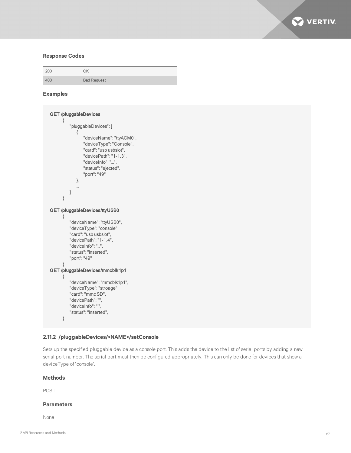

| 200 | ОK                 |
|-----|--------------------|
| 400 | <b>Bad Request</b> |

### **Examples**

```
GET /pluggableDevices
      {
          "pluggableDevices": [
             {
                "deviceName": "ttyACM0",
                "deviceType": "Console",
                "card": "usb usbslot",
                "devicePath": "1-1.3",
                "deviceInfo": "…",
                "status": "ejected",
                "port": "49"
             },
             …
         \overline{1}}
GET /pluggableDevices/ttyUSB0
      {
         "deviceName": "ttyUSB0",
         "deviceType": "console",
         "card": "usb usbslot",
         "devicePath": "1-1.4",
         "deviceInfo": "…",
         "status": "inserted",
         "port": "49"
      }
GET /pluggableDevices/mmcblk1p1
      {
         "deviceName": "mmcblk1p1",
         "deviceType": "stroage",
         "card": "mmcSD",
         "devicePath": "",
         "deviceInfo": " ",
         "status": "inserted",
      }
```
#### **2.11.2 /pluggableDevices/<NAME>/setConsole**

Sets up the specified pluggable device as a console port. This adds the device to the list of serial ports by adding a new serial port number. The serial port must then be configured appropriately. This can only be done for devices that show a deviceType of "console".

### **Methods**

POST

#### **Parameters**

None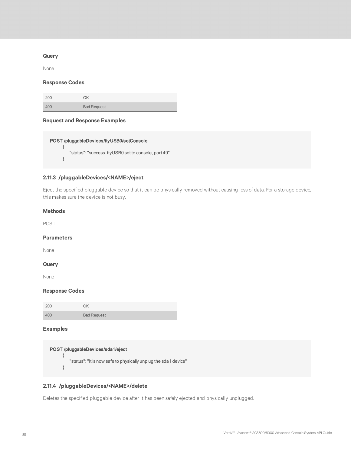#### **Query**

None

## **Response Codes**

| 200 | ЭK                 |
|-----|--------------------|
| 400 | <b>Bad Request</b> |

#### **Request and Response Examples**

```
POST /pluggableDevices/ttyUSB0/setConsole
      {
         "status": "success. ttyUSB0 set to console, port 49"
     }
```
## **2.11.3 /pluggableDevices/<NAME>/eject**

Eject the specified pluggable device so that it can be physically removed without causing loss of data. For a storage device, this makes sure the device is not busy.

## **Methods**

POST

## **Parameters**

None

#### **Query**

None

### **Response Codes**

| 200 | ОK                 |
|-----|--------------------|
| 400 | <b>Bad Request</b> |

#### **Examples**

## POST /pluggableDevices/sda1/eject

{ "status": "It is now safe to physically unplug the sda1 device" }

## **2.11.4 /pluggableDevices/<NAME>/delete**

Deletes the specified pluggable device after it has been safely ejected and physically unplugged.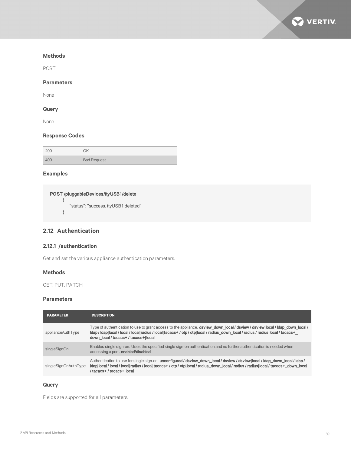

#### **Methods**

POST

## **Parameters**

None

## **Query**

None

## **Response Codes**

| 200 | ОK                 |
|-----|--------------------|
| 400 | <b>Bad Request</b> |

## **Examples**

## POST /pluggableDevices/ttyUSB1/delete

{ "status": "success. ttyUSB1 deleted"

# }

# **2.12 Authentication**

## **2.12.1 /authentication**

Get and set the various appliance authentication parameters.

#### **Methods**

GET, PUT, PATCH

## **Parameters**

| <b>PARAMETER</b>     | <b>DESCRIPTION</b>                                                                                                                                                                                                                                                                              |
|----------------------|-------------------------------------------------------------------------------------------------------------------------------------------------------------------------------------------------------------------------------------------------------------------------------------------------|
| applianceAuthType    | Type of authentication to use to grant access to the appliance. dsview_down_local/dsview/dsview local/ldap_down_local/<br>ldap / ldap local / local / local radius / local tacacs+ / otp / otp local / radius_down_local / radius / radius local / tacacs+<br>down local/tacacs+/tacacs+llocal  |
| singleSignOn         | Enables single sign-on. Uses the specified single sign-on authentication and no further authentication is needed when<br>accessing a port. enabled/disabled                                                                                                                                     |
| singleSignOnAuthType | Authentication to use for single sign-on. unconfigured / dsview_down_local / dsview / dsview local / Idap_down_local / Idap /<br>Idap local / local / local radius / local tacacs+ / otp / otp local / radius_down_local / radius / radius local / tacacs+_down_local<br>/tacacs+/tacacs+ local |

## **Query**

Fields are supported for all parameters.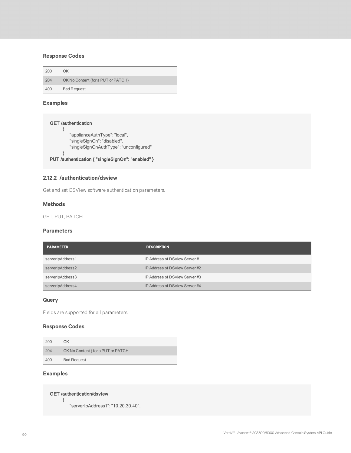| 200 | ΟK                                 |
|-----|------------------------------------|
| 204 | OK No Content (for a PUT or PATCH) |
| 400 | <b>Bad Request</b>                 |

## **Examples**

## GET /authentication

```
{
   "applianceAuthType": "local",
   "singleSignOn": "disabled",
   "singleSignOnAuthType": "unconfigured"
}
```
## PUT /authentication { "singleSignOn": "enabled" }

### **2.12.2 /authentication/dsview**

Get and set DSView software authentication parameters.

## **Methods**

GET, PUT, PATCH

#### **Parameters**

| <b>PARAMETER</b> | <b>DESCRIPTION</b>             |
|------------------|--------------------------------|
| serverIpAddress1 | IP Address of DSView Server #1 |
| serverIpAddress2 | IP Address of DSView Server #2 |
| serverIpAddress3 | IP Address of DSView Server #3 |
| serverIpAddress4 | IP Address of DSView Server #4 |

#### **Query**

Fields are supported for all parameters.

## **Response Codes**

| 200 | ΟK                                 |
|-----|------------------------------------|
| 204 | OK No Content ) for a PUT or PATCH |
| 400 | <b>Bad Request</b>                 |

## **Examples**

{

#### GET /authentication/dsview

"serverIpAddress1": "10.20.30.40",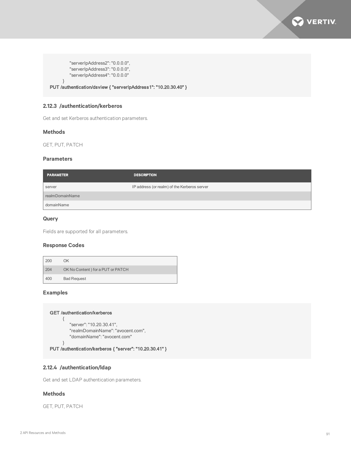

```
"serverIpAddress2": "0.0.0.0",
         "serverIpAddress3": "0.0.0.0",
         "serverIpAddress4": "0.0.0.0"
      }
PUT /authentication/dsview { "serverIpAddress1": "10.20.30.40" }
```
#### **2.12.3 /authentication/kerberos**

Get and set Kerberos authentication parameters.

## **Methods**

GET, PUT, PATCH

### **Parameters**

| <b>PARAMETER</b> | <b>DESCRIPTION</b>                           |
|------------------|----------------------------------------------|
| server           | IP address (or realm) of the Kerberos server |
| realmDomainName  |                                              |
| domainName       |                                              |

#### **Query**

Fields are supported for all parameters.

## **Response Codes**

| 200 | OK                                 |
|-----|------------------------------------|
| 204 | OK No Content ) for a PUT or PATCH |
| 400 | <b>Bad Request</b>                 |

#### **Examples**

```
GET /authentication/kerberos
     {
         "server": "10.20.30.41",
         "realmDomainName": "avocent.com",
         "domainName": "avocent.com"
     }
PUT /authentication/kerberos { "server": "10.20.30.41" }
```
## **2.12.4 /authentication/ldap**

Get and set LDAP authentication parameters.

#### **Methods**

GET, PUT, PATCH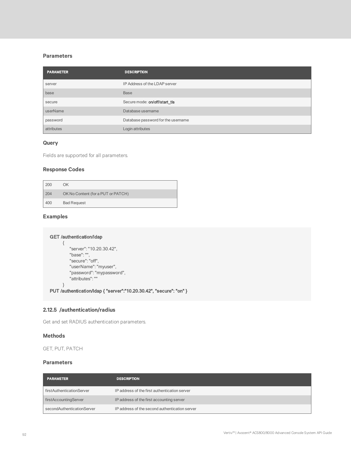#### **Parameters**

| <b>PARAMETER</b> | <b>DESCRIPTION</b>                 |
|------------------|------------------------------------|
| server           | IP Address of the LDAP server      |
| base             | Base                               |
| secure           | Secure mode: on/off/start_tls      |
| userName         | Database username                  |
| password         | Database password for the username |
| attributes       | Login attributes                   |

#### **Query**

Fields are supported for all parameters.

## **Response Codes**

| 200 | OK                                 |
|-----|------------------------------------|
| 204 | OK No Content (for a PUT or PATCH) |
| 400 | <b>Bad Request</b>                 |

## **Examples**

```
GET /authentication/ldap
     {
        "server": "10.20.30.42",
        "base": "",
         "secure": "off",
         "userName": "myuser",
         "password": "mypassword",
         "attributes": ""
      }
PUT /authentication/Idap { "server":"10.20.30.42", "secure": "on" }
```
## **2.12.5 /authentication/radius**

Get and set RADIUS authentication parameters.

## **Methods**

GET, PUT, PATCH

### **Parameters**

| <b>PARAMETER</b>           | <b>DESCRIPTION</b>                             |
|----------------------------|------------------------------------------------|
| firstAuthenticationServer  | IP address of the first authentication server  |
| firstAccountingServer      | IP address of the first accounting server      |
| secondAuthenticationServer | IP address of the second authentication server |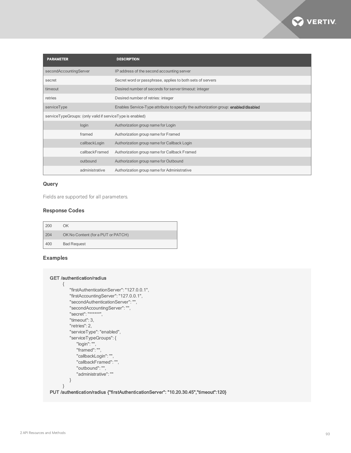

| <b>PARAMETER</b>       |                                                           | <b>DESCRIPTION</b>                                                                  |
|------------------------|-----------------------------------------------------------|-------------------------------------------------------------------------------------|
| secondAccountingServer |                                                           | IP address of the second accounting server                                          |
| secret                 |                                                           | Secret word or passphrase, applies to both sets of servers                          |
| timeout                |                                                           | Desired number of seconds for server timeout: integer                               |
| retries                |                                                           | Desired number of retries: integer                                                  |
| serviceType            |                                                           | Enables Service-Type attribute to specify the authorization group: enabled/disabled |
|                        | serviceTypeGroups: (only valid if serviceType is enabled) |                                                                                     |
|                        | login                                                     | Authorization group name for Login                                                  |
|                        | framed                                                    | Authorization group name for Framed                                                 |
|                        | callbackLogin                                             | Authorization group name for Callback Login                                         |
|                        | callbackFramed                                            | Authorization group name for Callback Framed                                        |
|                        | outbound                                                  | Authorization group name for Outbound                                               |
|                        | administrative                                            | Authorization group name for Administrative                                         |

## **Query**

Fields are supported for all parameters.

## **Response Codes**

| 200 | ΟK                                 |
|-----|------------------------------------|
| 204 | OK No Content (for a PUT or PATCH) |
| 400 | <b>Bad Request</b>                 |

## **Examples**

| "firstAuthenticationServer": "127.0.0.1", |
|-------------------------------------------|
| "firstAccountingServer": "127.0.0.1",     |
| "secondAuthenticationServer": "",         |
| "secondAccountingServer": "",             |
| "secret": "******".                       |
| "timeout": 3,                             |
| "retries": 2.                             |
| "serviceType": "enabled",                 |
| "serviceTypeGroups": {                    |
| "login": "",                              |
| "framed": "".                             |
| "callbackLogin": "",                      |
| "callbackFramed": "".                     |
| "outbound": "".                           |
| "administrative": ""                      |
|                                           |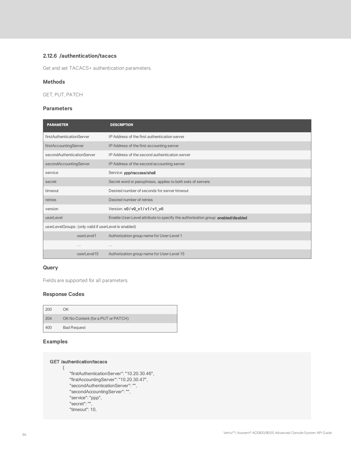## **2.12.6 /authentication/tacacs**

Get and set TACACS+ authentication parameters.

## **Methods**

GET, PUT, PATCH

#### **Parameters**

| <b>PARAMETER</b>                                      | <b>DESCRIPTION</b>                                                               |
|-------------------------------------------------------|----------------------------------------------------------------------------------|
| firstAuthenticationServer                             | IP Address of the first authentication server                                    |
| firstAccountingServer                                 | IP Address of the first accounting server                                        |
| secondAuthenticationServer                            | IP Address of the second authentication server                                   |
| secondAccountingServer                                | IP Address of the second accounting server                                       |
| service                                               | Service: ppp/raccess/shell                                                       |
| secret                                                | Secret word or passphrase, applies to both sets of servers                       |
| timeout                                               | Desired number of seconds for server timeout                                     |
| retries                                               | Desired number of retries                                                        |
| version                                               | Version: v0/v0_v1/v1/v1_v0                                                       |
| userLevel                                             | Enable User-Level attribute to specify the authorization group: enabled/disabled |
| userLevelGroups: (only valid if userLevel is enabled) |                                                                                  |
| userLevel1                                            | Authorization group name for User-Level 1                                        |
| $\cdots$                                              | $\cdots$                                                                         |
| userLevel15                                           | Authorization group name for User-Level 15                                       |

## **Query**

Fields are supported for all parameters.

## **Response Codes**

| 200 | ΩK                                 |
|-----|------------------------------------|
| 204 | OK No Content (for a PUT or PATCH) |
| 400 | <b>Bad Request</b>                 |

## **Examples**

{

## GET /authentication/tacacs

"firstAuthenticationServer": "10.20.30.46", "firstAccountingServer": "10.20.30.47", "secondAuthenticationServer": "", "secondAccountingServer": "", "service": "ppp", "secret": "", "timeout": 10,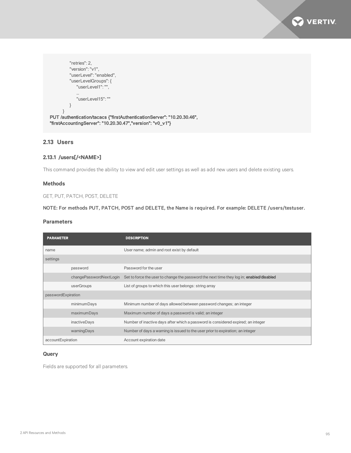

```
"retries": 2,
          "version": "v1",
         "userLevel": "enabled",
          "userLevelGroups": {
             "userLevel1": "",
              …
              "userLevel15": ""
         }
       }
PUT /authentication/tacacs {"firstAuthenticationServer": "10.20.30.46",
```

```
"firstAccountingServer": "10.20.30.47","version": "v0_v1"}
```
## **2.13 Users**

## **2.13.1 /users[/<NAME>]**

This command provides the ability to view and edit user settings as well as add new users and delete existing users.

## **Methods**

GET, PUT, PATCH, POST, DELETE

NOTE: For methods PUT, PATCH, POST and DELETE, the Name is required. For example: DELETE /users/testuser.

#### **Parameters**

| <b>PARAMETER</b>   |                         | <b>DESCRIPTION</b>                                                                       |
|--------------------|-------------------------|------------------------------------------------------------------------------------------|
| name               |                         | User name; admin and root exist by default                                               |
| settings           |                         |                                                                                          |
|                    | password                | Password for the user                                                                    |
|                    | changePasswordNextLogin | Set to force the user to change the password the next time they log in: enabled/disabled |
|                    | userGroups              | List of groups to which this user belongs: string array                                  |
| passwordExpiration |                         |                                                                                          |
|                    | minimumDays             | Minimum number of days allowed between password changes; an integer                      |
|                    | maximumDays             | Maximum number of days a password is valid; an integer                                   |
|                    | inactiveDays            | Number of inactive days after which a password is considered expired; an integer         |
|                    | warningDays             | Number of days a warning is issued to the user prior to expiration; an integer           |
| accountExpiration  |                         | Account expiration date                                                                  |

#### **Query**

Fields are supported for all parameters.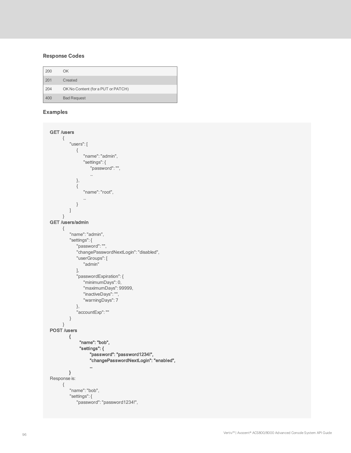| 200 | ОK                                 |
|-----|------------------------------------|
| 201 | Created                            |
| 204 | OK No Content (for a PUT or PATCH) |
| 400 | <b>Bad Request</b>                 |

### **Examples**

```
GET /users
     {
         "users": [
            {
                "name": "admin",
                "settings": {
                   "password": "",
                   …
            },
            {
                "name": "root",
                …
             }
          ]
      }
GET /users/admin
     { 
         "name": "admin",
         "settings": {
            "password": "",
            "changePasswordNextLogin": "disabled",
            "userGroups": [
                "admin"
            ],
            "passwordExpiration": {
                "minimumDays": 0,
                "maximumDays": 99999,
                "inactiveDays": "",
                "warningDays": 7
            },
            "accountExp": ""
         }
     }
POST /users
         {
              "name": "bob",
              "settings": {
                   "password": "password1234!",
                   "changePasswordNextLogin": "enabled",
                   …
         }
Response is:
     { 
         "name": "bob",
         "settings": {
            "password": "password1234!",
```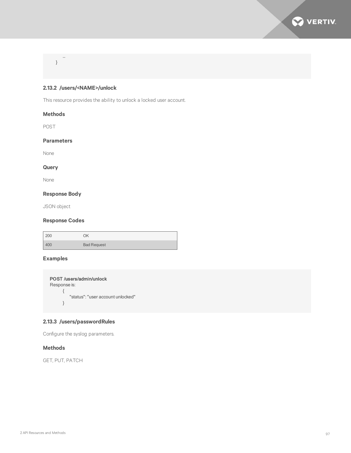

}

…

## **2.13.2 /users/<NAME>/unlock**

This resource provides the ability to unlock a locked user account.

## **Methods**

POST

#### **Parameters**

None

#### **Query**

None

## **Response Body**

JSON object

## **Response Codes**

| 200 | OK                 |
|-----|--------------------|
| 400 | <b>Bad Request</b> |

## **Examples**

```
POST /users/admin/unlock
Response is:
     {
         "status": "user account unlocked"
     }
```
## **2.13.3 /users/passwordRules**

Configure the syslog parameters.

### **Methods**

GET, PUT, PATCH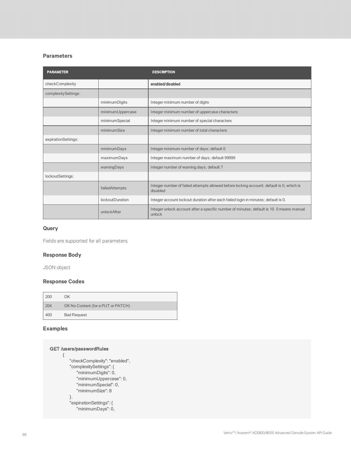#### **Parameters**

| <b>PARAMETER</b>    |                  | <b>DESCRIPTION</b>                                                                                   |
|---------------------|------------------|------------------------------------------------------------------------------------------------------|
| checkComplexity     |                  | enabled/disabled                                                                                     |
| complexitySettings: |                  |                                                                                                      |
|                     | minimumDigits    | Integer minimum number of digits                                                                     |
|                     | minimumUppercase | Integer minimum number of uppercase characters                                                       |
|                     | minimumSpecial   | Integer minimum number of special characters                                                         |
|                     | minimumSize      | Integer minimum number of total characters                                                           |
| expirationSettings: |                  |                                                                                                      |
|                     | minimumDays      | Integer minimum number of days; default 0                                                            |
|                     | maximumDays      | Integer maximum number of days; default 99999                                                        |
|                     | warningDays      | Integer number of warning days; default 7                                                            |
| lockoutSettings:    |                  |                                                                                                      |
|                     | failedAttempts   | Integer number of failed attempts allowed before locking account; default is 0, which is<br>disabled |
|                     | lockoutDuration  | Integer account lockout duration after each failed login in minutes; default is 0.                   |
|                     | unlockAfter      | Integer unlock account after a specific number of minutes; default is 10. 0 means manual<br>unlock   |

## **Query**

Fields are supported for all parameters.

# **Response Body**

JSON object

## **Response Codes**

| 200 | OK.                                |
|-----|------------------------------------|
| 204 | OK No Content (for a PUT or PATCH) |
| 400 | <b>Bad Request</b>                 |

# **Examples**

| <b>GET /users/passwordRules</b> |  |
|---------------------------------|--|
|                                 |  |
| "checkComplexity": "enabled",   |  |
| "complexitySettings": {         |  |
| "minimumDigits": 0,             |  |
| "minimumUppercase": 0,          |  |
| "minimumSpecial": 0,            |  |
| "minimumSize": 8                |  |
| },                              |  |
| "expirationSettings": {         |  |
| "minimumDays": 0,               |  |
|                                 |  |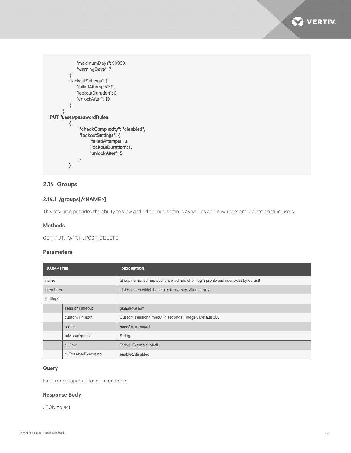

```
"maximumDays": 99999,
            "warningDays": 7,
         },
         "lockoutSettings": {
            "failedAttempts": 0,
            "lockoutDuration": 0,
            "unlockAfter": 10
         }
      }
PUT /users/passwordRules
        {
              "checkComplexity": "disabled",
              "lockoutSettings": {
                   "failedAttempts":3,
                   "lockoutDuration":1,
                   "unlockAfter": 5
             }
        }
```
## **2.14 Groups**

## **2.14.1 /groups[/<NAME>]**

This resource provides the ability to view and edit group settings as well as add new users and delete existing users.

## **Methods**

GET, PUT, PATCH, POST, DELETE

#### **Parameters**

| <b>PARAMETER</b> |                       | <b>DESCRIPTION</b>                                                                 |
|------------------|-----------------------|------------------------------------------------------------------------------------|
| name             |                       | Group name. admin, appliance-admin, shell-login-profile and user exist by default. |
| members          |                       | List of users which belong to this group. String array.                            |
| settings         |                       |                                                                                    |
|                  | sessionTimeout        | global/custom                                                                      |
|                  | customTimeout         | Custom session timeout in seconds. Integer. Default 300.                           |
|                  | profile               | none/ts_menu/cli                                                                   |
|                  | tsMenuOptions         | String.                                                                            |
|                  | cliCmd                | String. Example: shell.                                                            |
|                  | cliExitAfterExecuting | enabled/disabled                                                                   |

### **Query**

Fields are supported for all parameters.

### **Response Body**

JSON object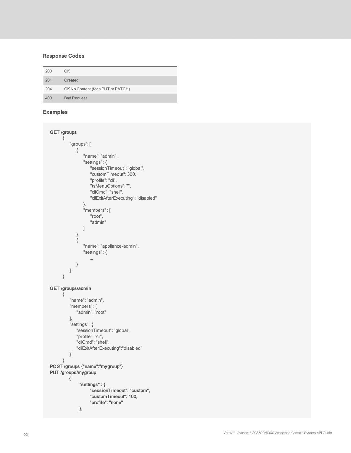| 200 | OK                                 |
|-----|------------------------------------|
| 201 | Created                            |
| 204 | OK No Content (for a PUT or PATCH) |
| 400 | <b>Bad Request</b>                 |

### **Examples**

```
GET /groups
      {
          "groups": [
             {
                "name": "admin",
                "settings" : {
                    "sessionTimeout": "global",
                    "customTimeout": 300,
                    "profile": "cli",
                    "tsMenuOptions": "",
                    "cliCmd": "shell",
                    "cliExitAfterExecuting": "disabled"
                },
                 "members" : [
                    "root",
                    "admin"
                ]
             },
             {
                "name": "appliance-admin",
                "settings" : {
                    …
             }
         \mathbf{I}}
GET /groups/admin
      {
         "name": "admin",
         "members" : [
             "admin", "root"
         ],
          "settings" : {
             "sessionTimeout": "global",
             "profile": "cli",
             "cliCmd": "shell",
             "cliExitAfterExecuting":"disabled"
         }
      }
POST /groups {"name":"mygroup"}
PUT /groups/mygroup
         {
               "settings" : {
                    "sessionTimeout": "custom",
                    "customTimeout": 100,
                    "profile": "none"
              },
```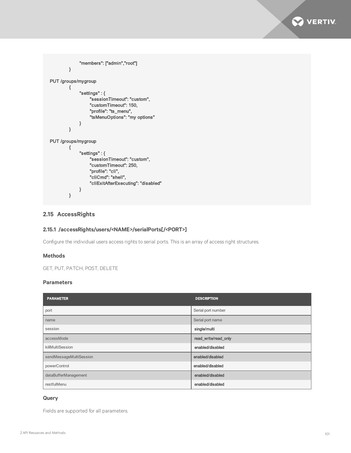

```
"members": ["admin","root"]
        }
PUT /groups/mygroup
         {
              "settings" : {
                   "sessionTimeout": "custom",
                   "customTimeout": 150,
                   "profile": "ts_menu",
                   "tsMenuOptions": "my options"
             }
        }
PUT /groups/mygroup
         {
              "settings" : {
                  "sessionTimeout": "custom",
                  "customTimeout": 250,
                  "profile": "cli",
                  "cliCmd": "shell",
                  "cliExitAfterExecuting": "disabled"
             }
        }
```
## **2.15 AccessRights**

## **2.15.1 /accessRights/users/<NAME>/serialPorts[/<PORT>]**

Configure the individual users access rights to serial ports. This is an array of access right structures.

### **Methods**

GET, PUT, PATCH, POST, DELETE

### **Parameters**

| <b>PARAMETER</b>        | <b>DESCRIPTION</b>   |
|-------------------------|----------------------|
| port                    | Serial port number   |
| name                    | Serial port name     |
| session                 | single/multi         |
| accessMode              | read_write/read_only |
| killMultiSession        | enabled/disabled     |
| sendMessageMultiSession | enabled/disabled     |
| powerControl            | enabled/disabled     |
| dataBufferManagement    | enabled/disabled     |
| restfulMenu             | enabled/disabled     |

### **Query**

Fields are supported for all parameters.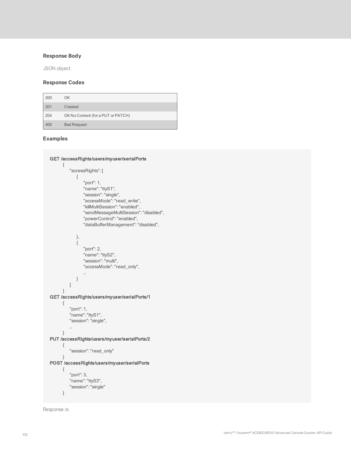### **Response Body**

JSON object

### **Response Codes**

| 200 | OK                                 |
|-----|------------------------------------|
| 201 | Created                            |
| 204 | OK No Content (for a PUT or PATCH) |
| 400 | <b>Bad Request</b>                 |

### **Examples**

```
GET /accessRights/users/myuser/serialPorts
      {
         "accessRights": [
            {
                "port": 1,
                "name": "ttyS1",
                "session": "single",
                "accessMode": "read_write",
                "killMultiSession": "enabled",
                "sendMessageMultiSession": "disabled",
                "powerControl": "enabled",
                "dataBufferManagement": "disabled",
            },
            {
                "port": 2,
                "name": "ttyS2",
                "session": "multi",
                "accessMode": "read_only",
                …
            }
         \mathbf{I}}
GET /accessRights/users/myuser/serialPorts/1
      {
         "port": 1,
         "name": "ttyS1",
         "session": "single",
          …
      }
PUT /accessRights/users/myuser/serialPorts/2
      {
         "session": "read_only"
      }
POST /accessRights/users/myuser/serialPorts
      {
         "port": 3,
         "name": "ttyS3",
         "session": "single"
      }
```

```
Response is:
```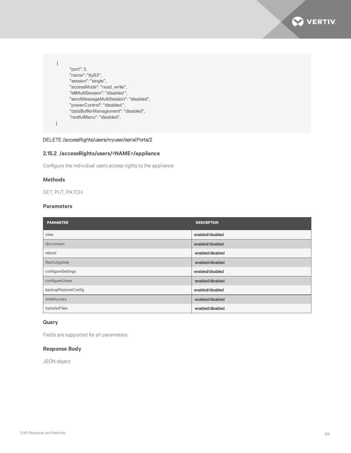

{ "port": 3, "name": "ttyS3", "session": "single", "accessMode": "read\_write", "killMultiSession": "disabled ", "sendMessageMultiSession": "disabled", "powerControl": "disabled ", "dataBufferManagement": "disabled", "restfulMenu": "disabled", }

## DELETE /accessRights/users/myuser/serialPorts/2

### **2.15.2 /accessRights/users/<NAME>/appliance**

Configure the individual users access rights to the appliance.

### **Methods**

GET, PUT, PATCH

### **Parameters**

| <b>PARAMETER</b>    | <b>DESCRIPTION</b> |
|---------------------|--------------------|
| view                | enabled/disabled   |
| disconnect          | enabled/disabled   |
| reboot              | enabled/disabled   |
| flashUpgrade        | enabled/disabled   |
| configureSettings   | enabled/disabled   |
| configureUsers      | enabled/disabled   |
| backupRestoreConfig | enabled/disabled   |
| shellAccess         | enabled/disabled   |
| transferFiles       | enabled/disabled   |

## **Query**

Fields are supported for all parameters.

### **Response Body**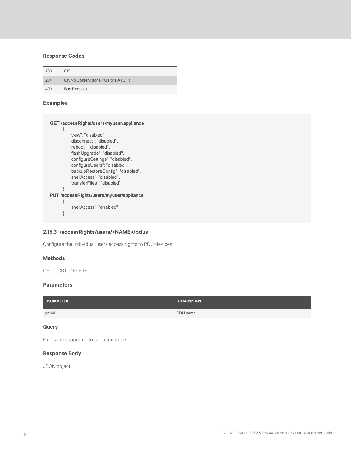| 200 | OK.                                |
|-----|------------------------------------|
| 204 | OK No Content (for a PUT or PATCH) |
| 400 | <b>Bad Request</b>                 |

### **Examples**

| GET/accessRights/users/myuser/appliance  |
|------------------------------------------|
|                                          |
| "view": "disabled".                      |
| "disconnect": "disabled",                |
| "reboot": "disabled".                    |
| "flashUpgrade": "disabled",              |
| "configureSettings": "disabled",         |
| "configureUsers": "disabled",            |
| "backupRestoreConfig": "disabled",       |
| "shellAccess": "disabled".               |
| "transferFiles": "disabled"              |
|                                          |
| PUT /accessRights/users/myuser/appliance |
|                                          |
| "shellAccess": "enabled"                 |
|                                          |
|                                          |

## **2.15.3 /accessRights/users/<NAME>/pdus**

Configure the individual users access rights to PDU devices.

## **Methods**

GET, POST, DELETE

## **Parameters**

| <b>PARAMETER</b> | <b>DESCRIPTION</b> |
|------------------|--------------------|
| pduld            | PDU name           |

## **Query**

Fields are supported for all parameters.

## **Response Body**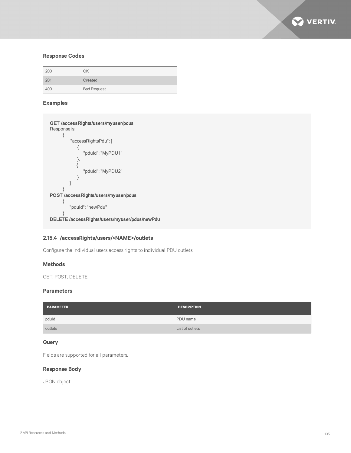

| 200 | OK                 |
|-----|--------------------|
| 201 | Created            |
| 400 | <b>Bad Request</b> |

### **Examples**



## **2.15.4 /accessRights/users/<NAME>/outlets**

Configure the individual users access rights to individual PDU outlets

### **Methods**

GET, POST, DELETE

### **Parameters**

| <b>PARAMETER</b> | <b>DESCRIPTION</b> |
|------------------|--------------------|
| pduld            | PDU name           |
| outlets          | List of outlets    |

## **Query**

Fields are supported for all parameters.

### **Response Body**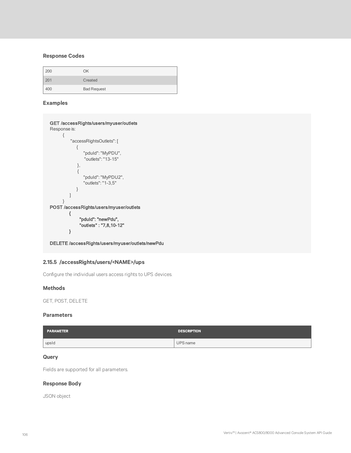| 200 | OK                 |
|-----|--------------------|
| 201 | Created            |
| 400 | <b>Bad Request</b> |

### **Examples**

```
GET /accessRights/users/myuser/outlets
Response is:
     {
         "accessRightsOutlets": [
            {
               "pduId": "MyPDU",
                "outlets": "13-15"
            },
             {
               "pduId": "MyPDU2",
               "outlets": "1-3,5"
            }
         \, \, \,}
POST /accessRights/users/myuser/outlets
         {
              "pduId": "newPdu",
              "outlets" : "7,8,10-12"
         }
DELETE /accessRights/users/myuser/outlets/newPdu
```
# **2.15.5 /accessRights/users/<NAME>/ups**

Configure the individual users access rights to UPS devices.

### **Methods**

GET, POST, DELETE

### **Parameters**

| PARAMETER | <b>DESCRIPTION</b> |
|-----------|--------------------|
| upsId     | UPS name           |

## **Query**

Fields are supported for all parameters.

### **Response Body**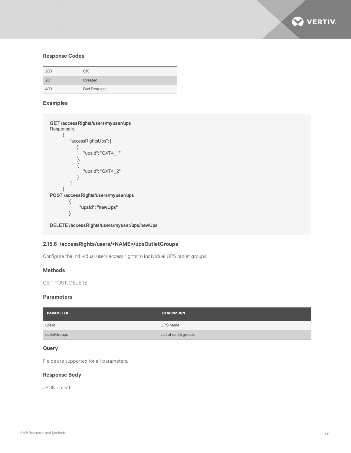

| 200 | OK                 |
|-----|--------------------|
| 201 | Created            |
| 400 | <b>Bad Request</b> |

### **Examples**

```
GET /accessRights/users/myuser/ups
Response is:
     {
        "accessRightsUps": [
           {
              "upsId": "GXT4_1"
           },
           {
              "upsId": "GXT4_2"
           }
        ]
     }
POST /accessRights/users/myuser/ups
        {
             "upsId": "newUps"
        }
DELETE /accessRights/users/myuser/ups/newUps
```
### **2.15.6 /accessRights/users/<NAME>/upsOutletGroups**

Configure the individual users access rights to individual UPS outlet groups.

### **Methods**

GET, POST, DELETE

### **Parameters**

| <b>PARAMETER</b> | <b>DESCRIPTION</b>    |
|------------------|-----------------------|
| upsId            | UPS name              |
| outletGroups     | List of outlet groups |

### **Query**

Fields are supported for all parameters.

## **Response Body**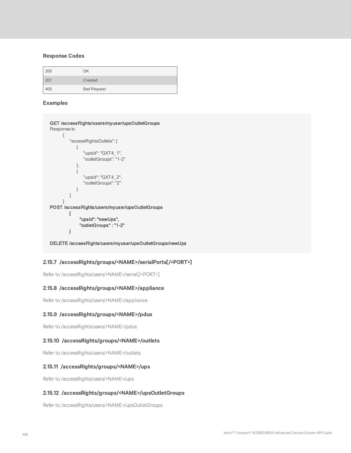| 200 | OK                 |
|-----|--------------------|
| 201 | Created            |
| 400 | <b>Bad Request</b> |

### **Examples**



DELETE /accessRights/users/myuser/upsOutletGroups/newUps

### **2.15.7 /accessRights/groups/<NAME>/serialPorts[/<PORT>]**

Refer to /accessRights/users/<NAME>/serial[/<PORT>].

### **2.15.8 /accessRights/groups/<NAME>/appliance**

Refer to /accessRights/users/<NAME>/appliance.

### **2.15.9 /accessRights/groups/<NAME>/pdus**

Refer to /accessRights/users/<NAME>/pdus.

### **2.15.10 /accessRights/groups/<NAME>/outlets**

Refer to /accessRights/users/<NAME>/outlets.

### **2.15.11 /accessRights/groups/<NAME>/ups**

Refer to /accessRights/users/<NAME>/ups.

### **2.15.12 /accessRights/groups/<NAME>/upsOutletGroups**

Refer to /accessRights/users/<NAME>/upsOutletGroups.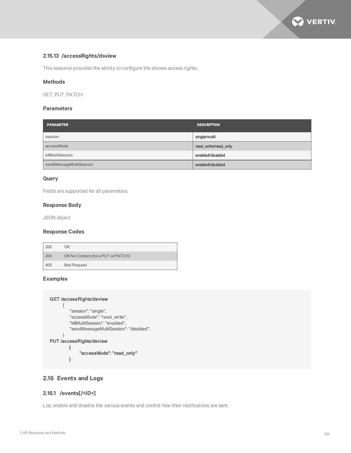

### **2.15.13 /accessRights/dsview**

This resource provides the ability to configure the dsview access rights.

### **Methods**

GET, PUT, PATCH

### **Parameters**

| <b>PARAMETER</b>        | <b>DESCRIPTION</b>   |
|-------------------------|----------------------|
| session                 | single/multi         |
| accessMode              | read_write/read_only |
| killMultiSession        | enabled/disabled     |
| sendMessageMultiSession | enabled/disabled     |

### **Query**

Fields are supported for all parameters.

### **Response Body**

JSON object

### **Response Codes**

| 200 | ΩK                                 |
|-----|------------------------------------|
| 204 | OK No Content (for a PUT or PATCH) |
| 400 | <b>Bad Request</b>                 |

### **Examples**

```
GET /accessRights/dsview
     {
         "session": "single",
         "accessMode": "read_write",
         "killMultiSession": "enabled",
         "sendMessageMultiSession": "disabled",
      }
PUT /accessRights/dsview
        {
              "accessMode": "read_only"
        }
```
## **2.16 Events and Logs**

## **2.16.1 /events[/<ID>]**

List, enable and disable the various events and control how their notifications are sent.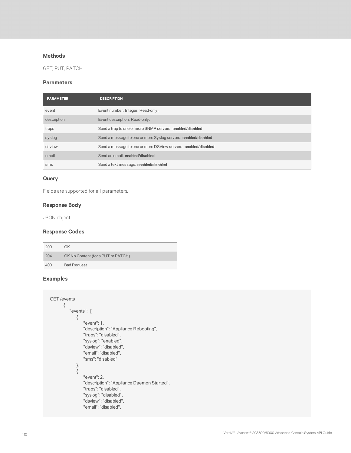### **Methods**

GET, PUT, PATCH

## **Parameters**

| <b>PARAMETER</b> | <b>DESCRIPTION</b>                                             |
|------------------|----------------------------------------------------------------|
| event            | Event number. Integer. Read-only.                              |
| description      | Event description. Read-only.                                  |
| traps            | Send a trap to one or more SNMP servers. enabled/disabled      |
| syslog           | Send a message to one or more Syslog servers. enabled/disabled |
| dsview           | Send a message to one or more DSView servers. enabled/disabled |
| email            | Send an email. enabled/disabled                                |
| sms              | Send a text message. enabled/disabled                          |

### **Query**

Fields are supported for all parameters.

## **Response Body**

JSON object

## **Response Codes**

| 200 | ΩK                                 |
|-----|------------------------------------|
| 204 | OK No Content (for a PUT or PATCH) |
| 400 | <b>Bad Request</b>                 |

## **Examples**

| <b>GET</b> /events |                                                                                                                                                             |
|--------------------|-------------------------------------------------------------------------------------------------------------------------------------------------------------|
| ł<br>"events": [   |                                                                                                                                                             |
| {                  | "event": 1.<br>"description": "Appliance Rebooting",<br>"traps": "disabled",<br>"syslog": "enabled",<br>"dsview": "disabled",<br>"email": "disabled",       |
| },                 | "sms": "disabled"                                                                                                                                           |
| $\{$               | "event": 2.<br>"description": "Appliance Daemon Started",<br>"traps": "disabled",<br>"syslog": "disabled",<br>"dsview": "disabled",<br>"email": "disabled", |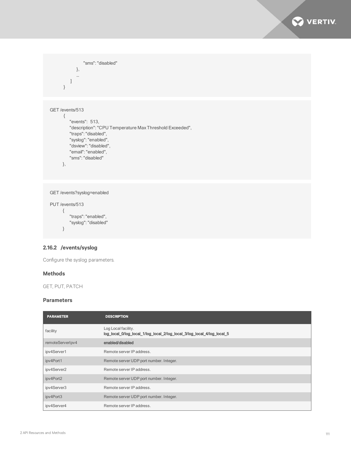

```
"sms": "disabled"
            },
             …
         ]
      }
GET /events/513
     {
        "events": 513,
        "description": "CPU Temperature Max Threshold Exceeded",
         "traps": "disabled",
         "syslog": "enabled",
        "dsview": "disabled",
        "email": "enabled",
        "sms": "disabled"
     },
GET /events?syslog=enabled
PUT /events/513
     {
        "traps": "enabled",
        "syslog": "disabled"
     }
```
## **2.16.2 /events/syslog**

Configure the syslog parameters.

## **Methods**

GET, PUT, PATCH

### **Parameters**

| <b>PARAMETER</b> | <b>DESCRIPTION</b>                                                                             |
|------------------|------------------------------------------------------------------------------------------------|
| facility         | Log Local facility.<br>log_local_0/log_local_1/log_local_2/log_local_3/log_local_4/log_local_5 |
| remoteServerIpv4 | enabled/disabled                                                                               |
| ipv4Server1      | Remote server IP address.                                                                      |
| ipv4Port1        | Remote server UDP port number. Integer.                                                        |
| ipv4Server2      | Remote server IP address.                                                                      |
| ipv4Port2        | Remote server UDP port number. Integer.                                                        |
| ipv4Server3      | Remote server IP address.                                                                      |
| ipv4Port3        | Remote server UDP port number. Integer.                                                        |
| ipv4Server4      | Remote server IP address.                                                                      |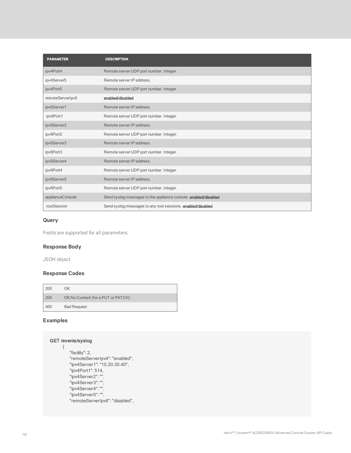| <b>PARAMETER</b> | <b>DESCRIPTION</b>                                              |
|------------------|-----------------------------------------------------------------|
| ipv4Port4        | Remote server UDP port number. Integer.                         |
| ipv4Server5      | Remote server IP address.                                       |
| ipv4Port5        | Remote server UDP port number. Integer.                         |
| remoteServerIpv6 | enabled/disabled                                                |
| ipv6Server1      | Remote server IP address.                                       |
| ipv6Port1        | Remote server UDP port number. Integer.                         |
| ipv6Server2      | Remote server IP address.                                       |
| ipv6Port2        | Remote server UDP port number. Integer.                         |
| ipv6Server3      | Remote server IP address.                                       |
| ipv6Port3        | Remote server UDP port number. Integer.                         |
| ipv6Server4      | Remote server IP address.                                       |
| ipv6Port4        | Remote server UDP port number. Integer.                         |
| ipv6Server5      | Remote server IP address.                                       |
| ipv6Port5        | Remote server UDP port number. Integer.                         |
| applianceConsole | Send syslog messages to the appliance console. enabled/disabled |
| rootSession      | Send syslog messages to any root sessions. enabled/disabled     |

### **Query**

Fields are supported for all parameters.

## **Response Body**

JSON object

## **Response Codes**

| 200 | ΟK                                 |
|-----|------------------------------------|
| 204 | OK No Content (for a PUT or PATCH) |
| 400 | <b>Bad Request</b>                 |

## **Examples**

## GET /events/syslog

{

```
"facility": 2,
"remoteServerIpv4": "enabled",
"ipv4Server1": "10.20.30.40",
"ipv4Port1": 514,
"ipv4Server2": "",
"ipv4Server3": "",
"ipv4Server4": "",
"ipv4Server5": "",
"remoteServerIpv6": "disabled",
```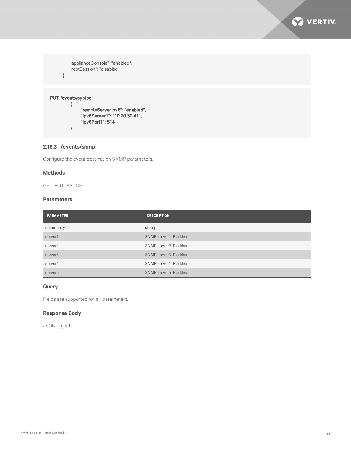

```
"applianceConsole": "enabled",
         "rootSession": "disabled"
     }
PUT /events/syslog
         {
              "remoteServerIpv6": "enabled",
```

```
"ipv6Server1": "10.20.30.41",
    "ipv6Port1": 514
}
```
## **2.16.3 /events/snmp**

Configure the event destination SNMP parameters.

### **Methods**

GET, PUT, PATCH

## **Parameters**

| <b>PARAMETER</b>    | <b>DESCRIPTION</b>      |
|---------------------|-------------------------|
| community           | string                  |
| server1             | SNMP server1 IP address |
| server <sub>2</sub> | SNMP server2 IP address |
| server3             | SNMP server3 IP address |
| server4             | SNMP server4 IP address |
| server <sub>5</sub> | SNMP server5 IP address |

## **Query**

Fields are supported for all parameters.

## **Response Body**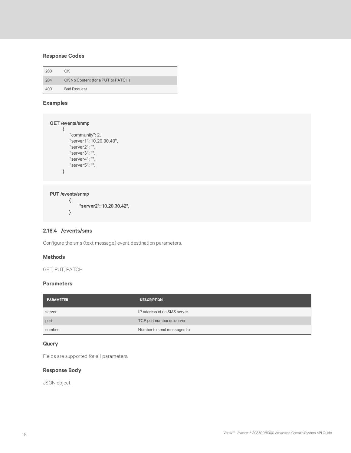| 200 | ОK                                 |
|-----|------------------------------------|
| 204 | OK No Content (for a PUT or PATCH) |
| 400 | <b>Bad Request</b>                 |

### **Examples**

## GET /events/snmp

}

```
{
   "community": 2,
    "server1": 10.20.30.40",
     "server2": "",
     "server3": "",
     "server4": "",
     "server5": "",
```

```
PUT /events/snmp
          \left\{ \right."server2": 10.20.30.42",
          }
```
## **2.16.4 /events/sms**

Configure the sms (text message) event destination parameters.

## **Methods**

GET, PUT, PATCH

## **Parameters**

| <b>PARAMETER</b> | <b>DESCRIPTION</b>          |
|------------------|-----------------------------|
| server           | IP address of an SMS server |
| port             | TCP port number on server   |
| number           | Number to send messages to  |

## **Query**

Fields are supported for all parameters.

### **Response Body**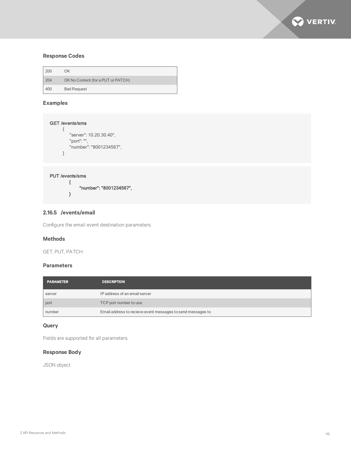

| 200 | ΟK                                 |
|-----|------------------------------------|
| 204 | OK No Content (for a PUT or PATCH) |
| 400 | <b>Bad Request</b>                 |

### **Examples**

| <b>GET</b> /events/sms |                         |
|------------------------|-------------------------|
|                        |                         |
|                        | "server": 10.20.30.40", |
|                        | "port": "",             |
|                        | "number": "8001234567", |
|                        |                         |

## PUT /events/sms

```
\{"number": "8001234567",
}
```
## **2.16.5 /events/email**

Configure the email event destination parameters.

## **Methods**

GET, PUT, PATCH

## **Parameters**

| <b>PARAMETER</b> | <b>DESCRIPTION</b>                                          |
|------------------|-------------------------------------------------------------|
| server           | IP address of an email server                               |
| port             | TCP port number to use                                      |
| number           | Email address to recieve event messages to send messages to |

### **Query**

Fields are supported for all parameters.

## **Response Body**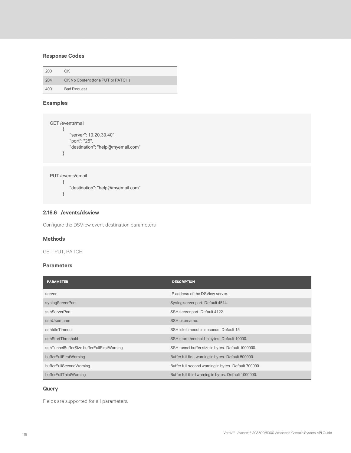| 200 | ΟK                                 |
|-----|------------------------------------|
| 204 | OK No Content (for a PUT or PATCH) |
| 400 | <b>Bad Request</b>                 |

## **Examples**

| GET/events/mail                   |
|-----------------------------------|
|                                   |
| "server": 10.20.30.40",           |
| "port": "25",                     |
| "destination": "help@myemail.com" |
|                                   |
|                                   |
|                                   |
| PUT /events/email                 |
|                                   |

"destination": "help@myemail.com"

}

## **2.16.6 /events/dsview**

Configure the DSView event destination parameters.

### **Methods**

GET, PUT, PATCH

## **Parameters**

| <b>PARAMETER</b>                           | <b>DESCRIPTION</b>                                   |
|--------------------------------------------|------------------------------------------------------|
| server                                     | IP address of the DSView server.                     |
| syslogServerPort                           | Syslog server port. Default 4514.                    |
| sshServerPort                              | SSH server port. Default 4122.                       |
| sshUsername                                | SSH username.                                        |
| sshldleTimeout                             | SSH idle timeout in seconds. Default 15.             |
| sshStartThreshold                          | SSH start threshold in bytes. Default 10000.         |
| sshTunnelBufferSize bufferFullFirstWarning | SSH tunnel buffer size in bytes. Default 1000000.    |
| bufferFullFirstWarning                     | Buffer full first warning in bytes. Default 500000.  |
| bufferFullSecondWarning                    | Buffer full second warning in bytes. Default 700000. |
| bufferFullThirdWarning                     | Buffer full third warning in bytes. Default 1000000. |

## **Query**

Fields are supported for all parameters.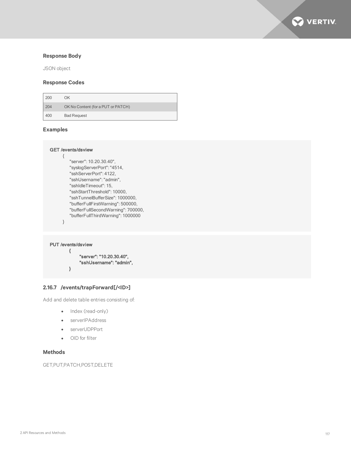

### **Response Body**

JSON object

### **Response Codes**

| 200 | ΩK                                 |
|-----|------------------------------------|
| 204 | OK No Content (for a PUT or PATCH) |
| 400 | <b>Bad Request</b>                 |

## **Examples**

## GET /events/dsview

}

```
{
   "server": 10.20.30.40",
   "syslogServerPort": "4514,
   "sshServerPort": 4122,
   "sshUsername": "admin",
   "sshIdleTimeout": 15,
   "sshStartThreshold": 10000,
   "sshTunnelBufferSize": 1000000,
   "bufferFullFirstWarning": 500000,
   "bufferFullSecondWarning": 700000,
    "bufferFullThirdWarning": 1000000
```

```
PUT /events/dsview
        {
             "server": "10.20.30.40",
             "sshUsername": "admin",
        }
```
## **2.16.7 /events/trapForward[/<ID>]**

Add and delete table entries consisting of:

- Index (read-only)
- serverIPAddress
- serverUDPPort
- OID for filter

## **Methods**

GET,PUT,PATCH,POST,DELETE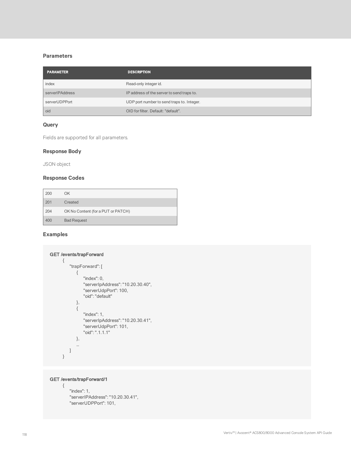### **Parameters**

| <b>PARAMETER</b> | <b>DESCRIPTION</b>                         |
|------------------|--------------------------------------------|
| index            | Read-only integer id.                      |
| serverIPAddress  | IP address of the server to send traps to. |
| serverUDPPort    | UDP port number to send traps to. Integer. |
| oid              | OID for filter. Default: "default".        |

#### **Query**

Fields are supported for all parameters.

### **Response Body**

JSON object

### **Response Codes**

| 200 | ΟK                                 |
|-----|------------------------------------|
| 201 | Created                            |
| 204 | OK No Content (for a PUT or PATCH) |
| 400 | <b>Bad Request</b>                 |

### **Examples**

```
GET /events/trapForward
      {
         "trapForward": [
           {
                "index": 0,
                "serverIpAddress": "10.20.30.40",
                "serverUdpPort": 100,
                "oid": "default"
            },
             {
                "index": 1,
                "serverIpAddress": "10.20.30.41",
                "serverUdpPort": 101,
                "oid": ".1.1.1"
            },
             …
         \, \, \,}
```
### GET /events/trapForward/1

{

```
"index": 1,
"serverIPAddress": "10.20.30.41",
"serverUDPPort": 101,
```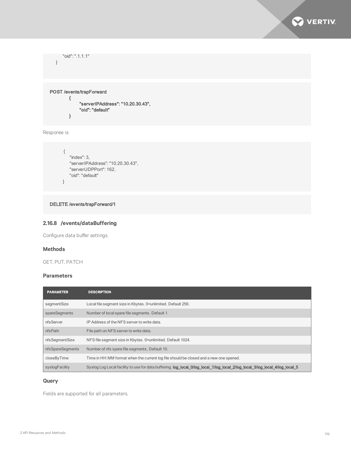

```
"oid": ".1.1.1"
     }
  POST /events/trapForward
           {
                "serverIPAddress": "10.20.30.43",
                "oid": "default"
           }
Response is:
         {
           "index": 3,
           "serverIPAddress": "10.20.30.43",
           "serverUDPPort": 162,
           "oid": "default"
        }
```
### DELETE /events/trapForward/1

## **2.16.8 /events/dataBuffering**

Configure data buffer settings.

### **Methods**

GET, PUT, PATCH

### **Parameters**

| <b>PARAMETER</b> | <b>DESCRIPTION</b>                                                                                                           |
|------------------|------------------------------------------------------------------------------------------------------------------------------|
| segmentSize      | Local file segment size in Kbytes. 0=unlimited. Default 256.                                                                 |
| spareSegments    | Number of local spare file segments. Default 1.                                                                              |
| nfsServer        | IP Address of the NFS server to write data.                                                                                  |
| nfsPath          | File path on NFS server to write data.                                                                                       |
| nfsSegmentSize   | NFS file segment size in Kbytes. 0=unlimited. Default 1024.                                                                  |
| nfsSpareSegments | Number of nfs spare file segments. Default 10.                                                                               |
| closeByTime      | Time in HH: MM format when the current log file should be closed and a new one opened.                                       |
| syslogFacility   | Syslog Log Local facility to use for data buffering. log_local_0/log_local_1/log_local_2/log_local_3/log_local_4/log_local_5 |

### **Query**

Fields are supported for all parameters.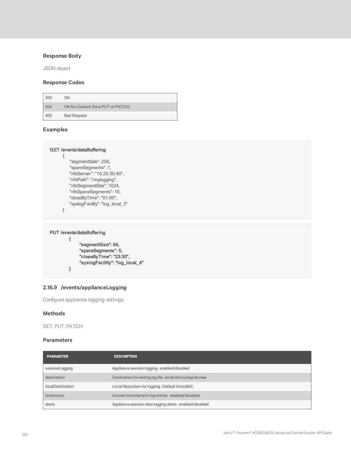### **Response Body**

JSON object

## **Response Codes**

| 200 | OK                                 |
|-----|------------------------------------|
| 204 | OK No Content (for a PUT or PATCH) |
| 400 | <b>Bad Request</b>                 |

## **Examples**

```
GET /events/dataBuffering
     {
         "segmentSize": 256,
         "spareSegments": 1,
         "nfsServer": "10.20.30.40",
         "nfsPath": "/mylogging",
         "nfsSegmentSize": 1024,
         "nfsSpareSegments": 10,
         "closeByTime": "01:00",
         "syslogFacility": "log_local_3"
     }
```
## PUT /events/dataBuffering

{

}

```
"segmentSize": 64,
"spareSegments": 5,
"closeByTime": "23:30",
"syslogFacility": "log_local_4"
```
## **2.16.9 /events/applianceLogging**

Configure appliance logging settings.

### **Methods**

GET, PUT, PATCH

## **Parameters**

| <b>PARAMETER</b> | <b>DESCRIPTION</b>                                        |
|------------------|-----------------------------------------------------------|
| sessionLogging   | Appliance session logging. enabled/disabled               |
| destination      | Destination for writing log file. local/nfs/syslog/dsview |
| localDestination | Local filesystem for logging. Default mmcblk0.            |
| timestamp        | Include timestamp in log entries, enabled/disabled        |
| alerts           | Appliance session data logging alerts. enabled/disabled   |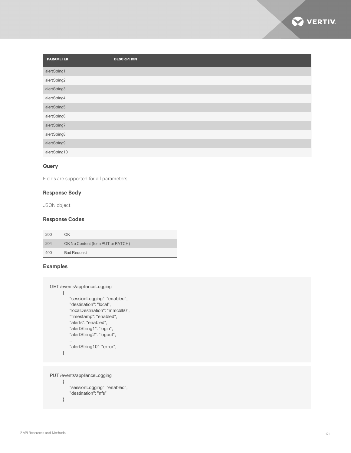

| <b>PARAMETER</b> | <b>DESCRIPTION</b> |
|------------------|--------------------|
| alertString1     |                    |
| alertString2     |                    |
| alertString3     |                    |
| alertString4     |                    |
| alertString5     |                    |
| alertString6     |                    |
| alertString7     |                    |
| alertString8     |                    |
| alertString9     |                    |
| alertString10    |                    |

### **Query**

Fields are supported for all parameters.

### **Response Body**

JSON object

### **Response Codes**

| 200 | ΩK                                 |
|-----|------------------------------------|
| 204 | OK No Content (for a PUT or PATCH) |
| 400 | <b>Bad Request</b>                 |

### **Examples**

```
GET /events/applianceLogging {
          "sessionLogging": "enabled",
         "destination": "local",
         "localDestination": "mmcblk0",
         "timestamp": "enabled",
         "alerts": "enabled",
          "alertString1": "login",
          "alertString2": "logout", …
          "alertString10": "error",
      }
PUT /events/applianceLogging {
         "sessionLogging": "enabled",
         "destination": "nfs"
      }
```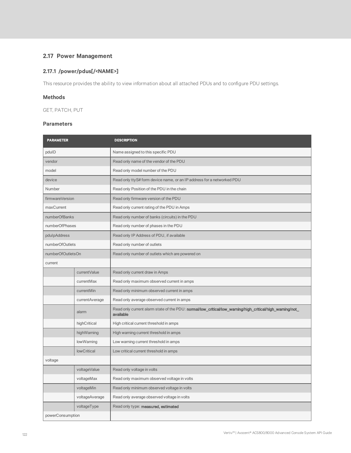## **2.17 Power Management**

## **2.17.1 /power/pdus[/<NAME>]**

This resource provides the ability to view information about all attached PDUs and to configure PDU settings.

## **Methods**

GET, PATCH, PUT

## **Parameters**

| <b>PARAMETER</b>  |                | <b>DESCRIPTION</b>                                                                                                     |
|-------------------|----------------|------------------------------------------------------------------------------------------------------------------------|
| pdulD             |                | Name assigned to this specific PDU                                                                                     |
| vendor            |                | Read only name of the vendor of the PDU                                                                                |
| model             |                | Read only model number of the PDU                                                                                      |
| device            |                | Read only ttyS# form device name, or an IP address for a networked PDU                                                 |
| Number            |                | Read only Position of the PDU in the chain                                                                             |
| firmwareVersion   |                | Read only firmware version of the PDU                                                                                  |
| maxCurrent        |                | Read only current rating of the PDU in Amps                                                                            |
| numberOfBanks     |                | Read only number of banks (circuits) in the PDU                                                                        |
| numberOfPhases    |                | Read only number of phases in the PDU                                                                                  |
| pdulpAddress      |                | Read only IP Address of PDU, if available                                                                              |
| numberOfOutlets   |                | Read only number of outlets                                                                                            |
| numberOfOutletsOn |                | Read only number of outlets which are powered on                                                                       |
| current           |                |                                                                                                                        |
|                   | currentValue   | Read only current draw in Amps                                                                                         |
|                   | currentMax     | Read only maximum observed current in amps                                                                             |
|                   | currentMin     | Read only minimum observed current in amps                                                                             |
|                   | currentAverage | Read only average observed current in amps                                                                             |
|                   | alarm          | Read only current alarm state of the PDU: normal/low_critical/low_warning/high_critical/high_warning/not_<br>available |
|                   | highCritical   | High critical current threshold in amps                                                                                |
|                   | highWarning    | High warning current threshold in amps                                                                                 |
|                   | lowWarning     | Low warning current threshold in amps                                                                                  |
|                   | lowCritical    | Low critical current threshold in amps                                                                                 |
| voltage           |                |                                                                                                                        |
|                   | voltageValue   | Read only voltage in volts                                                                                             |
|                   | voltageMax     | Read only maximum observed voltage in volts                                                                            |
|                   | voltageMin     | Read only minimum observed voltage in volts                                                                            |
|                   | voltageAverage | Read only average observed voltage in volts                                                                            |
|                   | voltageType    | Read only type: measured, estimated                                                                                    |
| powerConsumption  |                |                                                                                                                        |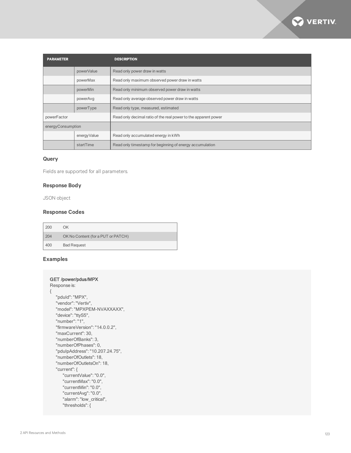

| <b>PARAMETER</b>  |             | <b>DESCRIPTION</b>                                              |
|-------------------|-------------|-----------------------------------------------------------------|
|                   | powerValue  | Read only power draw in watts                                   |
|                   | powerMax    | Read only maximum observed power draw in watts                  |
|                   | powerMin    | Read only minimum observed power draw in watts                  |
|                   | powerAvg    | Read only average observed power draw in watts                  |
|                   | powerType   | Read only type, measured, estimated                             |
| powerFactor       |             | Read only decimal ratio of the real power to the apparent power |
| energyConsumption |             |                                                                 |
|                   | energyValue | Read only accumulated energy in kWh                             |
|                   | startTime   | Read only timestamp for beginning of energy accumulation        |

## **Query**

Fields are supported for all parameters.

## **Response Body**

JSON object

## **Response Codes**

| 200 | ΩK                                 |
|-----|------------------------------------|
| 204 | OK No Content (for a PUT or PATCH) |
| 400 | <b>Bad Request</b>                 |

## **Examples**

| <b>GET /power/pdus/MPX</b>      |
|---------------------------------|
| Response is:                    |
| {                               |
| "pduld": "MPX",                 |
| "vendor": "Vertiv",             |
| "model": "MPXPEM-NVAXXAXX",     |
| "device": "ttyS5",              |
| "number": "1",                  |
| "firmwareVersion": "14.0.0.2",  |
| "maxCurrent": 30,               |
| "numberOfBanks": 3,             |
| "numberOfPhases": 0,            |
| "pdulpAddress": "10.207.24.75", |
| "numberOfOutlets": 18,          |
| "numberOfOutletsOn": 18,        |
| "current": {                    |
| "currentValue": "0.0",          |
| "currentMax": "0.0",            |
| "currentMin": "0.0",            |
| "currentAvg": "0.0",            |
| "alarm": "low critical",        |
| "thresholds": {                 |
|                                 |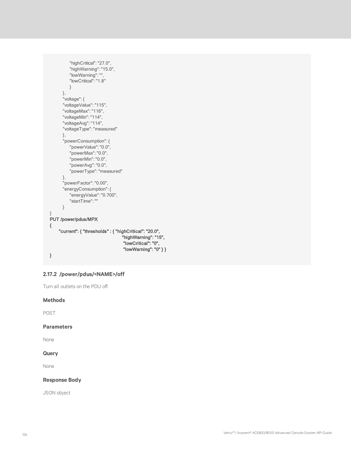```
"highCritical": "27.0",
          "highWarning": "15.0",
          "lowWarning": "",
         "lowCritical": "1.8"
         }
      },
      "voltage": {
      "voltageValue": "115",
      "voltageMax": "116",
       "voltageMin": "114",
       "voltageAvg": "114",
      "voltageType": "measured"
      },
      "powerConsumption": {
         "powerValue": "0.0",
         "powerMax": "0.0",
         "powerMin": "0.0",
         "powerAvg": "0.0",
         "powerType": "measured"
      },
      "powerFactor": "0.00",
      "energyConsumption": {
         "energyValue": "0.700",
         "startTime": ""
      }
}
PUT /power/pdus/MPX
{
    "current": { "thresholds" : { "highCritical": "20.0",
                                   "highWarning": "15",
                                    "lowCritical": "0",
                                    "lowWarning": "0" } }
}
```
## **2.17.2 /power/pdus/<NAME>/off**

Turn all outlets on the PDU off.

### **Methods**

POST

## **Parameters**

None

### **Query**

None

### **Response Body**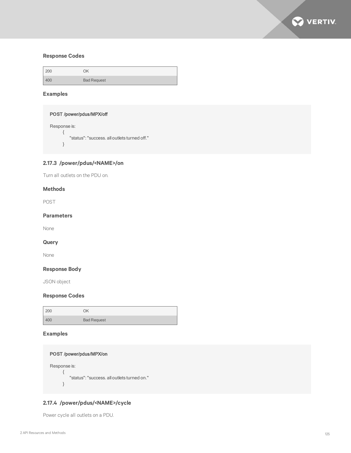

| 200 | OK                 |
|-----|--------------------|
| 400 | <b>Bad Request</b> |

## **Examples**

### POST /power/pdus/MPX/off

Response is:

```
{
   "status": "success. all outlets turned off."
}
```
## **2.17.3 /power/pdus/<NAME>/on**

Turn all outlets on the PDU on.

### **Methods**

POST

### **Parameters**

None

## **Query**

None

### **Response Body**

JSON object

## **Response Codes**

| 200 | ОK                 |
|-----|--------------------|
| 400 | <b>Bad Request</b> |

### **Examples**

```
POST /power/pdus/MPX/on
```
Response is: { "status": "success. all outlets turned on." }

## **2.17.4 /power/pdus/<NAME>/cycle**

Power cycle all outlets on a PDU.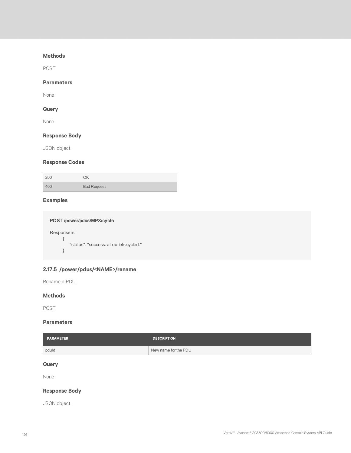#### **Methods**

POST

## **Parameters**

None

### **Query**

None

## **Response Body**

JSON object

## **Response Codes**

| 200 | JК                 |
|-----|--------------------|
|     | <b>Bad Request</b> |

## **Examples**

## POST /power/pdus/MPX/cycle

```
Response is:
     {
         "status": "success. all outlets cycled."
      }
```
## **2.17.5 /power/pdus/<NAME>/rename**

Rename a PDU.

### **Methods**

POST

## **Parameters**

| <b>PARAMETER</b> | <b>DESCRIPTION</b>   |
|------------------|----------------------|
| pduld            | New name for the PDU |

## **Query**

None

## **Response Body**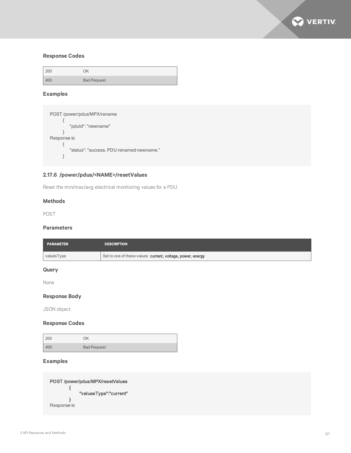

| 200 | OK                 |
|-----|--------------------|
| 400 | <b>Bad Request</b> |

## **Examples**

```
POST /power/pdus/MPX/rename
     {
        "pduId": "newname"
    }
Response is:
     {
        "status": "success. PDU renamed newname."
     }
```
## **2.17.6 /power/pdus/<NAME>/resetValues**

Reset the min/max/avg electrical monitoring values for a PDU.

### **Methods**

POST

### **Parameters**

| <b>PARAMETER</b>     | <b>DESCRIPTION</b>                                          |
|----------------------|-------------------------------------------------------------|
| valuesType           | Set to one of these values: current, voltage, power, energy |
| Query                |                                                             |
| None                 |                                                             |
| <b>Response Body</b> |                                                             |

JSON object

### **Response Codes**

| 200 | ОK                 |
|-----|--------------------|
| 400 | <b>Bad Request</b> |

### **Examples**

```
POST /power/pdus/MPX/resetValues
        {
             "valuesType":"current"
        }
Response is:
```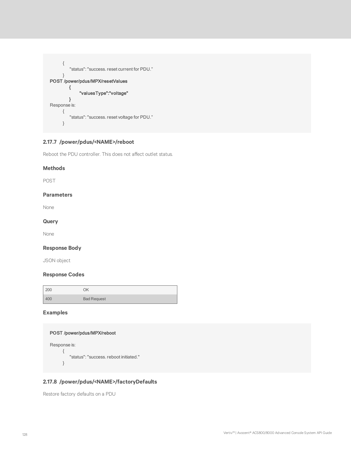```
{
         "status": "success. reset current for PDU."
      }
POST /power/pdus/MPX/resetValues
         {
              "valuesType":"voltage"
         }
Response is:
      {
         "status": "success. reset voltage for PDU."
      }
```
## **2.17.7 /power/pdus/<NAME>/reboot**

Reboot the PDU controller. This does not affect outlet status.

## **Methods**

POST

## **Parameters**

None

### **Query**

None

### **Response Body**

JSON object

### **Response Codes**

200 OK 400 Bad Request

**Examples**

### POST /power/pdus/MPX/reboot

Response is: { "status": "success. reboot initiated." }

## **2.17.8 /power/pdus/<NAME>/factoryDefaults**

Restore factory defaults on a PDU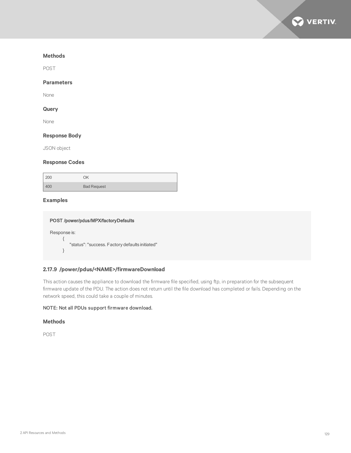

### **Methods**

POST

## **Parameters**

None

### **Query**

None

### **Response Body**

JSON object

### **Response Codes**

| 200 | ОK                 |
|-----|--------------------|
| 400 | <b>Bad Request</b> |

### **Examples**

| POST /power/pdus/MPX/factoryDefaults |                                                 |  |
|--------------------------------------|-------------------------------------------------|--|
| Response is:                         | "status": "success. Factory defaults initiated" |  |

## **2.17.9 /power/pdus/<NAME>/firmwareDownload**

This action causes the appliance to download the firmware file specified, using ftp, in preparation for the subsequent firmware update of the PDU. The action does not return until the file download has completed or fails. Depending on the network speed, this could take a couple of minutes.

### NOTE: Not all PDUs support firmware download.

### **Methods**

POST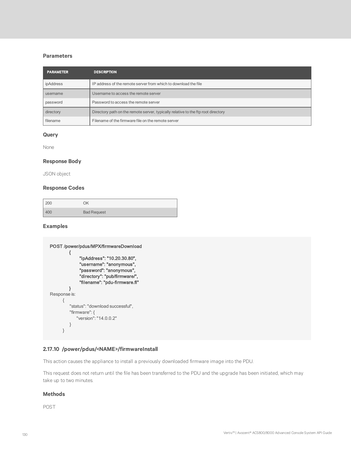### **Parameters**

| <b>PARAMETER</b> | <b>DESCRIPTION</b>                                                                |
|------------------|-----------------------------------------------------------------------------------|
| ipAddress        | IP address of the remote server from which to download the file                   |
| username         | Username to access the remote server                                              |
| password         | Password to access the remote server                                              |
| directory        | Directory path on the remote server, typically relative to the ftp root directory |
| filename         | Filename of the firmware file on the remote server                                |

### **Query**

None

### **Response Body**

JSON object

### **Response Codes**

| 200 | ΩK                 |
|-----|--------------------|
| 400 | <b>Bad Request</b> |

### **Examples**

```
POST /power/pdus/MPX/firmwareDownload
        {
             "ipAddress": "10.20.30.80",
             "username": "anonymous",
             "password": "anonymous",
             "directory": "pub/firmware/",
             "filename": "pdu-firmware.fl"
        }
Response is:
     {
         "status": "download successful",
         "firmware": {
            "version": "14.0.0.2"
         }
     }
```
## **2.17.10 /power/pdus/<NAME>/firmwareInstall**

This action causes the appliance to install a previously downloaded firmware image into the PDU.

This request does not return until the file has been transferred to the PDU and the upgrade has been initiated, which may take up to two minutes.

### **Methods**

POST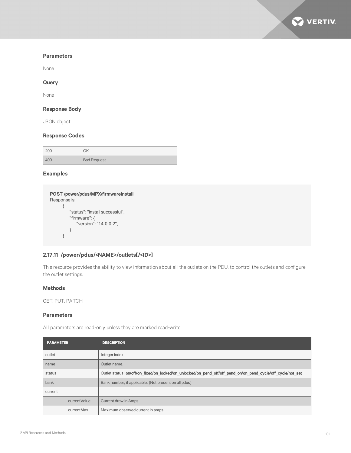

### **Parameters**

None

**Query**

None

### **Response Body**

JSON object

### **Response Codes**

| 200 | ОK                 |
|-----|--------------------|
| 400 | <b>Bad Request</b> |

### **Examples**

```
POST /power/pdus/MPX/firmwareInstall
Response is:
     {
        "status": "install successful",
       "firmware": {
          "version": "14.0.0.2",
        }
     }
```
## **2.17.11 /power/pdus/<NAME>/outlets[/<ID>]**

This resource provides the ability to view information about all the outlets on the PDU, to control the outlets and configure the outlet settings.

### **Methods**

GET, PUT, PATCH

## **Parameters**

All parameters are read-only unless they are marked read-write.

| <b>PARAMETER</b> |              | <b>DESCRIPTION</b>                                                                                           |
|------------------|--------------|--------------------------------------------------------------------------------------------------------------|
| outlet           |              | Integer index.                                                                                               |
| name             |              | Outlet name.                                                                                                 |
| status           |              | Outlet status: on/off/on_fixed/on_locked/on_unlocked/on_pend_off/off_pend_on/on_pend_cycle/off_cycle/not_set |
| bank             |              | Bank number, if applicable. (Not present on all pdus)                                                        |
| current          |              |                                                                                                              |
|                  | currentValue | Current draw in Amps                                                                                         |
|                  | currentMax   | Maximum observed current in amps.                                                                            |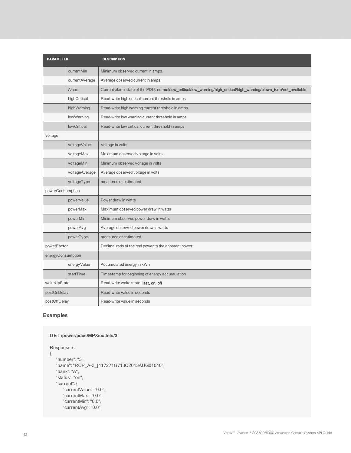| <b>PARAMETER</b>  |                | <b>DESCRIPTION</b>                                                                                                  |
|-------------------|----------------|---------------------------------------------------------------------------------------------------------------------|
|                   | currentMin     | Minimum observed current in amps.                                                                                   |
|                   | currentAverage | Average observed current in amps.                                                                                   |
|                   | Alarm          | Current alarm state of the PDU: normal/low_critical/low_warning/high_critical/high_warning/blown_fuse/not_available |
|                   | highCritical   | Read-write high critical current threshold in amps                                                                  |
|                   | highWarning    | Read-write high warning current threshold in amps                                                                   |
|                   | lowWarning     | Read-write low warning current threshold in amps                                                                    |
|                   | lowCritical    | Read-write low critical current threshold in amps                                                                   |
| voltage           |                |                                                                                                                     |
|                   | voltageValue   | Voltage in volts                                                                                                    |
|                   | voltageMax     | Maximum observed voltage in volts                                                                                   |
|                   | voltageMin     | Minimum observed voltage in volts                                                                                   |
|                   | voltageAverage | Average observed voltage in volts                                                                                   |
|                   | voltageType    | measured or estimated                                                                                               |
| powerConsumption  |                |                                                                                                                     |
|                   | powerValue     | Power draw in watts                                                                                                 |
|                   | powerMax       | Maximum observed power draw in watts                                                                                |
|                   | powerMin       | Minimum observed power draw in watts                                                                                |
|                   | powerAvg       | Average observed power draw in watts                                                                                |
|                   | powerType      | measured or estimated                                                                                               |
| powerFactor       |                | Decimal ratio of the real power to the apparent power                                                               |
| energyConsumption |                |                                                                                                                     |
|                   | energyValue    | Accumulated energy in kWh                                                                                           |
|                   | startTime      | Timestamp for beginning of energy accumulation                                                                      |
| wakeUpState       |                | Read-write wake state: last, on, off                                                                                |
| postOnDelay       |                | Read-write value in seconds                                                                                         |
| postOffDelay      |                | Read-write value in seconds                                                                                         |

## **Examples**

### GET /power/pdus/MPX/outlets/3

```
Response is:
{
   "number": "3",
   "name": "RCP_A-3_[417271G713C2013AUG01040",
   "bank": "A",
   "status": "on",
   "current": {
      "currentValue": "0.0",
       "currentMax": "0.0",
       "currentMin": "0.0",
      "currentAvg": "0.0",
```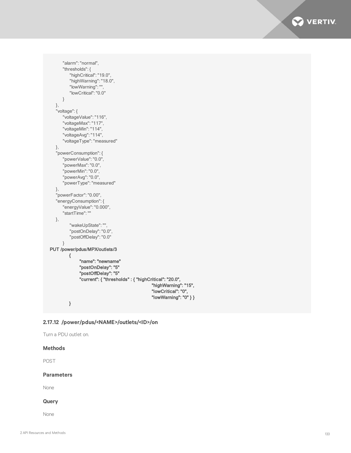

```
"alarm": "normal",
      "thresholds": {
         "highCritical": "19.0",
         "highWarning": "18.0",
         "lowWarning": "",
         "lowCritical": "0.0"
      }
   },
   "voltage": {
      "voltageValue": "116",
      "voltageMax": "117",
      "voltageMin": "114",
      "voltageAvg": "114",
      "voltageType": "measured"
  },
   "powerConsumption": {
      "powerValue": "0.0",
      "powerMax": "0.0",
      "powerMin": "0.0",
      "powerAvg": "0.0",
      "powerType": "measured"
  },
  "powerFactor": "0.00",
   "energyConsumption": {
      "energyValue": "0.000",
      "startTime": ""
  },
         "wakeUpState": "",
         "postOnDelay": "0.0",
         "postOffDelay": "0.0"
      }
PUT /power/pdus/MPX/outlets/3
         {
              "name": "newname"
              "postOnDelay": "5"
              "postOffDelay": "5"
              "current": { "thresholds" : { "highCritical": "20.0",
                                                  "highWarning": "15",
                                                  "lowCritical": "0",
                                                  "lowWarning": "0" } }
         }
```
## **2.17.12 /power/pdus/<NAME>/outlets/<ID>/on**

Turn a PDU outlet on.

### **Methods**

POST

### **Parameters**

None

### **Query**

None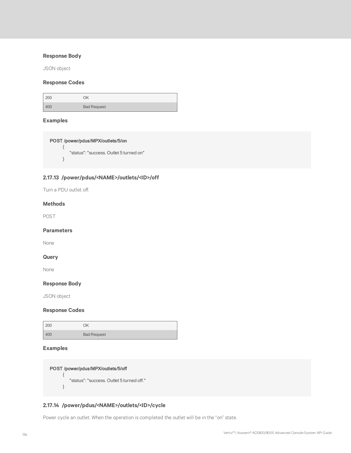### **Response Body**

JSON object

## **Response Codes**

| 200 | ОK                 |
|-----|--------------------|
| 400 | <b>Bad Request</b> |

### **Examples**

POST /power/pdus/MPX/outlets/5/on { "status": "success. Outlet 5 turned on"

**2.17.13 /power/pdus/<NAME>/outlets/<ID>/off**

## Turn a PDU outlet off.

}

### **Methods**

POST

## **Parameters**

None

### **Query**

None

### **Response Body**

JSON object

### **Response Codes**

| 200 | ОK                 |
|-----|--------------------|
| 400 | <b>Bad Request</b> |

### **Examples**

### POST /power/pdus/MPX/outlets/5/off

{ "status": "success. Outlet 5 turned off." }

## **2.17.14 /power/pdus/<NAME>/outlets/<ID>/cycle**

Power cycle an outlet. When the operation is completed the outlet will be in the "on" state.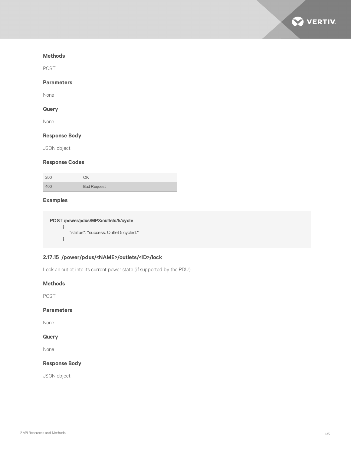

### **Methods**

POST

## **Parameters**

None

### **Query**

None

## **Response Body**

JSON object

## **Response Codes**

}

| 200 | ٦K                 |
|-----|--------------------|
|     | <b>Bad Request</b> |

### **Examples**

```
POST /power/pdus/MPX/outlets/5/cycle
```
{ "status": "success. Outlet 5 cycled."

## **2.17.15 /power/pdus/<NAME>/outlets/<ID>/lock**

Lock an outlet into its current power state (if supported by the PDU).

### **Methods**

POST

## **Parameters**

None

## **Query**

None

### **Response Body**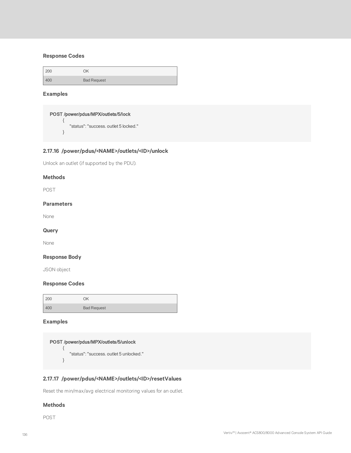| 200 | ΩK                 |
|-----|--------------------|
| 400 | <b>Bad Request</b> |

## **Examples**

### POST /power/pdus/MPX/outlets/5/lock

```
{
   "status": "success. outlet 5 locked."
}
```
### **2.17.16 /power/pdus/<NAME>/outlets/<ID>/unlock**

Unlock an outlet (if supported by the PDU).

## **Methods**

POST

### **Parameters**

None

## **Query**

None

### **Response Body**

JSON object

### **Response Codes**

| 200 | OK                 |
|-----|--------------------|
| 400 | <b>Bad Request</b> |

### **Examples**

```
POST /power/pdus/MPX/outlets/5/unlock
      {
         "status": "success. outlet 5 unlocked."
     }
```
## **2.17.17 /power/pdus/<NAME>/outlets/<ID>/resetValues**

Reset the min/max/avg electrical monitoring values for an outlet.

### **Methods**

POST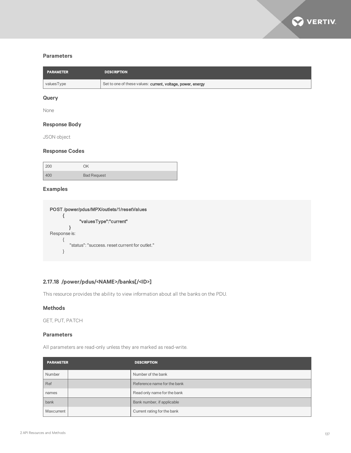

#### **Parameters**

| <b>PARAMETER</b> | <b>DESCRIPTION</b>                                          |
|------------------|-------------------------------------------------------------|
| valuesType       | Set to one of these values: current, voltage, power, energy |

## **Query**

None

## **Response Body**

JSON object

#### **Response Codes**

| 200             | ОK                 |
|-----------------|--------------------|
| 40 <sub>C</sub> | <b>Bad Request</b> |

## **Examples**

| POST/power/pdus/MPX/outlets/1/resetValues      |  |  |
|------------------------------------------------|--|--|
|                                                |  |  |
| "valuesType":"current"                         |  |  |
|                                                |  |  |
| Response is:                                   |  |  |
|                                                |  |  |
| "status": "success, reset current for outlet." |  |  |
|                                                |  |  |

## **2.17.18 /power/pdus/<NAME>/banks[/<ID>]**

This resource provides the ability to view information about all the banks on the PDU.

#### **Methods**

GET, PUT, PATCH

## **Parameters**

All parameters are read-only unless they are marked as read-write.

| <b>PARAMETER</b> | <b>DESCRIPTION</b>          |
|------------------|-----------------------------|
| Number           | Number of the bank          |
| Ref              | Reference name for the bank |
| names            | Read only name for the bank |
| bank             | Bank number, if applicable  |
| Maxcurrent       | Current rating for the bank |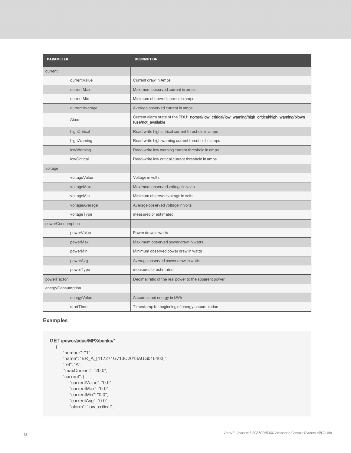| <b>PARAMETER</b>  |                | <b>DESCRIPTION</b>                                                                                                      |
|-------------------|----------------|-------------------------------------------------------------------------------------------------------------------------|
| current           |                |                                                                                                                         |
|                   | currentValue   | Current draw in Amps                                                                                                    |
|                   | currentMax     | Maximum observed current in amps                                                                                        |
|                   | currentMin     | Minimum observed current in amps                                                                                        |
|                   | currentAverage | Average observed current in amps                                                                                        |
|                   | Alarm          | Current alarm state of the PDU: normal/low_critical/low_warning/high_critical/high_warning/blown_<br>fuse/not_available |
|                   | highCritical   | Read-write high critical current threshold in amps                                                                      |
|                   | highWarning    | Read-write high warning current threshold in amps                                                                       |
|                   | lowWarning     | Read-write low warning current threshold in amps                                                                        |
|                   | lowCritical    | Read-write low critical current threshold in amps                                                                       |
| voltage           |                |                                                                                                                         |
|                   | voltageValue   | Voltage in volts                                                                                                        |
|                   | voltageMax     | Maximum observed voltage in volts                                                                                       |
|                   | voltageMin     | Minimum observed voltage in volts                                                                                       |
|                   | voltageAverage | Average observed voltage in volts                                                                                       |
|                   | voltageType    | measured or estimated                                                                                                   |
| powerConsumption  |                |                                                                                                                         |
|                   | powerValue     | Power draw in watts                                                                                                     |
|                   | powerMax       | Maximum observed power draw in watts                                                                                    |
|                   | powerMin       | Minimum observed power draw in watts                                                                                    |
|                   | powerAvg       | Average observed power draw in watts                                                                                    |
|                   | powerType      | measured or estimated                                                                                                   |
| powerFactor       |                | Decimal ratio of the real power to the apparent power                                                                   |
| energyConsumption |                |                                                                                                                         |
|                   | energyValue    | Accumulated energy in kWh                                                                                               |
|                   | startTime      | Timestamp for beginning of energy accumulation                                                                          |

## **Examples**

## GET /power/pdus/MPX/banks/1

```
{
   "number": "1",
   "name": "BR_A_[417271G713C2013AUG010403]",
   "ref": "A",
   "maxCurrent": "20.0",
   "current": {
      "currentValue": "0.0",
      "currentMax": "0.0",
      "currentMin": "0.0",
      "currentAvg": "0.0",
      "alarm": "low_critical",
```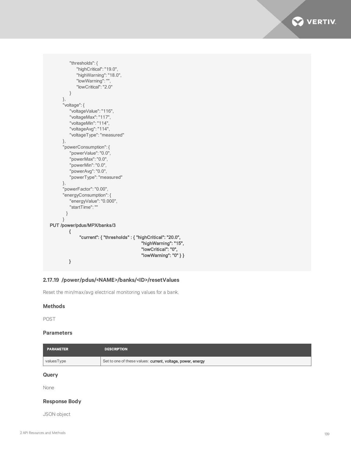

```
"thresholds": {
             "highCritical": "19.0",
             "highWarning": "18.0",
             "lowWarning": "",
             "lowCritical": "2.0"
         }
      },
      "voltage": {
         "voltageValue": "116",
         "voltageMax": "117",
         "voltageMin": "114",
         "voltageAvg": "114",
         "voltageType": "measured"
      },
      "powerConsumption": {
         "powerValue": "0.0",
         "powerMax": "0.0",
         "powerMin": "0.0",
         "powerAvg": "0.0",
         "powerType": "measured"
      },
      "powerFactor": "0.00",
      "energyConsumption": {
         "energyValue": "0.000",
         "startTime": ""
       }
      }
PUT /power/pdus/MPX/banks/3
         {
              "current": { "thresholds" : { "highCritical": "20.0",
                                             "highWarning": "15",
                                             "lowCritical": "0",
                                             "lowWarning": "0" } }
         }
```
## **2.17.19 /power/pdus/<NAME>/banks/<ID>/resetValues**

Reset the min/max/avg electrical monitoring values for a bank.

#### **Methods**

POST

## **Parameters**

| <b>PARAMETER</b> | <b>DESCRIPTION</b>                                          |
|------------------|-------------------------------------------------------------|
| valuesType       | Set to one of these values: current, voltage, power, energy |

## **Query**

None

#### **Response Body**

JSON object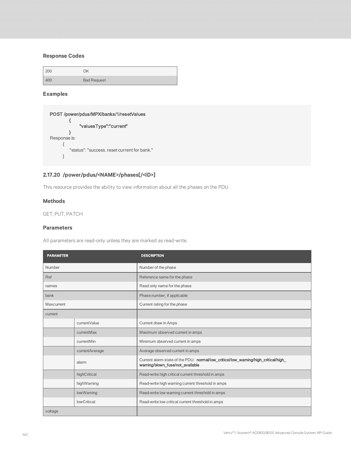| 200 | NС                 |
|-----|--------------------|
|     | <b>Bad Request</b> |

## **Examples**

```
POST /power/pdus/MPX/banks/1/resetValues
         {
              "valuesType":"current"
        }
Response is:
      {
         "status": "success. reset current for bank."
      }
```
## **2.17.20 /power/pdus/<NAME>/phases[/<ID>]**

This resource provides the ability to view information about all the phases on the PDU.

## **Methods**

GET, PUT, PATCH

#### **Parameters**

All parameters are read-only unless they are marked as read-write.

| <b>PARAMETER</b> |                | <b>DESCRIPTION</b>                                                                                                      |
|------------------|----------------|-------------------------------------------------------------------------------------------------------------------------|
| Number           |                | Number of the phase                                                                                                     |
| Ref              |                | Reference name for the phase                                                                                            |
| names            |                | Read only name for the phase                                                                                            |
| bank             |                | Phase number, if applicable                                                                                             |
| Maxcurrent       |                | Current rating for the phase                                                                                            |
| current          |                |                                                                                                                         |
|                  | currentValue   | Current draw in Amps                                                                                                    |
|                  | currentMax     | Maximum observed current in amps                                                                                        |
|                  | currentMin     | Minimum observed current in amps                                                                                        |
|                  | currentAverage | Average observed current in amps                                                                                        |
|                  | alarm          | Current alarm state of the PDU: normal/low_critical/low_warning/high_critical/high_<br>warning/blown_fuse/not_available |
|                  | highCritical   | Read-write high critical current threshold in amps                                                                      |
|                  | highWarning    | Read-write high warning current threshold in amps                                                                       |
|                  | lowWarning     | Read-write low warning current threshold in amps                                                                        |
|                  | lowCritical    | Read-write low critical current threshold in amps                                                                       |
| voltage          |                |                                                                                                                         |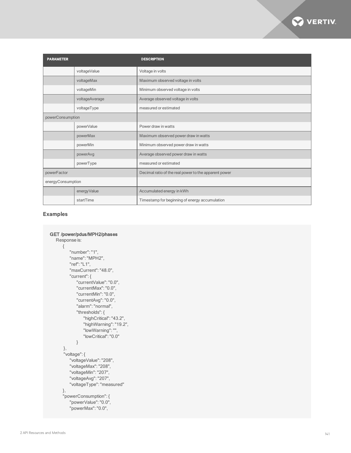

| <b>PARAMETER</b>  |                | <b>DESCRIPTION</b>                                    |
|-------------------|----------------|-------------------------------------------------------|
|                   | voltageValue   | Voltage in volts                                      |
|                   | voltageMax     | Maximum observed voltage in volts                     |
|                   | voltageMin     | Minimum observed voltage in volts                     |
|                   | voltageAverage | Average observed voltage in volts                     |
|                   | voltageType    | measured or estimated                                 |
| powerConsumption  |                |                                                       |
|                   | powerValue     | Power draw in watts                                   |
|                   | powerMax       | Maximum observed power draw in watts                  |
|                   | powerMin       | Minimum observed power draw in watts                  |
|                   | powerAvg       | Average observed power draw in watts                  |
|                   | powerType      | measured or estimated                                 |
| powerFactor       |                | Decimal ratio of the real power to the apparent power |
| energyConsumption |                |                                                       |
|                   | energyValue    | Accumulated energy in kWh                             |
|                   | startTime      | Timestamp for beginning of energy accumulation        |

#### **Examples**

```
GET /power/pdus/MPH2/phases
  Response is:
     {
         "number": "1",
         "name": "MPH2",
         "ref": "L1",
         "maxCurrent": "48.0",
         "current": {
            "currentValue": "0.0",
            "currentMax": "0.0",
            "currentMin": "0.0",
            "currentAvg": "0.0",
            "alarm": "normal",
            "thresholds": {
                "highCritical": "43.2",
                "highWarning": "19.2",
                "lowWarning": "",
                "lowCritical": "0.0"
            }
      },
      "voltage": {
         "voltageValue": "208",
         "voltageMax": "208",
         "voltageMin": "207",
         "voltageAvg": "207",
         "voltageType": "measured"
      },
      "powerConsumption": {
         "powerValue": "0.0",
         "powerMax": "0.0",
```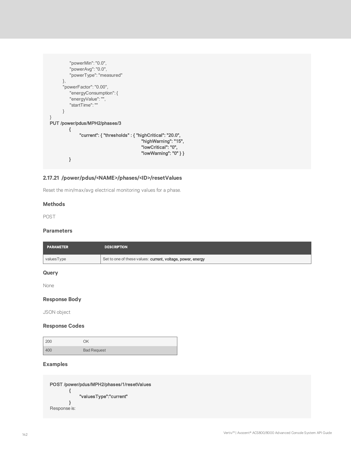```
"powerMin": "0.0",
         "powerAvg": "0.0",
         "powerType": "measured"
     },
     "powerFactor": "0.00",
        "energyConsumption": {
        "energyValue": "",
        "startTime": ""
     }
}
PUT /power/pdus/MPH2/phases/3
        {
             "current": { "thresholds" : { "highCritical": "20.0",
                                           "highWarning": "15",
                                           "lowCritical": "0",
                                           "lowWarning": "0" } }
        }
```
## **2.17.21 /power/pdus/<NAME>/phases/<ID>/resetValues**

Reset the min/max/avg electrical monitoring values for a phase.

## **Methods**

POST

#### **Parameters**

| <b>PARAMETER</b>      |                    | <b>DESCRIPTION</b>                                          |
|-----------------------|--------------------|-------------------------------------------------------------|
| valuesType            |                    | Set to one of these values: current, voltage, power, energy |
| Query                 |                    |                                                             |
| None                  |                    |                                                             |
| <b>Response Body</b>  |                    |                                                             |
| JSON object           |                    |                                                             |
| <b>Response Codes</b> |                    |                                                             |
| 200                   | OK                 |                                                             |
| 400                   | <b>Bad Request</b> |                                                             |
| <b>Examples</b>       |                    |                                                             |
|                       |                    |                                                             |

```
POST /power/pdus/MPH2/phases/1/resetValues
        {
             "valuesType":"current"
        }
Response is:
```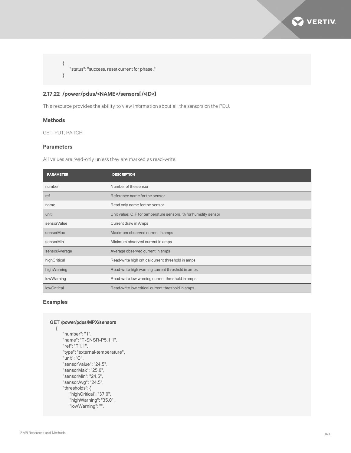

{ "status": "success. reset current for phase." }

## **2.17.22 /power/pdus/<NAME>/sensors[/<ID>]**

This resource provides the ability to view information about all the sensors on the PDU.

#### **Methods**

GET, PUT, PATCH

#### **Parameters**

All values are read-only unless they are marked as read-write.

| <b>PARAMETER</b>   | <b>DESCRIPTION</b>                                              |
|--------------------|-----------------------------------------------------------------|
| number             | Number of the sensor                                            |
| ref                | Reference name for the sensor                                   |
| name               | Read only name for the sensor                                   |
| unit               | Unit value; C, F for temperature sensors, % for humidity sensor |
| sensorValue        | Current draw in Amps                                            |
| sensorMax          | Maximum observed current in amps                                |
| sensorMin          | Minimum observed current in amps                                |
| sensorAverage      | Average observed current in amps                                |
| highCritical       | Read-write high critical current threshold in amps              |
| highWarning        | Read-write high warning current threshold in amps               |
| lowWarning         | Read-write low warning current threshold in amps                |
| <b>lowCritical</b> | Read-write low critical current threshold in amps               |

#### **Examples**

{

# GET /power/pdus/MPX/sensors

```
"number": "1",
"name": "T-SNSR-P5.1.1",
"ref": "T1.1",
"type": "external-temperature",
"unit": "C",
"sensorValue": "24.5",
"sensorMax": "25.0",
"sensorMin": "24.5",
"sensorAvg": "24.5",
"thresholds": {
    "highCritical": "37.0",
   "highWarning": "35.0",
    "lowWarning": "",
```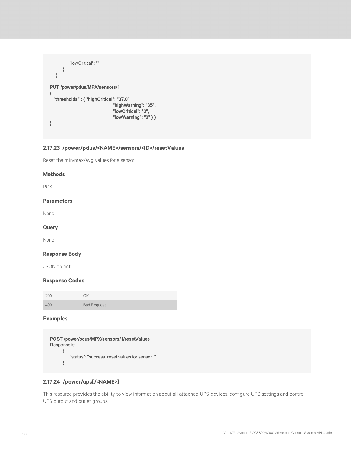```
"lowCritical": ""
      }
   }
PUT /power/pdus/MPX/sensors/1
{
  "thresholds" : { "highCritical": "37.0",
                               "highWarning": "35",
                               "lowCritical": "0",
                               "lowWarning": "0" } }
}
```
## **2.17.23 /power/pdus/<NAME>/sensors/<ID>/resetValues**

Reset the min/max/avg values for a sensor.

#### **Methods**

POST

#### **Parameters**

None

## **Query**

None

#### **Response Body**

JSON object

#### **Response Codes**

| 200 | NС                 |
|-----|--------------------|
| 400 | <b>Bad Request</b> |

#### **Examples**

```
POST /power/pdus/MPX/sensors/1/resetValues
Response is:
      {
         "status": "success. reset values for sensor. "
     }
```
## **2.17.24 /power/ups[/<NAME>]**

This resource provides the ability to view information about all attached UPS devices, configure UPS settings and control UPS output and outlet groups.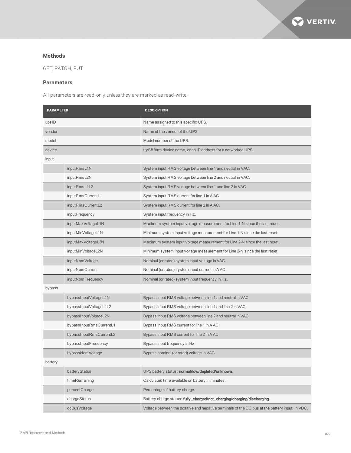

#### **Methods**

GET, PATCH, PUT

## **Parameters**

All parameters are read-only unless they are marked as read-write.

| <b>PARAMETER</b> |                         | <b>DESCRIPTION</b>                                                                              |
|------------------|-------------------------|-------------------------------------------------------------------------------------------------|
| upsID            |                         | Name assigned to this specific UPS.                                                             |
| vendor           |                         | Name of the vendor of the UPS.                                                                  |
| model            |                         | Model number of the UPS.                                                                        |
| device           |                         | ttyS# form device name, or an IP address for a networked UPS.                                   |
| input            |                         |                                                                                                 |
|                  | inputRmsL1N             | System input RMS voltage between line 1 and neutral in VAC.                                     |
|                  | inputRmsL2N             | System input RMS voltage between line 2 and neutral in VAC.                                     |
|                  | inputRmsL1L2            | System input RMS voltage between line 1 and line 2 in VAC.                                      |
|                  | inputRmsCurrentL1       | System input RMS current for line 1 in AAC.                                                     |
|                  | inputRmsCurrentL2       | System input RMS current for line 2 in AAC.                                                     |
|                  | inputFrequency          | System input frequency in Hz.                                                                   |
|                  | inputMaxVoltageL1N      | Maximum system input voltage measurement for Line 1-N since the last reset.                     |
|                  | inputMinVoltageL1N      | Minimum system input voltage measurement for Line 1-N since the last reset.                     |
|                  | inputMaxVoltageL2N      | Maximum system input voltage measurement for Line 2-N since the last reset.                     |
|                  | inputMinVoltageL2N      | Minimum system input voltage measurement for Line 2-N since the last reset.                     |
|                  | inputNomVoltage         | Nominal (or rated) system input voltage in VAC.                                                 |
|                  | inputNomCurrent         | Nominal (or rated) system input current in AAC.                                                 |
|                  | inputNomFrequency       | Nominal (or rated) system input frequency in Hz.                                                |
| bypass           |                         |                                                                                                 |
|                  | bypassInputVoltageL1N   | Bypass input RMS voltage between line 1 and neutral in VAC.                                     |
|                  | bypassInputVoltageL1L2  | Bypass input RMS voltage between line 1 and line 2 in VAC.                                      |
|                  | bypassInputVoltageL2N   | Bypass input RMS voltage between line 2 and neutral in VAC.                                     |
|                  | bypassInputRmsCurrentL1 | Bypass input RMS current for line 1 in AAC.                                                     |
|                  | bypassInputRmsCurrentL2 | Bypass input RMS current for line 2 in AAC.                                                     |
|                  | bypassInputFrequency    | Bypass input frequency in Hz.                                                                   |
|                  | bypassNomVoltage        | Bypass nominal (or rated) voltage in VAC.                                                       |
| battery          |                         |                                                                                                 |
|                  | battery Status          | UPS battery status: normal/low/depleted/unknown.                                                |
|                  | timeRemaining           | Calculated time available on battery in minutes.                                                |
|                  | percentCharge           | Percentage of battery charge.                                                                   |
|                  | chargeStatus            | Battery charge status: fully_charged/not_charging/charging/discharging.                         |
|                  | dcBusVoltage            | Voltage between the positive and negative terminals of the DC bus at the battery input, in VDC. |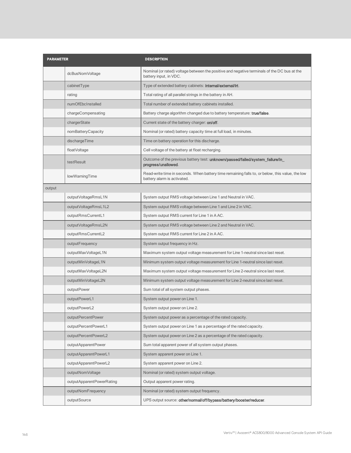| <b>PARAMETER</b> |                           | <b>DESCRIPTION</b>                                                                                                             |
|------------------|---------------------------|--------------------------------------------------------------------------------------------------------------------------------|
|                  | dcBusNomVoltage           | Nominal (or rated) voltage between the positive and negative terminals of the DC bus at the<br>battery input, in VDC.          |
|                  | cabinetType               | Type of extended battery cabinets: <b>internal/external/lrt</b> .                                                              |
|                  | rating                    | Total rating of all parallel strings in the battery in AH.                                                                     |
|                  | numOfEbcInstalled         | Total number of extended battery cabinets installed.                                                                           |
|                  | chargeCompensating        | Battery charge algorithm changed due to battery temperature: true/false.                                                       |
|                  | chargerState              | Current state of the battery charger: on/off.                                                                                  |
|                  | nomBatteryCapacity        | Nominal (or rated) battery capacity time at full load, in minutes.                                                             |
|                  | dischargeTime             | Time on battery operation for this discharge.                                                                                  |
|                  | floatVoltage              | Cell voltage of the battery at float recharging.                                                                               |
|                  | testResult                | Outcome of the previous battery test: unknown/passed/failed/system_failure/in_<br>progress/unallowed.                          |
|                  | lowWarningTime            | Read-write time in seconds. When battery time remaining falls to, or below, this value, the low<br>battery alarm is activated. |
| output           |                           |                                                                                                                                |
|                  | outputVoltageRmsL1N       | System output RMS voltage between Line 1 and Neutral in VAC.                                                                   |
|                  | outputVoltageRmsL1L2      | System output RMS voltage between Line 1 and Line 2 in VAC.                                                                    |
|                  | outputRmsCurrentL1        | System output RMS current for Line 1 in AAC.                                                                                   |
|                  | outputVoltageRmsL2N       | System output RMS voltage between Line 2 and Neutral in VAC.                                                                   |
|                  | outputRmsCurrentL2        | System output RMS current for Line 2 in AAC.                                                                                   |
|                  | outputFrequency           | System output frequency in Hz.                                                                                                 |
|                  | outputMaxVoltageL1N       | Maximum system output voltage measurement for Line 1-neutral since last reset.                                                 |
|                  | outputMinVoltageL1N       | Minimum system output voltage measurement for Line 1-neutral since last reset.                                                 |
|                  | outputMaxVoltageL2N       | Maximum system output voltage measurement for Line 2-neutral since last reset.                                                 |
|                  | outputMinVoltageL2N       | Minimum system output voltage measurement for Line 2-neutral since last reset.                                                 |
|                  | outputPower               | Sum total of all system output phases.                                                                                         |
|                  | outputPowerL1             | System output power on Line 1.                                                                                                 |
|                  | outputPowerL2             | System output power on Line 2.                                                                                                 |
|                  | outputPercentPower        | System output power as a percentage of the rated capacity.                                                                     |
|                  | outputPercentPowerL1      | System output power on Line 1 as a percentage of the rated capacity.                                                           |
|                  | outputPercentPowerL2      | System output power on Line 2 as a percentage of the rated capacity.                                                           |
|                  | outputApparentPower       | Sum total apparent power of all system output phases.                                                                          |
|                  | outputApparentPowerL1     | System apparent power on Line 1.                                                                                               |
|                  | outputApparentPowerL2     | System apparent power on Line 2.                                                                                               |
|                  | outputNomVoltage          | Nominal (or rated) system output voltage.                                                                                      |
|                  | outputApparentPowerRating | Output apparent power rating.                                                                                                  |
|                  | outputNomFrequency        | Nominal (or rated) system output frequency.                                                                                    |
|                  | outputSource              | UPS output source: other/normal/off/bypass/battery/booster/reducer.                                                            |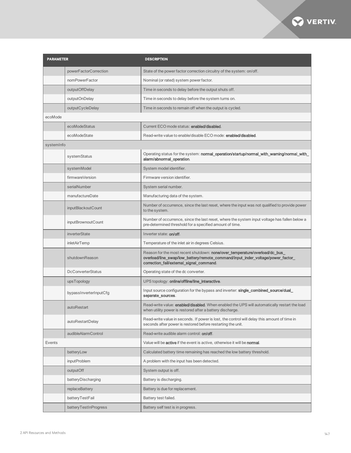

| <b>PARAMETER</b> |                          | <b>DESCRIPTION</b>                                                                                                                                                                                         |
|------------------|--------------------------|------------------------------------------------------------------------------------------------------------------------------------------------------------------------------------------------------------|
|                  | powerFactorCorrection    | State of the power factor correction circuitry of the system: on/off.                                                                                                                                      |
|                  | nomPowerFactor           | Nominal (or rated) system power factor.                                                                                                                                                                    |
|                  | outputOffDelay           | Time in seconds to delay before the output shuts off.                                                                                                                                                      |
|                  | outputOnDelay            | Time in seconds to delay before the system turns on.                                                                                                                                                       |
|                  | outputCycleDelay         | Time in seconds to remain off when the output is cycled.                                                                                                                                                   |
| ecoMode          |                          |                                                                                                                                                                                                            |
|                  | ecoModeStatus            | Current ECO mode status: enabled/disabled.                                                                                                                                                                 |
|                  | ecoModeState             | Read-write value to enable/disable ECO mode: enabled/disabled.                                                                                                                                             |
| systemInfo       |                          |                                                                                                                                                                                                            |
|                  | systemStatus             | Operating status for the system: normal_operation/startup/normal_with_warning/normal_with_<br>alarm/abnormal_operation.                                                                                    |
|                  | systemModel              | System model identifier.                                                                                                                                                                                   |
|                  | firmwareVersion          | Firmware version identifier.                                                                                                                                                                               |
|                  | serialNumber             | System serial number.                                                                                                                                                                                      |
|                  | manufactureDate          | Manufacturing data of the system.                                                                                                                                                                          |
|                  | inputBlackoutCount       | Number of occurrence, since the last reset, where the input was not qualified to provide power<br>to the system.                                                                                           |
|                  | inputBrownoutCount       | Number of occurrence, since the last reset, where the system input voltage has fallen below a<br>pre-determined threshold for a specified amount of time.                                                  |
|                  | inverterState            | Inverter state: on/off.                                                                                                                                                                                    |
|                  | inletAirTemp             | Temperature of the inlet air in degrees Celsius.                                                                                                                                                           |
|                  | shutdownReason           | Reason for the most recent shutdown: none/over_temperature/overload/dc_bus_<br>overload/line_swap/low_battery/remote_command/input_inder_voltage/power_factor_<br>correction_fail/external_signal_command. |
|                  | <b>DcConverterStatus</b> | Operating state of the dc converter.                                                                                                                                                                       |
|                  | upsTopology              | UPS topology: online/offline/line_interactive.                                                                                                                                                             |
|                  | bypassInverterInputCfg   | Input source configuration for the bypass and inverter: single_combined_source/dual_<br>separate_sources.                                                                                                  |
|                  | autoRestart              | Read-write value: enabled/disabled. When enabled the UPS will automatically restart the load<br>when utility power is restored after a battery discharge.                                                  |
|                  | autoRestartDelay         | Read-write value in seconds. If power is lost, the control will delay this amount of time in<br>seconds after power is restored before restarting the unit.                                                |
|                  | audibleAlarmControl      | Read-write audible alarm control: on/off.                                                                                                                                                                  |
| Events           |                          | Value will be <b>active</b> if the event is active, otherwise it will be <b>normal</b> .                                                                                                                   |
|                  | batteryLow               | Calculated battery time remaining has reached the low battery threshold.                                                                                                                                   |
|                  | inputProblem             | A problem with the input has been detected.                                                                                                                                                                |
|                  | outputOff                | System output is off.                                                                                                                                                                                      |
|                  | batteryDischarging       | Battery is discharging.                                                                                                                                                                                    |
|                  | replaceBattery           | Battery is due for replacement.                                                                                                                                                                            |
|                  | batteryTestFail          | Battery test failed.                                                                                                                                                                                       |
|                  | batteryTestInProgress    | Battery self test is in progress.                                                                                                                                                                          |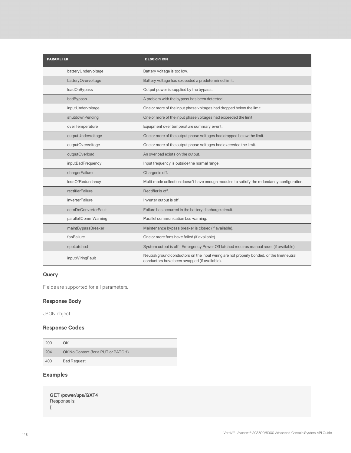| <b>PARAMETER</b> |                         | <b>DESCRIPTION</b>                                                                                                                         |
|------------------|-------------------------|--------------------------------------------------------------------------------------------------------------------------------------------|
|                  | batteryUndervoltage     | Battery voltage is too low.                                                                                                                |
|                  | batteryOvervoltage      | Battery voltage has exceeded a predetermined limit.                                                                                        |
|                  | loadOnBypass            | Output power is supplied by the bypass.                                                                                                    |
|                  | badBypass               | A problem with the bypass has been detected.                                                                                               |
|                  | inputUndervoltage       | One or more of the input phase voltages had dropped below the limit.                                                                       |
|                  | shutdownPending         | One or more of the input phase voltages had exceeded the limit.                                                                            |
|                  | overTemperature         | Equipment over temperature summary event.                                                                                                  |
|                  | outputUndervoltage      | One or more of the output phase voltages had dropped below the limit.                                                                      |
|                  | outputOvervoltage       | One or more of the output phase voltages had exceeded the limit.                                                                           |
|                  | outputOverload          | An overload exists on the output.                                                                                                          |
|                  | inputBadFrequency       | Input frequency is outside the normal range.                                                                                               |
|                  | chargerFailure          | Charger is off.                                                                                                                            |
|                  | lossOfRedundancy        | Multi-mode collection doesn't have enough modules to satisfy the redundancy configuration.                                                 |
|                  | <b>rectifierFailure</b> | Rectifier is off.                                                                                                                          |
|                  | <i>inverterFailure</i>  | Inverter output is off.                                                                                                                    |
|                  | dctoDcConverterFault    | Failure has occurred in the battery discharge circuit.                                                                                     |
|                  | parallellCommWarning    | Parallel communication bus warning.                                                                                                        |
|                  | maintBypassBreaker      | Maintenance bypass breaker is closed (if available).                                                                                       |
|                  | fanFailure              | One or more fans have failed (if available).                                                                                               |
|                  | epoLatched              | System output is off - Emergency Power Off latched requires manual reset (if available).                                                   |
|                  | inputWiringFault        | Neutral/ground conductors on the input wiring are not properly bonded, or the line/neutral<br>conductors have been swapped (if available). |

## **Query**

Fields are supported for all parameters.

# **Response Body**

JSON object

## **Response Codes**

| 200 | OK                                 |
|-----|------------------------------------|
| 204 | OK No Content (for a PUT or PATCH) |
| 400 | <b>Bad Request</b>                 |

## **Examples**

GET /power/ups/GXT4 Response is: {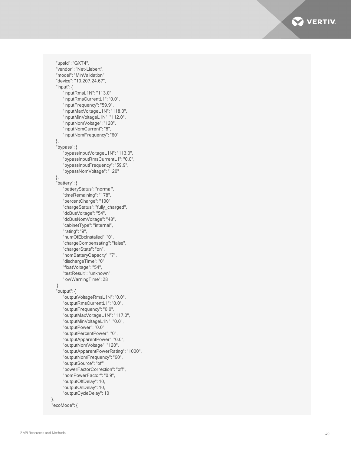

```
"upsId": "GXT4",
  "vendor": "Net-Liebert",
  "model": "MinValidation",
  "device": "10.207.24.67",
  "input":
{
     "inputRmsL1N": "113.0",
     "inputRmsCurrentL1": "0.0",
     "inputFrequency": "59.9",
     "inputMaxVoltageL1N": "118.0",
     "inputMinVoltageL1N": "112.0",
     "inputNomVoltage": "120",
     "inputNomCurrent": "8",
     "inputNomFrequency": "60"
 },
  "bypass":
{
     "bypassInputVoltageL1N": "113.0",
     "bypassInputRmsCurrentL1": "0.0",
     "bypassInputFrequency": "59.9",
     "bypassNomVoltage": "120"
 },
  "battery":
{
     "batteryStatus": "normal",
     "timeRemaining": "178",
     "percentCharge": "100",
     "chargeStatus": "fully_charged",
     "dcBusVoltage": "54",
     "dcBusNomVoltage": "48",
     "cabinetType": "internal",
     "rating": "9",
     "numOfEbcInstalled": "0",
     "chargeCompensating": "false",
     "chargerState": "on",
     "nomBatteryCapacity": "7",
     "dischargeTime": "0",
     "floatVoltage": "54",
     "testResult": "unknown",
     "lowWarningTime": 28
  },
  "output":
{
     "outputVoltageRmsL1N": "0.0",
     "outputRmsCurrentL1": "0.0",
     "outputFrequency": "0.0",
     "outputMaxVoltageL1N": "117.0",
     "outputMinVoltageL1N": "0.0",
     "outputPower": "0.0",
     "outputPercentPower": "0",
     "outputApparentPower": "0.0",
     "outputNomVoltage": "120",
     "outputApparentPowerRating": "1000",
     "outputNomFrequency": "60",
     "outputSource": "off",
     "powerFactorCorrection": "off",
     "nomPowerFactor": "0.9",
     "outputOffDelay": 10,
     "outputOnDelay": 10,
     "outputCycleDelay": 10
},
"ecoMode":
{
```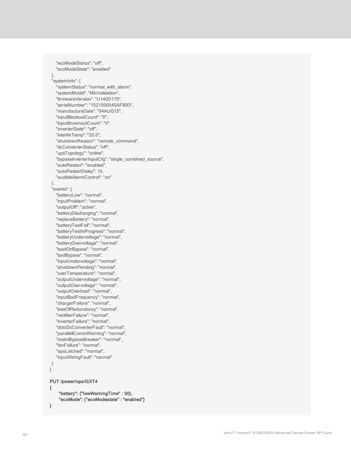"ecoModeStatus": "off", "ecoModeState": "enabled" }, "systemInfo": { "systemStatus": "normal\_with\_alarm", "systemModel": "MinValidation", "firmwareVersion": "U140D170", "serialNumber": "1521500545AFB93", "manufactureDate": "04AUG15", "inputBlackoutCount": "0", "inputBrownoutCount": "0", "inverterState": "off", "inletAirTemp": "20.0", "shutdownReason": "remote\_command", "dcConverterStatus": "off", "upsTopology": "online", "bypassInverterInputCfg": "single\_combined\_source", "autoRestart": "enabled", "autoRestartDelay": 10, "audibleAlarmControl": "on" }, "events": { "batteryLow": "normal", "inputProblem": "normal", "outputOff": "active", "batteryDischarging": "normal", "replaceBattery": "normal", "batteryTestFail": "normal", "batteryTestInProgress": "normal", "batteryUndervoltage": "normal", "batteryOvervoltage": "normal", "loadOnBypass": "normal", "badBypass": "normal", "inputUndervoltage": "normal", "shutdownPending": "normal", "overTemperature": "normal", "outputUndervoltage": "normal", "outputOvervoltage": "normal", "outputOverload": "normal", "inputBadFrequency": "normal", "chargerFailure": "normal", "lossOfRedundancy": "normal", "rectifierFailure": "normal", "inverterFailure": "normal", "dctoDcConverterFault": "normal", "parallellCommWarning": "normal", "maintBypassBreaker": "normal", "fanFailure": "normal", "epoLatched": "normal", "inputWiringFault": "normal" } } PUT /power/ups/GXT4 {

```
"battery": {"lowWarningTime" : 30},
"ecoMode": {"ecoModestate" : "enabled"}
```
}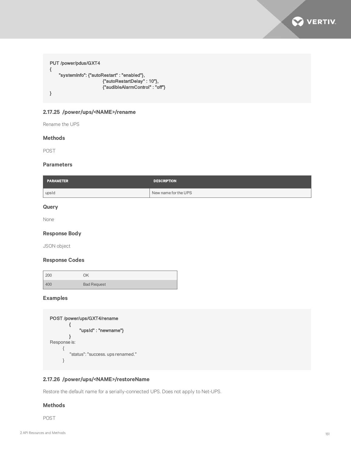

```
PUT /power/pdus/GXT4
{
     "systemInfo": {"autoRestart" : "enabled"},
                          {"autoRestartDelay" : 10"},
                          {"audibleAlarmControl" : "off"}
}
```
#### **2.17.25 /power/ups/<NAME>/rename**

Rename the UPS

## **Methods**

POST

#### **Parameters**

| <b>PARAMETER</b> | <b>DESCRIPTION</b>   |
|------------------|----------------------|
| upsId            | New name for the UPS |

## **Query**

None

#### **Response Body**

JSON object

#### **Response Codes**

| 200 | ٦K                 |
|-----|--------------------|
| 400 | <b>Bad Request</b> |

## **Examples**

```
POST /power/ups/GXT4/rename
        {
             "upsId" : "newname"}
        }
Response is:
     {
        "status": "success. ups renamed."
     }
```
## **2.17.26 /power/ups/<NAME>/restoreName**

Restore the default name for a serially-connected UPS. Does not apply to Net-UPS.

## **Methods**

POST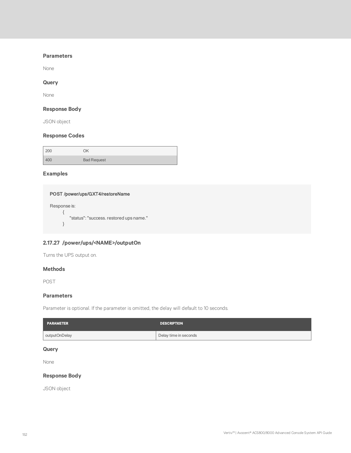#### **Parameters**

None

## **Query**

None

## **Response Body**

JSON object

## **Response Codes**

| 200 | ОK                 |
|-----|--------------------|
| 400 | <b>Bad Request</b> |

## **Examples**

#### POST /power/ups/GXT4/restoreName

Response is: { "status": "success. restored ups name." }

# **2.17.27 /power/ups/<NAME>/outputOn**

Turns the UPS output on.

### **Methods**

POST

## **Parameters**

Parameter is optional. If the parameter is omitted, the delay will default to 10 seconds.

| <b>PARAMETER</b> | <b>DESCRIPTION</b>    |
|------------------|-----------------------|
| outputOnDelay    | Delay time in seconds |

## **Query**

None

#### **Response Body**

JSON object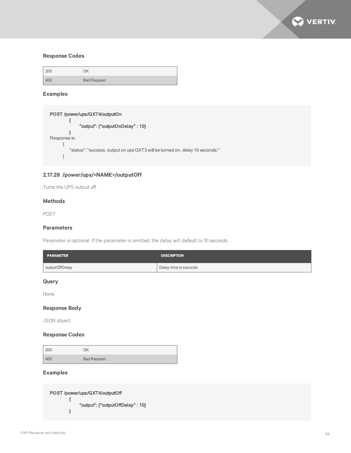

| 200 | ОK                 |
|-----|--------------------|
| 400 | <b>Bad Request</b> |

## **Examples**

POST /power/ups/GXT4/outputOn { "output": {"outputOnDelay" : 10} } Response is: { "status": "success. output on ups GXT3 will be turned on, delay 10 seconds." }

## **2.17.28 /power/ups/<NAME>/outputOff**

Turns the UPS output off

#### **Methods**

POST

#### **Parameters**

Parameter is optional. If the parameter is omitted, the delay will default to 10 seconds.

| <b>PARAMETER</b> | <b>DESCRIPTION</b>    |
|------------------|-----------------------|
| outputOffDelay   | Delay time in seconds |

#### **Query**

None

#### **Response Body**

JSON object

## **Response Codes**

| 200 | OK                 |
|-----|--------------------|
| 400 | <b>Bad Request</b> |

## **Examples**

POST /power/ups/GXT4/outputOff { "output": {"outputOffDelay" : 10} }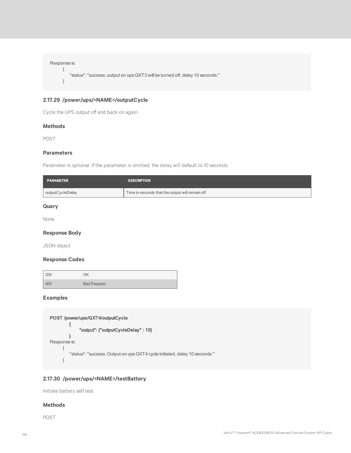```
Response is:
      {
         "status": "success. output on ups GXT3 will be turned off, delay 10 seconds."
      }
```
## **2.17.29 /power/ups/<NAME>/outputCycle**

Cycle the UPS output off and back on again

## **Methods**

POST

#### **Parameters**

Parameter is optional. If the parameter is omitted, the delay will default to 10 seconds.

| <b>PARAMETER</b> | <b>DESCRIPTION</b>                              |
|------------------|-------------------------------------------------|
| outputCycleDelay | Time in seconds that the output will remain off |

#### **Query**

None

#### **Response Body**

JSON object

## **Response Codes**

| 200 | ٦K                 |
|-----|--------------------|
| 400 | <b>Bad Request</b> |

## **Examples**

```
POST /power/ups/GXT4/outputCycle
         {
              "output": {"outputCycleDelay" : 10}
        }
Response is:
      {
         "status": "success. Output on ups GXT4 cycle initiated, delay 10 seconds."
     }
```
## **2.17.30 /power/ups/<NAME>/testBattery**

Initiate battery self test.

#### **Methods**

POST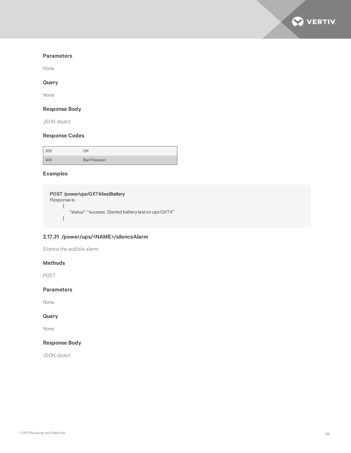

#### **Parameters**

None

#### **Query**

None

## **Response Body**

JSON object

## **Response Codes**

| 200 | ОK                 |
|-----|--------------------|
| 40C | <b>Bad Request</b> |

## **Examples**

## POST /power/ups/GXT4/testBattery

Response is:

```
{
   "status": "success. Started battery test on ups GXT4"
}
```
# **2.17.31 /power/ups/<NAME>/silenceAlarm**

Silence the audible alarm.

#### **Methods**

POST

## **Parameters**

None

## **Query**

None

## **Response Body**

JSON object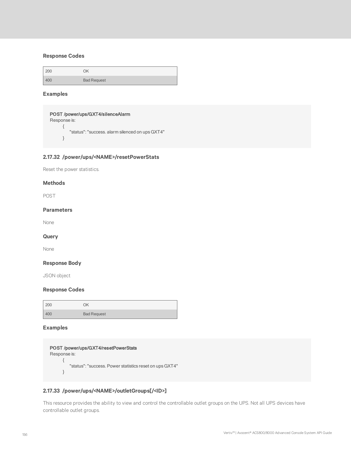| 200 | NС                 |
|-----|--------------------|
|     | <b>Bad Request</b> |

## **Examples**

# POST /power/ups/GXT4/silenceAlarm

Response is: {

"status": "success. alarm silenced on ups GXT4"

}

# **2.17.32 /power/ups/<NAME>/resetPowerStats**

Reset the power statistics.

#### **Methods**

POST

#### **Parameters**

None

#### **Query**

None

#### **Response Body**

JSON object

#### **Response Codes**

| 200 | ОK                 |
|-----|--------------------|
| 400 | <b>Bad Request</b> |

#### **Examples**

#### POST /power/ups/GXT4/resetPowerStats Response is: { "status": "success. Power statistics reset on ups GXT4" }

## **2.17.33 /power/ups/<NAME>/outletGroups[/<ID>]**

This resource provides the ability to view and control the controllable outlet groups on the UPS. Not all UPS devices have controllable outlet groups.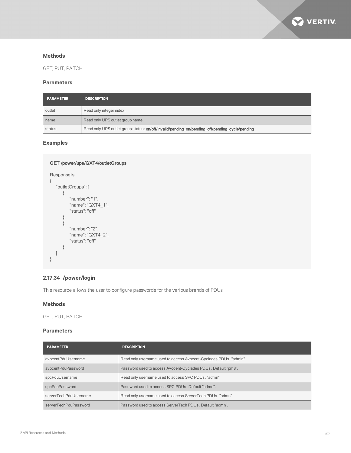

#### **Methods**

GET, PUT, PATCH

## **Parameters**

| <b>PARAMETER</b> | <b>DESCRIPTION</b>                                                                             |
|------------------|------------------------------------------------------------------------------------------------|
| outlet           | Read only integer index.                                                                       |
| name             | Read only UPS outlet group name.                                                               |
| status           | Read only UPS outlet group status: on/off/invalid/pending_on/pending_off/pending_cycle/pending |

## **Examples**

# GET /power/ups/GXT4/outletGroups

```
Response is:
{
  "outletGroups": [
     {
        "number": "1",
        "name": "GXT4_1",
        "status": "off"
     },
     {
         "number": "2",
         "name": "GXT4_2",
         "status": "off"
     }
  ]
}
```
## **2.17.34 /power/login**

This resource allows the user to configure passwords for the various brands of PDUs.

#### **Methods**

GET, PUT, PATCH

#### **Parameters**

| <b>PARAMETER</b>      | <b>DESCRIPTION</b>                                               |
|-----------------------|------------------------------------------------------------------|
| avocentPduUsername    | Read only username used to access Avocent-Cyclades PDUs. "admin" |
| avocentPduPassword    | Password used to access Avocent-Cyclades PDUs. Default "pm8".    |
| spcPduUsername        | Read only username used to access SPC PDUs. "admn"               |
| spcPduPassword        | Password used to access SPC PDUs. Default "admn".                |
| serverTechPduUsername | Read only username used to access ServerTech PDUs. "admn"        |
| serverTechPduPassword | Password used to access ServerTech PDUs. Default "admn".         |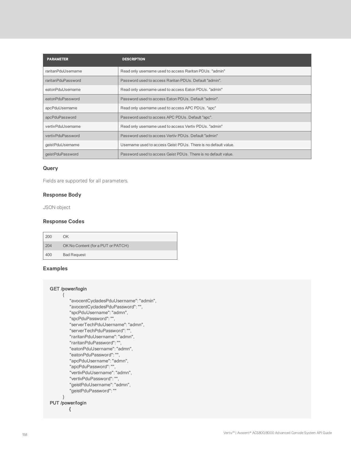| <b>PARAMETER</b>   | <b>DESCRIPTION</b>                                             |
|--------------------|----------------------------------------------------------------|
| raritanPduUsername | Read only username used to access Raritan PDUs. "admin"        |
| raritanPduPassword | Password used to access Raritan PDUs. Default "admin".         |
| eatonPduUsername   | Read only username used to access Eaton PDUs. "admin"          |
| eatonPduPassword   | Password used to access Eaton PDUs. Default "admin".           |
| apcPduUsername     | Read only username used to access APC PDUs. "apc"              |
| apcPduPassword     | Password used to access APC PDUs. Default "apc".               |
| vertivPduUsername  | Read only username used to access Vertiv PDUs. "admin"         |
| vertivPduPassword  | Password used to access Vertiv PDUs. Default "admin"           |
| geistPduUsername   | Username used to access Geist PDUs. There is no default value. |
| geistPduPassword   | Password used to access Geist PDUs. There is no default value. |

#### **Query**

Fields are supported for all parameters.

#### **Response Body**

JSON object

#### **Response Codes**

| 200 | ОK                                 |
|-----|------------------------------------|
| 204 | OK No Content (for a PUT or PATCH) |
| 400 | <b>Bad Request</b>                 |

#### **Examples**

#### GET /power/login

{

}

{

```
"avocentCycladesPduUsername": "admin",
        "avocentCycladesPduPassword": "",
        "spcPduUsername": "admn",
        "spcPduPassword": "",
        "serverTechPduUsername": "admn",
        "serverTechPduPassword": "",
        "raritanPduUsername": "admn",
        "raritanPduPassword": "",
        "eatonPduUsername": "admn",
        "eatonPduPassword": "",
        "apcPduUsername": "admn",
        "apcPduPassword": "",
        "vertivPduUsername": "admn",
        "vertivPduPassword": "",
        "geistPduUsername": "admn",
        "geistPduPassword": ""
PUT /power/login
```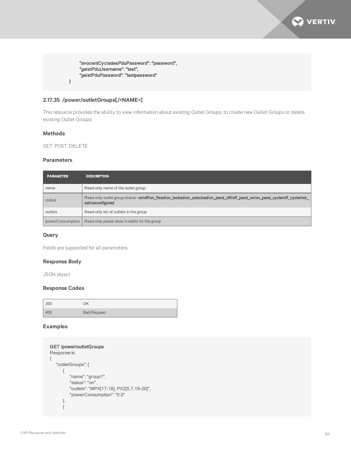

"avocentCycladesPduPassword": "password", "geistPduUsername": "test", "geistPduPassword": "testpassword"

#### **2.17.35 /power/outletGroups[/<NAME>]**

This resource provides the ability to view information about existing Outlet Groups, to create new Outlet Groups or delete existing Outlet Groups.

#### **Methods**

GET, POST, DELETE

}

## **Parameters**

| <b>PARAMETER</b> | <b>DESCRIPTION</b>                                                                                                                            |
|------------------|-----------------------------------------------------------------------------------------------------------------------------------------------|
| name             | Read-only name of the outlet group                                                                                                            |
| status           | Read-only outlet group status: on/off/on_fixed/on_locked/on_unlocked/on_pend_off/off_pend_on/on_pend_cycle/off_cycle/not_<br>set/unconfigured |
| outlets          | Read-only list of outlets in the group                                                                                                        |
| powerConsumption | Read-only power draw in watts for the group                                                                                                   |

#### **Query**

Fields are supported for all parameters.

#### **Response Body**

JSON object

#### **Response Codes**

| 200 | ОK                 |
|-----|--------------------|
| 400 | <b>Bad Request</b> |

#### **Examples**

| <b>GET /power/outletGroups</b><br>Response is:                                                                |
|---------------------------------------------------------------------------------------------------------------|
| "outletGroups": [                                                                                             |
| "name": "group1",<br>"status": "on".<br>"outlets": "MPX[17-18], PX2[5,7,19-20]",<br>"powerConsumption": "0.0" |
| },                                                                                                            |
|                                                                                                               |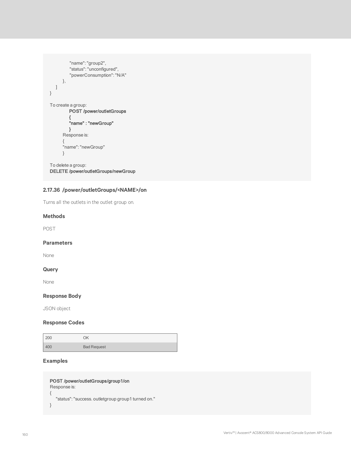```
"name": "group2",
         "status": "unconfigured",
         "powerConsumption": "N/A"
     },
  ]
}
To create a group:
         POST /power/outletGroups
         {
         "name" : "newGroup"
        }
      Response is:
      {
      "name": "newGroup"
      }
```

```
To delete a group:
DELETE /power/outletGroups/newGroup
```
## **2.17.36 /power/outletGroups/<NAME>/on**

Turns all the outlets in the outlet group on.

#### **Methods**

POST

#### **Parameters**

None

## **Query**

None

#### **Response Body**

JSON object

#### **Response Codes**

| 200 | ОK                 |
|-----|--------------------|
| 400 | <b>Bad Request</b> |

## **Examples**

#### POST /power/outletGroups/group1/on Response is: { "status": "success. outletgroup group1 turned on." }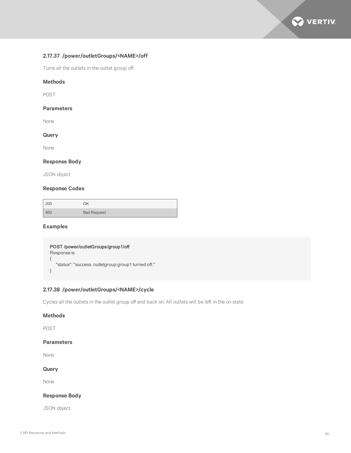

## **2.17.37 /power/outletGroups/<NAME>/off**

Turns all the outlets in the outlet group off.

#### **Methods**

POST

#### **Parameters**

None

## **Query**

None

#### **Response Body**

JSON object

#### **Response Codes**

| 200 | ОK                 |
|-----|--------------------|
| 400 | <b>Bad Request</b> |

#### **Examples**

```
POST /power/outletGroups/group1/off
Response is:
{
  "status": "success. outletgroup group1 turned off."
}
```
## **2.17.38 /power/outletGroups/<NAME>/cycle**

Cycles all the outlets in the outlet group off and back on. All outlets will be left in the on state.

#### **Methods**

POST

#### **Parameters**

None

## **Query**

None

#### **Response Body**

JSON object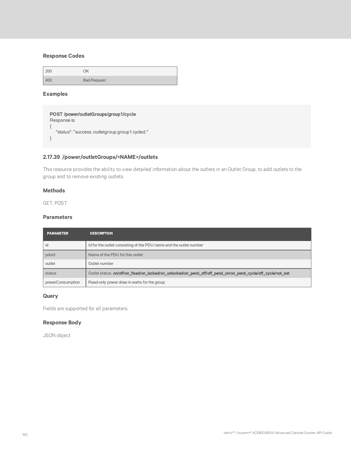| 200 | λK                 |
|-----|--------------------|
| 400 | <b>Bad Request</b> |

## **Examples**

## POST /power/outletGroups/group1/cycle Response is: { "status": "success. outletgroup group1 cycled." }

## **2.17.39 /power/outletGroups/<NAME>/outlets**

This resource provides the ability to view detailed information about the outlets in an Outlet Group, to add outlets to the group and to remove existing outlets.

#### **Methods**

GET, POST

## **Parameters**

| <b>PARAMETER</b> | <b>DESCRIPTION</b>                                                                                           |
|------------------|--------------------------------------------------------------------------------------------------------------|
| id               | Id for the outlet consisting of the PDU name and the outlet number                                           |
| pduld            | Name of the PDU for this outlet                                                                              |
| outlet           | Outlet number                                                                                                |
| status           | Outlet status: on/off/on_fixed/on_locked/on_unlocked/on_pend_off/off_pend_on/on_pend_cycle/off_cycle/not_set |
| powerConsumption | Read-only power draw in watts for the group                                                                  |

#### **Query**

Fields are supported for all parameters.

#### **Response Body**

JSON object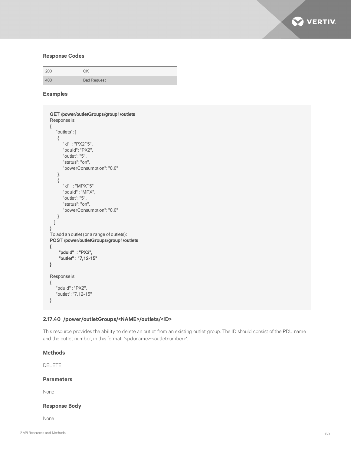

| 200 | OK                 |
|-----|--------------------|
| 400 | <b>Bad Request</b> |

## **Examples**

| GET /power/outletGroups/group1/outlets<br>Response is:                                                                                                  |
|---------------------------------------------------------------------------------------------------------------------------------------------------------|
| {<br>"outlets": [                                                                                                                                       |
| $\{$<br>"id":"PX2~5",<br>"pduld": "PX2",<br>"outlet": "5",<br>"status": "on",<br>"powerConsumption": "0.0"<br>},                                        |
| ł<br>"id": "MPX~5"<br>"pduld": "MPX",<br>"outlet": "5".<br>"status": "on",<br>"powerConsumption": "0.0"                                                 |
| }<br>l<br>ł<br>To add an outlet (or a range of outlets):<br>POST /power/outletGroups/group1/outlets<br>ſ<br>"pduld": "PX2",<br>"outlet": "7,12-15"<br>ł |
| Response is:<br>{<br>"pduld": "PX2",<br>"outlet": "7,12-15"<br>}                                                                                        |

## **2.17.40 /power/outletGroups/<NAME>/outlets/<ID>**

This resource provides the ability to delete an outlet from an existing outlet group. The ID should consist of the PDU name and the outlet number, in this format: "<pduname>~<outletnumber>".

## **Methods**

DELETE

#### **Parameters**

None

#### **Response Body**

None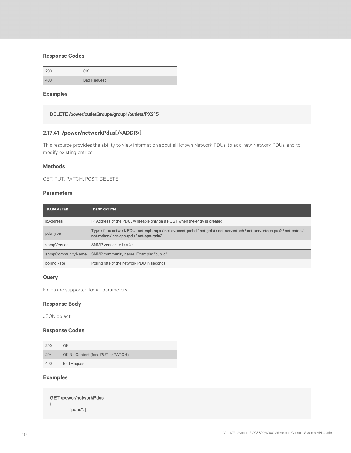| 200 | )k                 |
|-----|--------------------|
| 400 | <b>Bad Request</b> |

## **Examples**

## DELETE /power/outletGroups/group1/outlets/PX2~5

## **2.17.41 /power/networkPdus[/<ADDR>]**

This resource provides the ability to view information about all known Network PDUs, to add new Network PDUs, and to modify existing entries.

## **Methods**

GET, PUT, PATCH, POST, DELETE

#### **Parameters**

| <b>PARAMETER</b>  | <b>DESCRIPTION</b>                                                                                                                                                     |
|-------------------|------------------------------------------------------------------------------------------------------------------------------------------------------------------------|
| ipAddress         | IP Address of the PDU. Writeable only on a POST when the entry is created                                                                                              |
| pduType           | Type of the network PDU: net-mph-mpx / net-avocent-pmhd / net-geist / net-servertech / net-servertech-pro2 / net-eaton /<br>net-raritan / net-apc-rpdu / net-apc-rpdu2 |
| snmpVersion       | SNMP version: v1/v2c                                                                                                                                                   |
| snmpCommunityName | SNMP community name. Example: "public"                                                                                                                                 |
| pollingRate       | Polling rate of the network PDU in seconds                                                                                                                             |

## **Query**

Fields are supported for all parameters.

#### **Response Body**

JSON object

#### **Response Codes**

| 200 | ΟK                                 |
|-----|------------------------------------|
| 204 | OK No Content (for a PUT or PATCH) |
| 400 | <b>Bad Request</b>                 |

## **Examples**

GET /power/networkPdus {

"pdus": [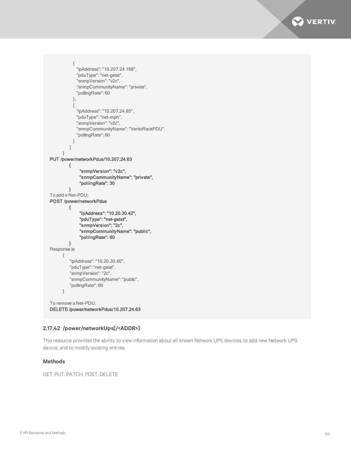

{ "ipAddress": "10.207.24.168", "pduType": "net-geist", "snmpVersion": "v2c", "snmpCommunityName": "private", "pollingRate": 60 }, { "ipAddress": "10.207.24.85", "pduType": "net-mph", "snmpVersion": "v2c", "snmpCommunityName": "VertivRackPDU", "pollingRate": 60 } ] } PUT /power/networkPdus/10.207.24.63 { "snmpVersion": "v2c", "snmpCommunityName": "private", "pollingRate": 30 } To add a Net-PDU: POST /power/networkPdus { "ipAddress": "10.20.30.42", "pduType": "net-geist", "snmpVersion": "2c", "snmpCommunityName": "public", "pollingRate": 60 } Response is: { "ipAddress": "10.20.30.40", "pduType": "net-geist", "snmpVersion": "2c", "snmpCommunityName": "public", "pollingRate": 60 } To remove a Net-PDU: DELETE /power/networkPdus/10.207.24.63

## **2.17.42 /power/networkUps[/<ADDR>]**

This resource provides the ability to view information about all known Network UPS devices, to add new Network UPS device, and to modify existing entries.

## **Methods**

GET, PUT, PATCH, POST, DELETE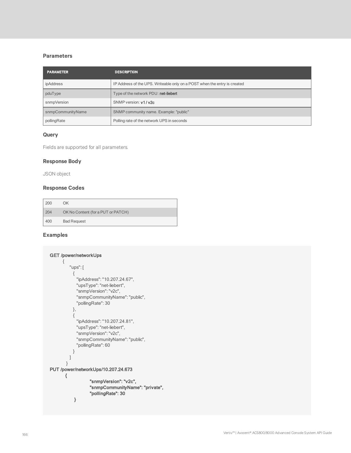#### **Parameters**

| <b>PARAMETER</b>  | <b>DESCRIPTION</b>                                                        |  |
|-------------------|---------------------------------------------------------------------------|--|
| ipAddress         | IP Address of the UPS. Writeable only on a POST when the entry is created |  |
| pduType           | Type of the network PDU: net-liebert                                      |  |
| snmpVersion       | SNMP version: v1/v2c                                                      |  |
| snmpCommunityName | SNMP community name. Example: "public"                                    |  |
| pollingRate       | Polling rate of the network UPS in seconds                                |  |

#### **Query**

Fields are supported for all parameters.

#### **Response Body**

JSON object

#### **Response Codes**

| 200 | ΩK                                 |
|-----|------------------------------------|
| 204 | OK No Content (for a PUT or PATCH) |
| 400 | <b>Bad Request</b>                 |

#### **Examples**

```
GET /power/networkUps
     {
        "ups": [
          {
            "ipAddress": "10.207.24.67",
            "upsType": "net-liebert",
            "snmpVersion": "v2c",
            "snmpCommunityName": "public",
            "pollingRate": 30
          },
          {
            "ipAddress": "10.207.24.81",
            "upsType": "net-liebert",
            "snmpVersion": "v2c",
            "snmpCommunityName": "public",
            "pollingRate": 60
          }
        ]
       }
PUT /power/networkUps/10.207.24.673
       {
                  "snmpVersion": "v2c",
                  "snmpCommunityName": "private",
                  "pollingRate": 30
           }
```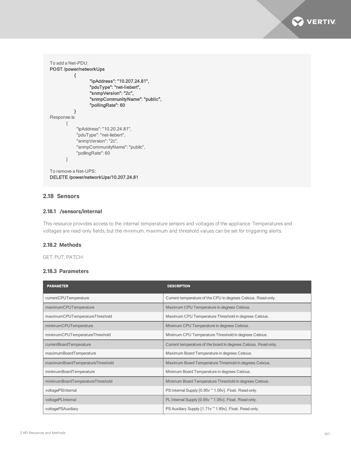

```
To add a Net-PDU:
POST /power/networkUps
           {
                  "ipAddress": "10.207.24.81",
                  "pduType": "net-liebert",
                  "snmpVersion": "2c",
                  "snmpCommunityName": "public",
                  "pollingRate": 60
           }
Response is:
       {
            "ipAddress": "10.20.24.81",
            "pduType": "net-liebert",
            "snmpVersion": "2c",
            "snmpCommunityName": "public",
            "pollingRate": 60
       }
To remove a Net-UPS:
DELETE /power/networkUps/10.207.24.81
```
## **2.18 Sensors**

#### **2.18.1 /sensors/internal**

This resource provides access to the internal temperature sensors and voltages of the appliance. Temperatures and voltages are read-only fields, but the minimum, maximum and threshold values can be set for triggering alerts.

## **2.18.2 Methods**

GET, PUT, PATCH

## **2.18.3 Parameters**

| <b>PARAMETER</b>                 | <b>DESCRIPTION</b>                                              |
|----------------------------------|-----------------------------------------------------------------|
| currentCPUTemperature            | Current temperature of the CPU in degrees Celsius. Read-only.   |
| maximumCPUTemperature            | Maximum CPU Temperature in degrees Celsius.                     |
| maximumCPUTemperatureThreshold   | Maximum CPU Temperature Threshold in degrees Celsius.           |
| minimumCPUTemperature            | Minimum CPU Temperature in degrees Celsius.                     |
| minimumCPUTemperatureThreshold   | Minimum CPU Temperature Threshold in degrees Celsius.           |
| currentBoardTemperature          | Current temperature of the board in degrees Celsius. Read-only. |
| maximumBoardTemperature          | Maximum Board Temperature in degrees Celsius.                   |
| maximumBoardTemperatureThreshold | Maximum Board Temperature Threshold in degrees Celsius.         |
| minimumBoardTemperature          | Minimum Board Temperature in degrees Celsius.                   |
| minimumBoardTemperatureThreshold | Minimum Board Temperature Threshold in degrees Celsius.         |
| voltagePSInternal                | PS Internal Supply [0.95v ~ 1.05v]. Float. Read-only.           |
| voltagePLInternal                | PL Internal Supply [0.95v ~ 1.05v]. Float. Read-only.           |
| voltagePSAuxiliary               | PS Auxiliary Supply [1.71v ~ 1.89v]. Float. Read-only.          |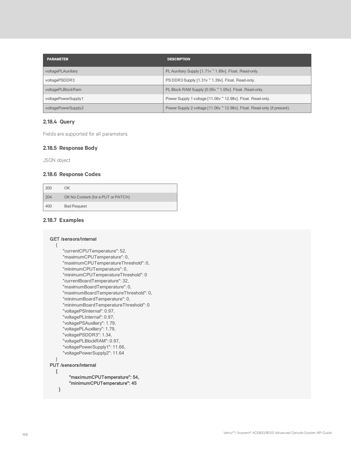| <b>PARAMETER</b>    | <b>DESCRIPTION</b>                                                       |
|---------------------|--------------------------------------------------------------------------|
| voltagePLAuxiliary  | PL Auxiliary Supply $[1.71v \times 1.89v]$ . Float. Read-only.           |
| voltagePSDDR3       | PS DDR3 Supply $[1.31v \approx 1.39v]$ . Float. Read-only.               |
| voltagePLBlockRam   | PL Block RAM Supply $[0.95v \approx 1.05v]$ . Float. Read-only.          |
| voltagePowerSupply1 | Power Supply 1 voltage [11.06v ~ 12.98v]. Float. Read-only.              |
| voltagePowerSupply2 | Power Supply 2 voltage [11.06y ~ 12.98y]. Float. Read-only (if present). |

#### **2.18.4 Query**

Fields are supported for all parameters.

#### **2.18.5 Response Body**

JSON object

#### **2.18.6 Response Codes**

| 200 | OK.                                |
|-----|------------------------------------|
| 204 | OK No Content (for a PUT or PATCH) |
| 400 | <b>Bad Request</b>                 |

## **2.18.7 Examples**

```
GET /sensors/internal
  {
     "currentCPUTemperature": 52,
     "maximumCPUTemperature": 0,
     "maximumCPUTemperatureThreshold": 0,
     "minimumCPUTemperature": 0,
     "minimumCPUTemperatureThreshold": 0
     "currentBoardTemperature": 32,
     "maximumBoardTemperature": 0,
     "maximumBoardTemperatureThreshold": 0,
     "minimumBoardTemperature": 0,
     "minimumBoardTemperatureThreshold": 0
     "voltagePSInternal": 0.97,
     "voltagePLInternal": 0.97,
     "voltagePSAuxiliary": 1.79,
     "voltagePLAuxiliary": 1.79,
     "voltagePSDDR3": 1.34,
     "voltagePLBlockRAM": 0.97,
     "voltagePowerSupply1": 11.66,
     "voltagePowerSupply2": 11.64
   }
PUT /sensors/internal
  {
        "maximumCPUTemperature": 54,
        "minimumCPUTemperature": 45
   }
```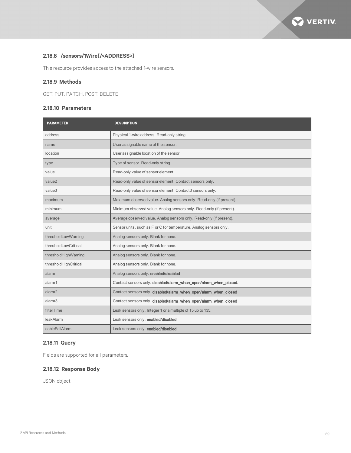

#### **2.18.8 /sensors/1Wire[/<ADDRESS>]**

This resource provides access to the attached 1-wire sensors.

#### **2.18.9 Methods**

GET, PUT, PATCH, POST, DELETE

#### **2.18.10 Parameters**

| <b>PARAMETER</b>      | <b>DESCRIPTION</b>                                                   |
|-----------------------|----------------------------------------------------------------------|
| address               | Physical 1-wire address. Read-only string.                           |
| name                  | User assignable name of the sensor.                                  |
| location              | User assignable location of the sensor.                              |
| type                  | Type of sensor. Read-only string.                                    |
| value1                | Read-only value of sensor element.                                   |
| value2                | Read-only value of sensor element. Contact sensors only.             |
| value3                | Read-only value of sensor element. Contact3 sensors only.            |
| maximum               | Maximum observed value. Analog sensors only. Read-only (if present). |
| minimum               | Minimum observed value. Analog sensors only. Read-only (if present). |
| average               | Average observed value. Analog sensors only. Read-only (if present). |
| unit                  | Sensor units, such as F or C for temperature. Analog sensors only.   |
| thresholdLowWarning   | Analog sensors only. Blank for none.                                 |
| thresholdLowCritical  | Analog sensors only. Blank for none.                                 |
| thresholdHighWarning  | Analog sensors only. Blank for none.                                 |
| thresholdHighCritical | Analog sensors only. Blank for none.                                 |
| alarm                 | Analog sensors only. enabled/disabled                                |
| alarm1                | Contact sensors only. disabled/alarm_when_open/alarm_when_closed.    |
| alarm <sub>2</sub>    | Contact sensors only. disabled/alarm_when_open/alarm_when_closed.    |
| alarm <sub>3</sub>    | Contact sensors only. disabled/alarm_when_open/alarm_when_closed.    |
| filterTime            | Leak sensors only. Integer 1 or a multiple of 15 up to 135.          |
| leakAlarm             | Leak sensors only. enabled/disabled.                                 |
| cableFailAlarm        | Leak sensors only. enabled/disabled.                                 |

## **2.18.11 Query**

Fields are supported for all parameters.

## **2.18.12 Response Body**

JSON object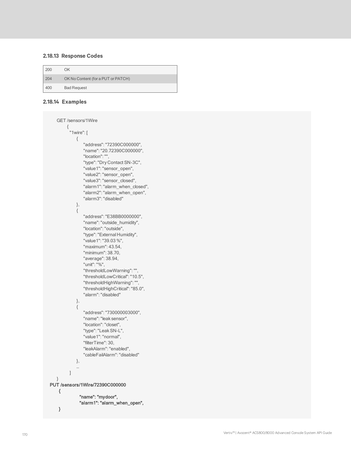#### **2.18.13 Response Codes**

| 200 | ΟK                                 |
|-----|------------------------------------|
| 204 | OK No Content (for a PUT or PATCH) |
| 400 | <b>Bad Request</b>                 |

#### **2.18.14 Examples**

```
GET /sensors/1Wire
        {
         "1wire": [
            {
                "address": "72390C000000",
                "name": "20.72390C000000",
                "location": "",
                "type": "Dry Contact SN-3C",
                "value1": "sensor_open",
                "value2": "sensor_open",
                "value3": "sensor_closed",
                "alarm1": "alarm_when_closed",
                "alarm2": "alarm_when_open",
                "alarm3": "disabled"
            },
            {
                "address": "E38BB0000000",
                "name": "outside_humidity",
                "location": "outside",
                "type": "External Humidity",
                "value1": "39.03 %",
                "maximum": 43.54,
                "minimum": 38.70,
                "average": 38.94,
                "unit": "%",
                "thresholdLowWarning": "",
                "thresholdLowCritical": "10.5",
                "thresholdHighWarning": "",
                "thresholdHighCritical": "85.0",
                "alarm": "disabled"
            },
             {
                "address": "730000003000",
                "name": "leak sensor",
                "location": "closet",
                "type": "LeakSN-L",
                "value1": "normal",
                "filterTime": 30,
                "leakAlarm": "enabled",
                "cableFailAlarm": "disabled"
            },
             …
         ]
   }
PUT /sensors/1Wire/72390C000000
    {
              "name": "mydoor",
              "alarm1": "alarm_when_open",
    }
```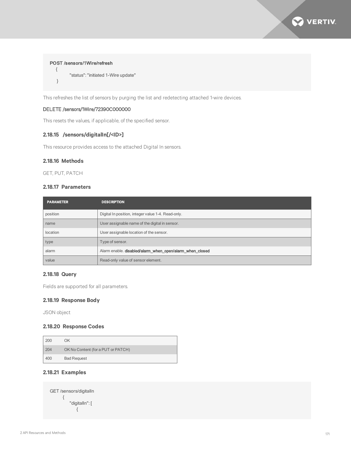

```
POST /sensors/1Wire/refresh
  {
         "status": "initiated 1-Wire update"
   }
```
This refreshes the list of sensors by purging the list and redetecting attached 1-wire devices.

#### DELETE /sensors/1Wire/72390C000000

This resets the values, if applicable, of the specified sensor.

#### **2.18.15 /sensors/digitalIn[/<ID>]**

This resource provides access to the attached Digital In sensors.

## **2.18.16 Methods**

GET, PUT, PATCH

#### **2.18.17 Parameters**

| <b>PARAMETER</b> | <b>DESCRIPTION</b>                                       |
|------------------|----------------------------------------------------------|
| position         | Digital In position, integer value 1-4. Read-only.       |
| name             | User assignable name of the digital in sensor.           |
| location         | User assignable location of the sensor.                  |
| type             | Type of sensor.                                          |
| alarm            | Alarm enable. disabled/alarm_when_open/alarm_when_closed |
| value            | Read-only value of sensor element.                       |

## **2.18.18 Query**

Fields are supported for all parameters.

#### **2.18.19 Response Body**

JSON object

#### **2.18.20 Response Codes**

| 200 | OK                                 |
|-----|------------------------------------|
| 204 | OK No Content (for a PUT or PATCH) |
| 400 | <b>Bad Request</b>                 |

#### **2.18.21 Examples**

```
GET /sensors/digitalIn
      {
         "digitalIn": [
             {
```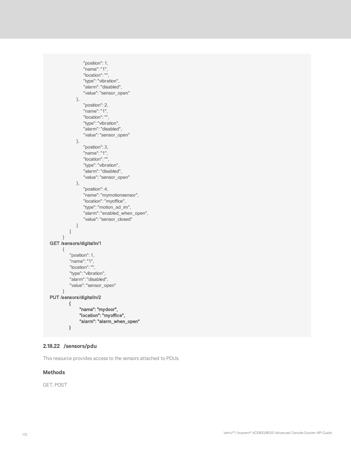```
"position": 1,
                 "name": "1",
                 "location": "",
                 "type": "vibration",
                 "alarm": "disabled",
                 "value": "sensor_open"
             },
                 "position": 2,
                 "name": "1",
                 "location": "",
                 "type": "vibration",
                 "alarm": "disabled",
                 "value": "sensor_open"
             },
                 "position": 3,
                 "name": "1",
                 "location": "",
                 "type": "vibration",
                 "alarm": "disabled",
                 "value": "sensor_open"
             },
                 "position": 4,
                 "name": "mymotionsensor",
                 "location": "myoffice",
                 "type": "motion_ad_im",
                 "alarm": "enabled_when_open",
                 "value": "sensor_closed"
             }
          ]
      }
GET /sensors/digitalIn/1
      {
          "position": 1,
          "name": "1",
          "location": "",
          "type": "vibration",
          "alarm": "disabled",
          "value": "sensor_open"
      }
PUT /sensors/digitalIn/2
         {
               "name": "mydoor",
               "location": "myoffice",
               "alarm": "alarm_when_open"
         }
```
# **2.18.22 /sensors/pdu**

This resource provides access to the sensors attached to PDUs.

## **Methods**

GET, POST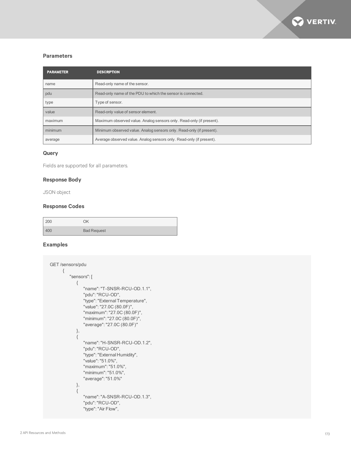

#### **Parameters**

| <b>PARAMETER</b> | <b>DESCRIPTION</b>                                                   |
|------------------|----------------------------------------------------------------------|
| name             | Read-only name of the sensor.                                        |
| pdu              | Read-only name of the PDU to which the sensor is connected.          |
| type             | Type of sensor.                                                      |
| value            | Read-only value of sensor element.                                   |
| maximum          | Maximum observed value. Analog sensors only. Read-only (if present). |
| minimum          | Minimum observed value. Analog sensors only. Read-only (if present). |
| average          | Average observed value. Analog sensors only. Read-only (if present). |

#### **Query**

Fields are supported for all parameters.

#### **Response Body**

JSON object

#### **Response Codes**

| 200 | OК                 |  |
|-----|--------------------|--|
| 400 | <b>Bad Request</b> |  |

```
GET /sensors/pdu
     {
        "sensors": [
           {
               "name": "T-SNSR-RCU-OD.1.1",
               "pdu": "RCU-OD",
               "type": "ExternalTemperature",
               "value": "27.0C (80.0F)",
               "maximum": "27.0C (80.0F)",
               "minimum": "27.0C (80.0F)",
               "average": "27.0C (80.0F)"
           },
           {
               "name": "H-SNSR-RCU-OD.1.2",
               "pdu": "RCU-OD",
               "type": "External Humidity",
               "value": "51.0%",
               "maximum": "51.0%",
               "minimum": "51.0%",
               "average": "51.0%"
           },
           {
               "name": "A-SNSR-RCU-OD.1.3",
               "pdu": "RCU-OD",
               "type": "Air Flow",
```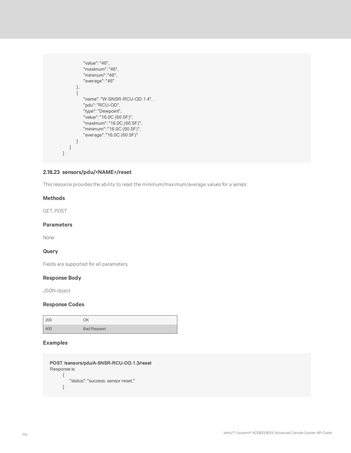```
"value": "46",
          "maximum": "46",
          "minimum": "46",
          "average": "46"
      },
      {
         "name": "W-SNSR-RCU-OD.1.4",
          "pdu": "RCU-OD",
          "type": "Dewpoint",
         "value": "16.0C (60.5F)",
         "maximum": "16.0C (60.5F)",
         "minimum": "16.0C (60.5F)",
         "average": "16.0C (60.5F)"
      }
   \, ]
}
```
#### **2.18.23 sensors/pdu/<NAME>/reset**

This resource provides the ability to reset the minimum/maximum/average values for a sensor.

#### **Methods**

GET, POST

#### **Parameters**

None

#### **Query**

Fields are supported for all parameters.

#### **Response Body**

JSON object

#### **Response Codes**

| 200 | OK                 |
|-----|--------------------|
| 400 | <b>Bad Request</b> |

```
POST /sensors/pdu/A-SNSR-RCU-OD.1.3/reset
Response is:
     {
        "status": "success. sensor reset."
     }
```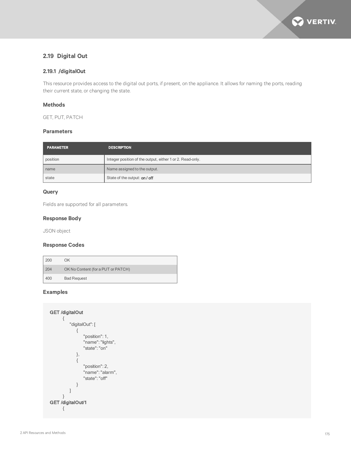

## **2.19 Digital Out**

## **2.19.1 /digitalOut**

This resource provides access to the digital out ports, if present, on the appliance. It allows for naming the ports, reading their current state, or changing the state.

### **Methods**

GET, PUT, PATCH

#### **Parameters**

| <b>PARAMETER</b> | <b>DESCRIPTION</b>                                        |
|------------------|-----------------------------------------------------------|
| position         | Integer position of the output, either 1 or 2. Read-only. |
| name             | Name assigned to the output.                              |
| state            | State of the output: on / off                             |

## **Query**

Fields are supported for all parameters.

#### **Response Body**

JSON object

## **Response Codes**

| 200 | ΩK                                 |
|-----|------------------------------------|
| 204 | OK No Content (for a PUT or PATCH) |
| 400 | <b>Bad Request</b>                 |

| <b>GET /digitalOut</b> |                   |
|------------------------|-------------------|
| {                      |                   |
|                        | "digitalOut": [   |
| {                      |                   |
|                        | "position": 1,    |
|                        | "name": "lights", |
|                        | "state": "on"     |
| },                     |                   |
| ∤                      |                   |
|                        | "position": 2,    |
|                        | "name": "alarm",  |
|                        | "state": "off"    |
| ł                      |                   |
| 1                      |                   |
| ł                      |                   |
| GET /digitalOut/1      |                   |
|                        |                   |
|                        |                   |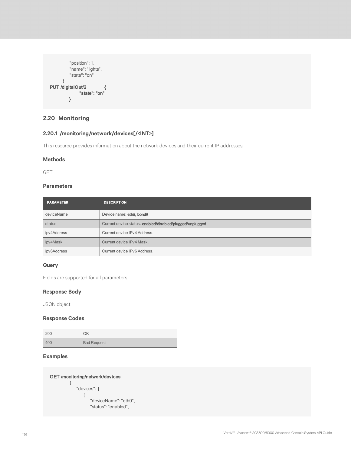```
"position": 1,
         "name": "lights",
         "state": "on"
      }
PUT /digitalOut/2 {
              "state": "on"
        }
```
## **2.20 Monitoring**

## **2.20.1 /monitoring/network/devices[/<INT>]**

This resource provides information about the network devices and their current IP addresses.

## **Methods**

GET

## **Parameters**

| <b>PARAMETER</b> | <b>DESCRIPTION</b>                                        |
|------------------|-----------------------------------------------------------|
| deviceName       | Device name: eth#, bond#                                  |
| status           | Current device status. enabled/disabled/plugged/unplugged |
| ipv4Address      | Current device IPv4 Address.                              |
| ipv4Mask         | Current device IPv4 Mask.                                 |
| ipv6Address      | Current device IPv6 Address.                              |

#### **Query**

Fields are supported for all parameters.

## **Response Body**

JSON object

#### **Response Codes**

| 200 | ОK                 |
|-----|--------------------|
| 400 | <b>Bad Request</b> |

```
GET /monitoring/network/devices
         {
            "devices": [
               {
                  "deviceName": "eth0",
                  "status": "enabled",
```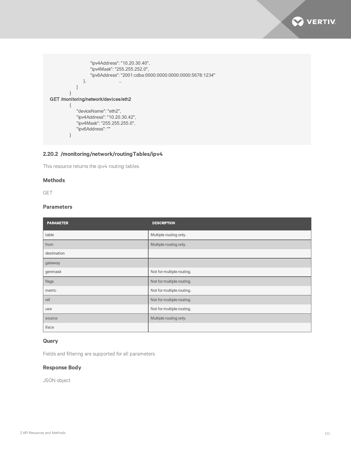

```
"ipv4Address": "10.20.30.40",
                     "ipv4Mask": "255.255.252.0",
                     "ipv6Address": "2001:cdba:0000:0000:0000:0000:5678:1234"
                 \},\\begin{array}{c} \hline \end{array}}
GET /monitoring/network/devices/eth2
          {
              "deviceName": "eth2",
              "ipv4Address": "10.20.30.42",
              "ipv4Mask": "255.255.255.0",
              "ipv6Address": ""
          }
```
## **2.20.2 /monitoring/network/routingTables/ipv4**

This resource returns the ipv4 routing tables.

### **Methods**

GET

### **Parameters**

| <b>PARAMETER</b> | <b>DESCRIPTION</b>        |
|------------------|---------------------------|
| table            | Multiple routing only.    |
| from             | Multiple routing only.    |
| destination      |                           |
| gateway          |                           |
| genmask          | Not for multiple routing. |
| flags            | Not for multiple routing. |
| metric           | Not for multiple routing. |
| ref              | Not for multiple routing. |
| use              | Not for multiple routing. |
| source           | Multiple routing only.    |
| iface            |                           |

#### **Query**

Fields and filtering are supported for all parameters.

## **Response Body**

JSON object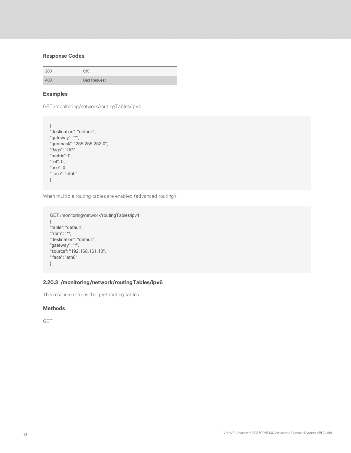#### **Response Codes**

| 200 | ЭK                 |
|-----|--------------------|
| 400 | <b>Bad Request</b> |

## **Examples**

GET /monitoring/network/routingTables/ipv4

```
{
"destination": "default",
"gateway": "*",
"genmask": "255.255.252.0",
"flags": "UG",
"metric": 0,
"ref": 0,
"use": 0,
"iface": "eth0"
}
```
When multiple routing tables are enabled (advanced routing):

```
GET /monitoring/network/routingTables/ipv4
{
"table": "default",
"from": "*",
"destination": "default",
"gateway": "*",
"source": "192.168.161.10",
"iface": "eth0"
}
```
#### **2.20.3 /monitoring/network/routingTables/ipv6**

This resource returns the ipv6 routing tables.

#### **Methods**

GET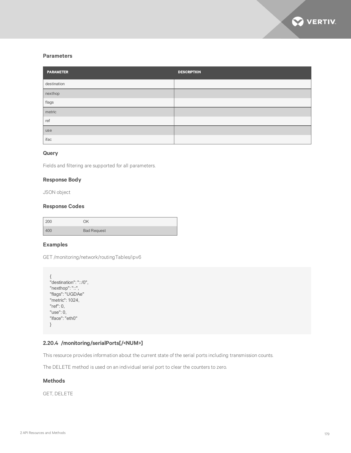

#### **Parameters**

| <b>PARAMETER</b> | <b>DESCRIPTION</b> |
|------------------|--------------------|
| destination      |                    |
| nexthop          |                    |
| flags            |                    |
| metric           |                    |
| ref              |                    |
| use              |                    |
| ifac             |                    |

#### **Query**

Fields and filtering are supported for all parameters.

#### **Response Body**

JSON object

#### **Response Codes**

| 200 | NС                 |
|-----|--------------------|
| 400 | <b>Bad Request</b> |

#### **Examples**

GET /monitoring/network/routingTables/ipv6

```
{
"destination": "::/0",
"nexthop": "::",
"flags": "UGDAe"
"metric": 1024,
"ref": 0,
"use": 0,
"iface": "eth0"
}
```
## **2.20.4 /monitoring/serialPorts[/<NUM>]**

This resource provides information about the current state of the serial ports including transmission counts.

The DELETE method is used on an individual serial port to clear the counters to zero.

## **Methods**

GET, DELETE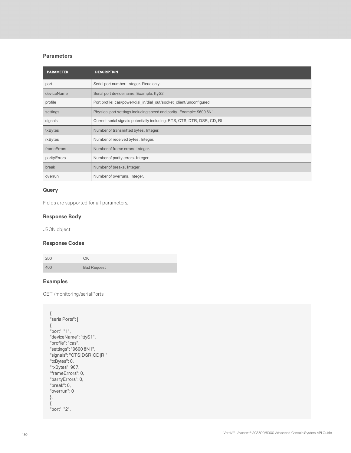#### **Parameters**

| <b>PARAMETER</b> | <b>DESCRIPTION</b>                                                       |
|------------------|--------------------------------------------------------------------------|
| port             | Serial port number. Integer. Read only.                                  |
| deviceName       | Serial port device name: Example: ttyS2                                  |
| profile          | Port profile: cas/power/dial_in/dial_out/socket_client/unconfigured      |
| settings         | Physical port settings including speed and parity. Example: 9600 8N1.    |
| signals          | Current serial signals potentially including: RTS, CTS, DTR, DSR, CD, RI |
| txBytes          | Number of transmitted bytes. Integer.                                    |
| rxBytes          | Number of received bytes. Integer.                                       |
| frameErrors      | Number of frame errors. Integer.                                         |
| parityErrors     | Number of parity errors. Integer.                                        |
| break            | Number of breaks. Integer.                                               |
| overrun          | Number of overruns. Integer.                                             |

#### **Query**

Fields are supported for all parameters.

## **Response Body**

JSON object

#### **Response Codes**

| 200 | ОK                 |
|-----|--------------------|
| 400 | <b>Bad Request</b> |

## **Examples**

GET /monitoring/serialPorts

```
{
"serialPorts": [
{
"port": "1",
"deviceName": "ttyS1",
"profile": "cas",
"settings": "9600 8N1",
"signals": "CTS|DSR|CD|RI",
"txBytes": 0,
"rxBytes": 967,
"frameErrors": 0,
"parityErrors": 0,
"break": 0,
"overrun": 0
},
{
"port": "2",
```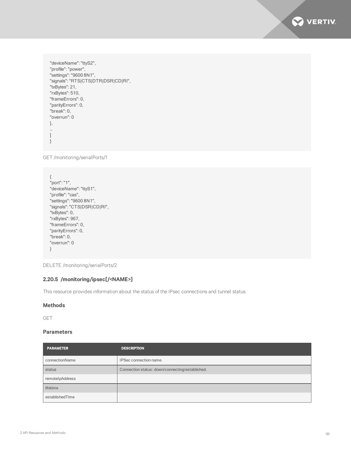

```
"deviceName": "ttyS2",
"profile": "power",
"settings": "9600 8N1",
"signals": "RTS|CTS|DTR|DSR|CD|RI",
"txBytes": 21,
"rxBytes": 510,
"frameErrors": 0,
"parityErrors": 0,
"break": 0,
"overrun": 0
},
…
\begin{array}{c} \hline \end{array}}
```
GET /monitoring/serialPorts/1

```
{
"port": "1",
"deviceName": "ttyS1",
"profile": "cas",
"settings": "9600 8N1",
"signals": "CTS|DSR|CD|RI",
"txBytes": 0,
"rxBytes": 967,
"frameErrors": 0,
"parityErrors": 0,
"break": 0,
"overrun": 0
}
```
DELETE /monitoring/serialPorts/2

#### **2.20.5 /monitoring/ipsec[/<NAME>]**

This resource provides information about the status of the IPsec connections and tunnel status.

#### **Methods**

GET

#### **Parameters**

| <b>PARAMETER</b> | <b>DESCRIPTION</b>                              |
|------------------|-------------------------------------------------|
| connectionName   | IPSec connection name.                          |
| status           | Connection status: down/connecting/established. |
| remotelpAddress  |                                                 |
| lifetime         |                                                 |
| establishedTime  |                                                 |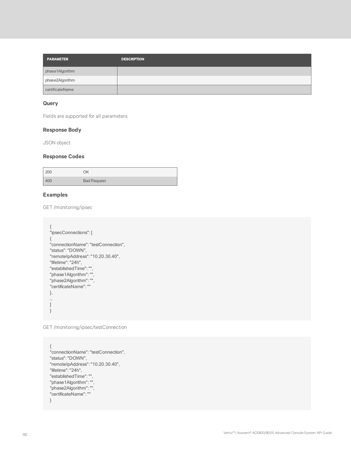| <b>PARAMETER</b> | <b>DESCRIPTION</b> |
|------------------|--------------------|
| phase1Algorithm  |                    |
| phase2Algorithm  |                    |
| certificateName  |                    |

#### **Query**

Fields are supported for all parameters.

#### **Response Body**

JSON object

#### **Response Codes**

| 200 | OК                 |
|-----|--------------------|
| 400 | <b>Bad Request</b> |

#### **Examples**

GET /monitoring/ipsec

```
{
"ipsecConnections": [
{
"connectionName": "testConnection",
"status": "DOWN",
"remoteIpAddress": "10.20.30.40",
"lifetime": "24h",
"establishedTime": "",
"phase1Algorithm": "",
"phase2Algorithm": "",
"certificateName": ""
},
…
]
}
```
GET /monitoring/ipsec/testConnection

```
{
"connectionName": "testConnection",
"status": "DOWN",
"remoteIpAddress": "10.20.30.40",
"lifetime": "24h",
"establishedTime": "",
"phase1Algorithm": "",
"phase2Algorithm": "",
"certificateName": ""
}
```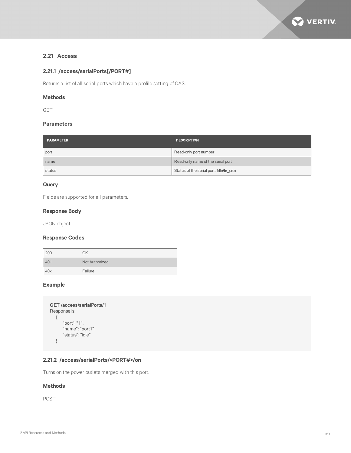

## **2.21 Access**

#### **2.21.1 /access/serialPorts[/PORT#]**

Returns a list of all serial ports which have a profile setting of CAS.

#### **Methods**

GET

## **Parameters**

| <b>PARAMETER</b> | <b>DESCRIPTION</b>                     |
|------------------|----------------------------------------|
| port             | Read-only port number                  |
| name             | Read-only name of the serial port      |
| status           | Status of the serial port: idle/in_use |

#### **Query**

Fields are supported for all parameters.

## **Response Body**

JSON object

## **Response Codes**

| 200 | ОK             |
|-----|----------------|
| 401 | Not Authorized |
| 40x | Failure        |

#### **Example**

| <b>GET</b> /access/serialPorts/1 |  |  |
|----------------------------------|--|--|
| Response is:                     |  |  |
|                                  |  |  |
| "port": "1",                     |  |  |
| "name": "port1",                 |  |  |
| "status": "idle"                 |  |  |
|                                  |  |  |

## **2.21.2 /access/serialPorts/<PORT#>/on**

Turns on the power outlets merged with this port.

## **Methods**

POST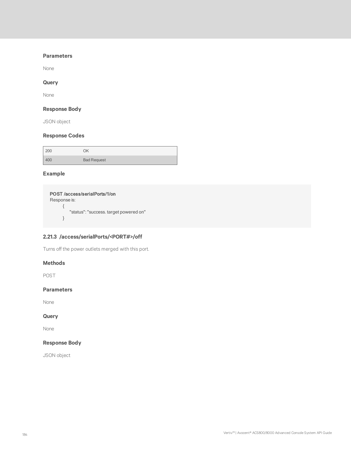#### **Parameters**

None

### **Query**

None

## **Response Body**

JSON object

## **Response Codes**

| 200 | OK                 |
|-----|--------------------|
| 400 | <b>Bad Request</b> |

## **Example**

## POST /access/serialPorts/1/on

Response is: {

"status": "success. target powered on" }

## **2.21.3 /access/serialPorts/<PORT#>/off**

Turns off the power outlets merged with this port.

### **Methods**

POST

## **Parameters**

None

## **Query**

None

## **Response Body**

JSON object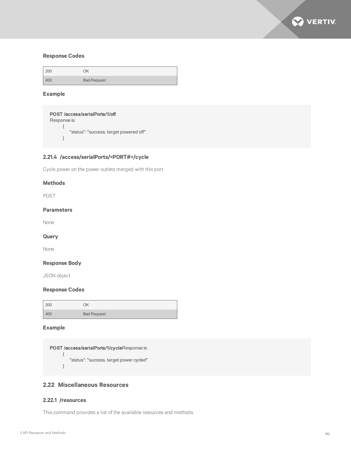

#### **Response Codes**

| 200 | ΩK                 |
|-----|--------------------|
| 400 | <b>Bad Request</b> |

## **Example**

## POST /access/serialPorts/1/off Response is:

{ "status": "success. target powered off" }

## **2.21.4 /access/serialPorts/<PORT#>/cycle**

Cycle power on the power outlets merged with this port.

#### **Methods**

POST

#### **Parameters**

None

#### **Query**

None

#### **Response Body**

JSON object

## **Response Codes**

| 200 | 7K                 |
|-----|--------------------|
|     | <b>Bad Request</b> |

#### **Example**

#### POST /access/serialPorts/1/cycleResponse is: {

"status": "success. target power cycled"

}

## **2.22 Miscellaneous Resources**

## **2.22.1 /resources**

This command provides a list of the available resources and methods.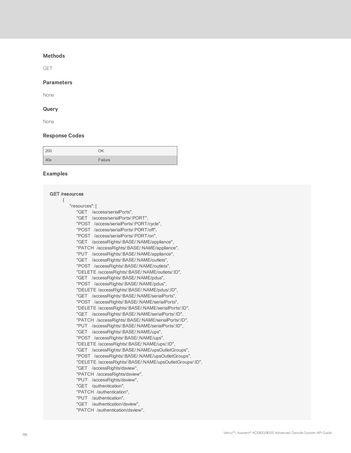#### **Methods**

GET

## **Parameters**

None

## **Query**

None

## **Response Codes**

| 200 | OK      |
|-----|---------|
| 40x | Failure |

## **Examples**

## GET /resources

| $\{$ |                                                         |
|------|---------------------------------------------------------|
|      | "resources": [                                          |
|      | "GET /access/serialPorts",                              |
|      | "GET /access/serialPorts/:PORT",                        |
|      | "POST /access/serialPorts/:PORT/cycle",                 |
|      | "POST /access/serialPorts/:PORT/off".                   |
|      | "POST /access/serialPorts/:PORT/on",                    |
|      | "GET /accessRights/:BASE/:NAME/appliance",              |
|      | "PATCH /accessRights/:BASE/:NAME/appliance",            |
|      | "PUT /accessRights/:BASE/:NAME/appliance",              |
|      | "GET /accessRights/:BASE/:NAME/outlets",                |
|      | "POST /accessRights/:BASE/:NAME/outlets",               |
|      | "DELETE /accessRights/:BASE/:NAME/outlets/:ID",         |
|      | "GET /accessRights/:BASE/:NAME/pdus",                   |
|      | "POST /accessRights/:BASE/:NAME/pdus",                  |
|      | "DELETE /accessRights/:BASE/:NAME/pdus/:ID",            |
|      | "GET /accessRights/:BASE/:NAME/serialPorts",            |
|      | "POST /accessRights/:BASE/:NAME/serialPorts",           |
|      | "DELETE /accessRights/:BASE/:NAME/serialPorts/:ID",     |
|      | "GET /accessRights/:BASE/:NAME/serialPorts/:ID",        |
|      | "PATCH /accessRights/:BASE/:NAME/serialPorts/:ID",      |
|      | "PUT /accessRights/:BASE/:NAME/serialPorts/:ID",        |
|      | "GET /accessRights/:BASE/:NAME/ups",                    |
|      | "POST /accessRights/:BASE/:NAME/ups",                   |
|      | "DELETE /accessRights/:BASE/:NAME/ups/:ID",             |
|      | "GET /accessRights/:BASE/:NAME/upsOutletGroups",        |
|      | "POST /accessRights/:BASE/:NAME/upsOutletGroups",       |
|      | "DELETE /accessRights/:BASE/:NAME/upsOutletGroups/:ID", |
|      | "GET /accessRights/dsview",                             |
|      | "PATCH /accessRights/dsview",                           |
|      | "PUT /accessRights/dsview",<br>"GET /authentication".   |
|      |                                                         |
|      | "PATCH /authentication",<br>"PUT /authentication".      |
|      | "GET /authentication/dsview".                           |
|      | "PATCH /authentication/dsview",                         |
|      |                                                         |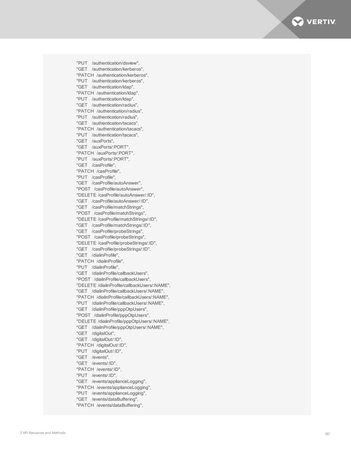

"PUT /authentication/dsview", "GET /authentication/kerberos", "PATCH /authentication/kerberos", "PUT /authentication/kerberos", "GET /authentication/ldap", "PATCH /authentication/ldap", "PUT /authentication/ldap", "GET /authentication/radius", "PATCH /authentication/radius", "PUT /authentication/radius", "GET /authentication/tacacs", "PATCH /authentication/tacacs", "PUT /authentication/tacacs", "GET /auxPorts", "GET /auxPorts/:PORT", "PATCH /auxPorts/:PORT", "PUT /auxPorts/:PORT", "GET /casProfile", "PATCH /casProfile", "PUT /casProfile", "GET /casProfile/autoAnswer", "POST /casProfile/autoAnswer", "DELETE /casProfile/autoAnswer/:ID", "GET /casProfile/autoAnswer/:ID", "GET /casProfile/matchStrings", "POST /casProfile/matchStrings", "DELETE /casProfile/matchStrings/:ID", "GET /casProfile/matchStrings/:ID", "GET /casProfile/probeStrings", "POST /casProfile/probeStrings", "DELETE /casProfile/probeStrings/:ID", "GET /casProfile/probeStrings/:ID", "GET /dialinProfile", "PATCH /dialinProfile", "PUT /dialinProfile", "GET /dialinProfile/callbackUsers", "POST /dialinProfile/callbackUsers", "DELETE /dialinProfile/callbackUsers/:NAME", "GET /dialinProfile/callbackUsers/:NAME", "PATCH /dialinProfile/callbackUsers/:NAME", "PUT /dialinProfile/callbackUsers/:NAME", "GET /dialinProfile/pppOtpUsers", "POST /dialinProfile/pppOtpUsers", "DELETE /dialinProfile/pppOtpUsers/:NAME", "GET /dialinProfile/pppOtpUsers/:NAME", "GET /digitalOut", "GET /digitalOut/:ID", "PATCH /digitalOut/:ID", "PUT /digitalOut/:ID", "GET /events", "GET /events/:ID", "PATCH /events/:ID", "PUT /events/:ID", "GET /events/applianceLogging", "PATCH /events/applianceLogging", "PUT /events/applianceLogging", "GET /events/dataBuffering", "PATCH /events/dataBuffering",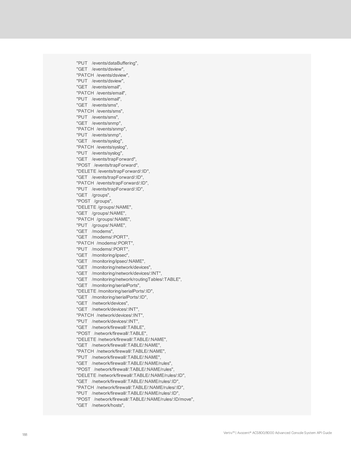"PUT /events/dataBuffering", "GET /events/dsview", "PATCH /events/dsview", "PUT /events/dsview", "GET /events/email", "PATCH /events/email", "PUT /events/email", "GET /events/sms", "PATCH /events/sms", "PUT /events/sms", "GET /events/snmp", "PATCH /events/snmp", "PUT /events/snmp", "GET /events/syslog", "PATCH /events/syslog", "PUT /events/syslog", "GET /events/trapForward", "POST /events/trapForward", "DELETE /events/trapForward/:ID", "GET /events/trapForward/:ID", "PATCH /events/trapForward/:ID", "PUT /events/trapForward/:ID", "GET /groups", "POST /groups", "DELETE /groups/:NAME", "GET /groups/:NAME", "PATCH /groups/:NAME", "PUT /groups/:NAME", "GET /modems", "GET /modems/:PORT", "PATCH /modems/:PORT", "PUT /modems/:PORT", "GET /monitoring/ipsec", "GET /monitoring/ipsec/:NAME", "GET /monitoring/network/devices", "GET /monitoring/network/devices/:INT", "GET /monitoring/network/routingTables/:TABLE", "GET /monitoring/serialPorts", "DELETE /monitoring/serialPorts/:ID", "GET /monitoring/serialPorts/:ID", "GET /network/devices", "GET /network/devices/:INT", "PATCH /network/devices/:INT", "PUT /network/devices/:INT", "GET /network/firewall/:TABLE", "POST /network/firewall/:TABLE", "DELETE /network/firewall/:TABLE/:NAME", "GET /network/firewall/:TABLE/:NAME", "PATCH /network/firewall/:TABLE/:NAME", "PUT /network/firewall/:TABLE/:NAME", "GET /network/firewall/:TABLE/:NAME/rules", "POST /network/firewall/:TABLE/:NAME/rules", "DELETE /network/firewall/:TABLE/:NAME/rules/:ID", "GET /network/firewall/:TABLE/:NAME/rules/:ID", "PATCH /network/firewall/:TABLE/:NAME/rules/:ID", "PUT /network/firewall/:TABLE/:NAME/rules/:ID",

"POST /network/firewall/:TABLE/:NAME/rules/:ID/move",

"GET /network/hosts",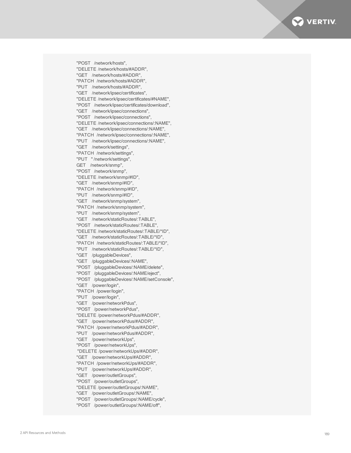

"POST /network/hosts", "DELETE /network/hosts/#ADDR", "GET /network/hosts/#ADDR", "PATCH /network/hosts/#ADDR", "PUT /network/hosts/#ADDR", "GET /network/ipsec/certificates", "DELETE /network/ipsec/certificates/#NAME", "POST /network/ipsec/certificates/download", "GET /network/ipsec/connections", "POST /network/ipsec/connections", "DELETE /network/ipsec/connections/:NAME", "GET /network/ipsec/connections/:NAME", "PATCH /network/ipsec/connections/:NAME", "PUT /network/ipsec/connections/:NAME", "GET /network/settings", "PATCH /network/settings", "PUT " /network/settings", GET /network/snmp", "POST /network/snmp", "DELETE /network/snmp/#ID", "GET /network/snmp/#ID", "PATCH /network/snmp/#ID", "PUT /network/snmp/#ID", "GET /network/snmp/system", "PATCH /network/snmp/system", "PUT /network/snmp/system", "GET /network/staticRoutes/:TABLE", "POST /network/staticRoutes/:TABLE", "DELETE /network/staticRoutes/:TABLE/\*ID", "GET /network/staticRoutes/:TABLE/\*ID", "PATCH /network/staticRoutes/:TABLE/\*ID", "PUT /network/staticRoutes/:TABLE/\*ID", "GET /pluggableDevices", "GET /pluggableDevices/:NAME", "POST /pluggableDevices/:NAME/delete", "POST /pluggableDevices/:NAME/eject", "POST /pluggableDevices/:NAME/setConsole", "GET /power/login", "PATCH /power/login", "PUT /power/login", "GET /power/networkPdus", "POST /power/networkPdus", "DELETE /power/networkPdus/#ADDR", "GET /power/networkPdus/#ADDR", "PATCH /power/networkPdus/#ADDR", "PUT /power/networkPdus/#ADDR", "GET /power/networkUps", "POST /power/networkUps", "DELETE /power/networkUps/#ADDR", "GET /power/networkUps/#ADDR", "PATCH /power/networkUps/#ADDR", "PUT /power/networkUps/#ADDR", "GET /power/outletGroups", "POST /power/outletGroups", "DELETE /power/outletGroups/:NAME", "GET /power/outletGroups/:NAME", "POST /power/outletGroups/:NAME/cycle", "POST /power/outletGroups/:NAME/off",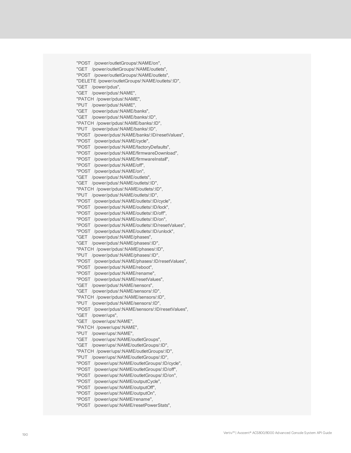"POST /power/outletGroups/:NAME/on", "GET /power/outletGroups/:NAME/outlets", "POST /power/outletGroups/:NAME/outlets", "DELETE /power/outletGroups/:NAME/outlets/:ID", "GET /power/pdus", "GET /power/pdus/:NAME", "PATCH /power/pdus/:NAME", "PUT /power/pdus/:NAME", "GET /power/pdus/:NAME/banks", "GET /power/pdus/:NAME/banks/:ID", "PATCH /power/pdus/:NAME/banks/:ID", "PUT /power/pdus/:NAME/banks/:ID", "POST /power/pdus/:NAME/banks/:ID/resetValues", "POST /power/pdus/:NAME/cycle", "POST /power/pdus/:NAME/factoryDefaults", "POST /power/pdus/:NAME/firmwareDownload", "POST /power/pdus/:NAME/firmwareInstall", "POST /power/pdus/:NAME/off", "POST /power/pdus/:NAME/on", "GET /power/pdus/:NAME/outlets", "GET /power/pdus/:NAME/outlets/:ID", "PATCH /power/pdus/:NAME/outlets/:ID", "PUT /power/pdus/:NAME/outlets/:ID", "POST /power/pdus/:NAME/outlets/:ID/cycle", "POST /power/pdus/:NAME/outlets/:ID/lock", "POST /power/pdus/:NAME/outlets/:ID/off", "POST /power/pdus/:NAME/outlets/:ID/on", "POST /power/pdus/:NAME/outlets/:ID/resetValues", "POST /power/pdus/:NAME/outlets/:ID/unlock", "GET /power/pdus/:NAME/phases", "GET /power/pdus/:NAME/phases/:ID", "PATCH /power/pdus/:NAME/phases/:ID", "PUT /power/pdus/:NAME/phases/:ID", "POST /power/pdus/:NAME/phases/:ID/resetValues", "POST /power/pdus/:NAME/reboot", "POST /power/pdus/:NAME/rename", "POST /power/pdus/:NAME/resetValues", "GET /power/pdus/:NAME/sensors", "GET /power/pdus/:NAME/sensors/:ID", "PATCH /power/pdus/:NAME/sensors/:ID", "PUT /power/pdus/:NAME/sensors/:ID", "POST /power/pdus/:NAME/sensors/:ID/resetValues", "GET /power/ups", "GET /power/ups/:NAME", "PATCH /power/ups/:NAME", "PUT /power/ups/:NAME", "GET /power/ups/:NAME/outletGroups", "GET /power/ups/:NAME/outletGroups/:ID", "PATCH /power/ups/:NAME/outletGroups/:ID", "PUT /power/ups/:NAME/outletGroups/:ID", "POST /power/ups/:NAME/outletGroups/:ID/cycle", "POST /power/ups/:NAME/outletGroups/:ID/off", "POST /power/ups/:NAME/outletGroups/:ID/on", "POST /power/ups/:NAME/outputCycle", "POST /power/ups/:NAME/outputOff", "POST /power/ups/:NAME/outputOn", "POST /power/ups/:NAME/rename", "POST /power/ups/:NAME/resetPowerStats",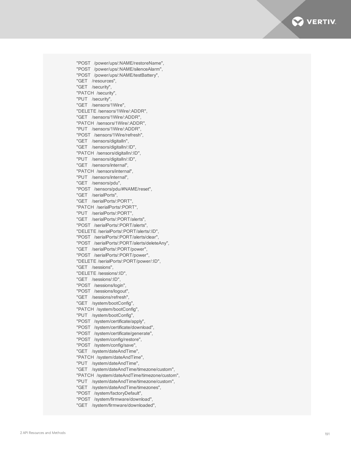

"POST /power/ups/:NAME/restoreName", "POST /power/ups/:NAME/silenceAlarm", "POST /power/ups/:NAME/testBattery", "GET /resources", "GET /security", "PATCH /security", "PUT /security", "GET /sensors/1Wire", "DELETE /sensors/1Wire/:ADDR", "GET /sensors/1Wire/:ADDR", "PATCH /sensors/1Wire/:ADDR", "PUT /sensors/1Wire/:ADDR", "POST /sensors/1Wire/refresh", "GET /sensors/digitalIn", "GET /sensors/digitalIn/:ID", "PATCH /sensors/digitalIn/:ID", "PUT /sensors/digitalIn/:ID", "GET /sensors/internal", "PATCH /sensors/internal", "PUT /sensors/internal", "GET /sensors/pdu", "POST /sensors/pdu/#NAME/reset", "GET /serialPorts", "GET /serialPorts/:PORT", "PATCH /serialPorts/:PORT", "PUT /serialPorts/:PORT", "GET /serialPorts/:PORT/alerts", "POST /serialPorts/:PORT/alerts", "DELETE /serialPorts/:PORT/alerts/:ID", "POST /serialPorts/:PORT/alerts/clear", "POST /serialPorts/:PORT/alerts/deleteAny", "GET /serialPorts/:PORT/power", "POST /serialPorts/:PORT/power", "DELETE /serialPorts/:PORT/power/:ID", "GET /sessions", "DELETE /sessions/:ID", "GET /sessions/:ID", "POST /sessions/login", "POST /sessions/logout", "GET /sessions/refresh", "GET /system/bootConfig", "PATCH /system/bootConfig", "PUT /system/bootConfig", "POST /system/certificate/apply", "POST /system/certificate/download", "POST /system/certificate/generate", "POST /system/config/restore", "POST /system/config/save", "GET /system/dateAndTime", "PATCH /system/dateAndTime", "PUT /system/dateAndTime", "GET /system/dateAndTime/timezone/custom", "PATCH /system/dateAndTime/timezone/custom", "PUT /system/dateAndTime/timezone/custom", "GET /system/dateAndTime/timezones", "POST /system/factoryDefault", "POST /system/firmware/download",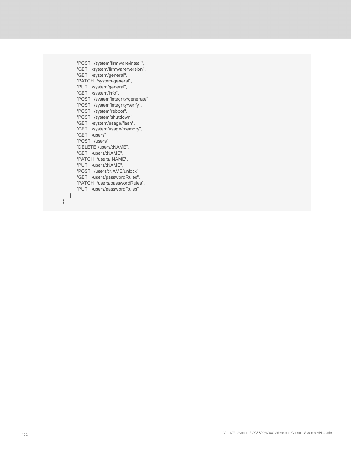"POST /system/firmware/install", "GET /system/firmware/version", "GET /system/general", "PATCH /system/general", "PUT /system/general", "GET /system/info", "POST /system/integrity/generate", "POST /system/integrity/verify", "POST /system/reboot", "POST /system/shutdown", "GET /system/usage/flash", "GET /system/usage/memory", "GET /users", "POST /users", "DELETE /users/:NAME", "GET /users/:NAME", "PATCH /users/:NAME", "PUT /users/:NAME", "POST /users/:NAME/unlock", "GET /users/passwordRules", "PATCH /users/passwordRules", "PUT /users/passwordRules"

] }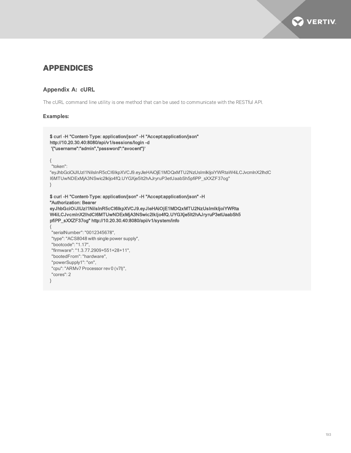

# **APPENDICES**

## **Appendix A: cURL**

The cURL command line utility is one method that can be used to communicate with the RESTful API.

| \$ curl -H "Content-Type: application/json" -H "Accept:application/json"<br>http://10.20.30.40:8080/api/v1/sessions/login-d<br>'{"username":"admin","password":"avocent"}'                                                                                                                                                       |  |
|----------------------------------------------------------------------------------------------------------------------------------------------------------------------------------------------------------------------------------------------------------------------------------------------------------------------------------|--|
| "token":<br>"eyJhbGciOiJIUzI1NiIsInR5cCI6IkpXVCJ9.eyJleHAiOjE1MDQxMTU2NzUsImlkIjoiYWRtaW4iLCJvcmlnX2lhdC<br>I6MTUwNDExMjA3NSwic2lkljo4fQ.UYGXje5lt2hAJryruP3etUaabSh5pfiPP_sXXZF37og"                                                                                                                                            |  |
| \$ curl -H "Content-Type: application/json" -H "Accept:application/json" -H<br>"Authorization: Bearer<br>eyJhbGciOiJIUzI1NiIsInR5cCl6lkpXVCJ9.eyJleHAiOjE1MDQxMTU2NzUsImlkljoiYWRta<br>W4iLCJvcmInX2IhdCl6MTUwNDExMjA3NSwic2Ikljo4fQ.UYGXje5lt2hAJryruP3etUaabSh5<br>pfiPP_sXXZF37og" http://10.20.30.40:8080/api/v1/system/info |  |
| "serialNumber": "0012345678",<br>"type": "ACS8048 with single power supply",<br>"bootcode": "1.17",<br>"firmware": "1.3.77.2909+551+28+11",<br>"bootedFrom": "hardware",<br>"powerSupply1": "on",<br>"cpu": "ARMv7 Processor rev 0 (v7l)",<br>"cores": 2                                                                         |  |
| ł                                                                                                                                                                                                                                                                                                                                |  |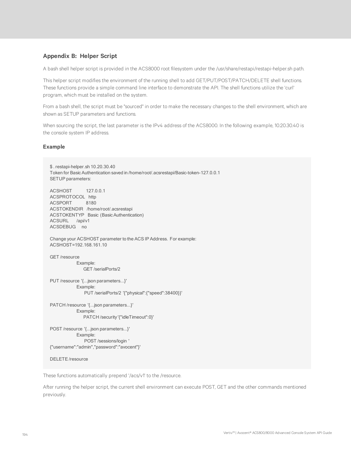## **Appendix B: Helper Script**

A bash shell helper script is provided in the ACS8000 root filesystem under the /usr/share/restapi/restapi-helper.sh path.

This helper script modifies the environment of the running shell to add GET/PUT/POST/PATCH/DELETE shell functions. These functions provide a simple command line interface to demonstrate the API. The shell functions utilize the 'curl' program, which must be installed on the system.

From a bash shell, the script must be "sourced" in order to make the necessary changes to the shell environment, which are shown as SETUP parameters and functions.

When sourcing the script, the last parameter is the IPv4 address of the ACS8000. In the following example, 10.20.30.40 is the console system IP address.

#### **Example**

| \$. restapi-helper.sh 10.20.30.40<br>Token for Basic Authentication saved in /home/root/.acsrestapi/Basic-token-127.0.0.1<br>SETUP parameters:                           |
|--------------------------------------------------------------------------------------------------------------------------------------------------------------------------|
| ACSHOST 127.0.0.1<br>ACSPROTOCOL http<br>ACSPORT 8180<br>ACSTOKENDIR /home/root/.acsrestapi<br>ACSTOKENTYP Basic (Basic Authentication)<br>ACSURL /api/v1<br>ACSDEBUG no |
| Change your ACSHOST parameter to the ACS IP Address. For example:<br>ACSHOST=192.168.161.10                                                                              |
| <b>GET</b> /resource<br>Example:<br><b>GET</b> /serialPorts/2                                                                                                            |
| PUT /resource '{json parameters}'<br>Example:<br>PUT /serialPorts/2 '{"physical": {"speed":38400}}'                                                                      |
| PATCH/resource '{json parameters}'<br>Example:<br>PATCH /security '{"idleTimeout":0}'                                                                                    |
| POST/resource '{json parameters}'<br>Example:<br>POST /sessions/login '                                                                                                  |
| {"username":"admin","password":"avocent"}'                                                                                                                               |
| DELETE/resource                                                                                                                                                          |

These functions automatically prepend '/acs/v1' to the /resource.

After running the helper script, the current shell environment can execute POST, GET and the other commands mentioned previously.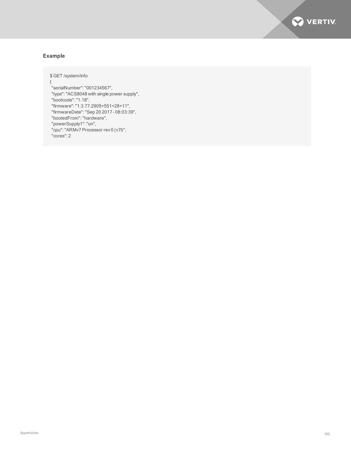

## **Example**

\$ GET /system/info

{ "serialNumber": "001234567", "type": "ACS8048 with single power supply", "bootcode": "1.18", "firmware": "1.3.77.2909+551+28+11", "firmwareDate": "Sep 20 2017 – 08:03:39", "bootedFrom": "hardware", "powerSupply1": "on", "cpu": "ARMv7 Processor rev 0 (v7l)", "cores": 2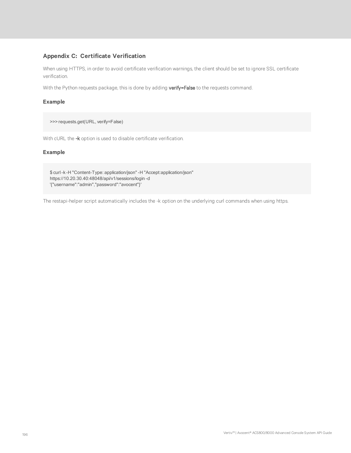## **Appendix C: Certificate Verification**

When using HTTPS, in order to avoid certificate verification warnings, the client should be set to ignore SSL certificate verification.

With the Python requests package, this is done by adding verify=False to the requests command.

### **Example**

>>> requests.get(URL, verify=False)

With cURL the -k option is used to disable certificate verification.

#### **Example**

\$ curl-k -H "Content-Type: application/json" -H "Accept:application/json" https://10.20.30.40:48048/api/v1/sessions/login -d '{"username":"admin","password":"avocent"}'

The restapi-helper script automatically includes the -k option on the underlying curl commands when using https.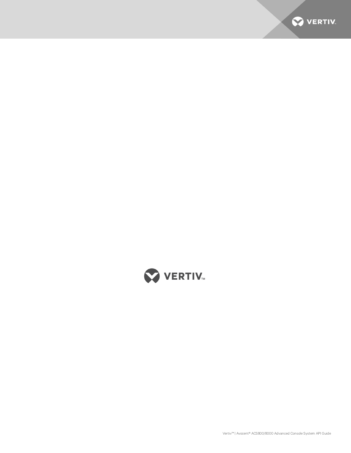